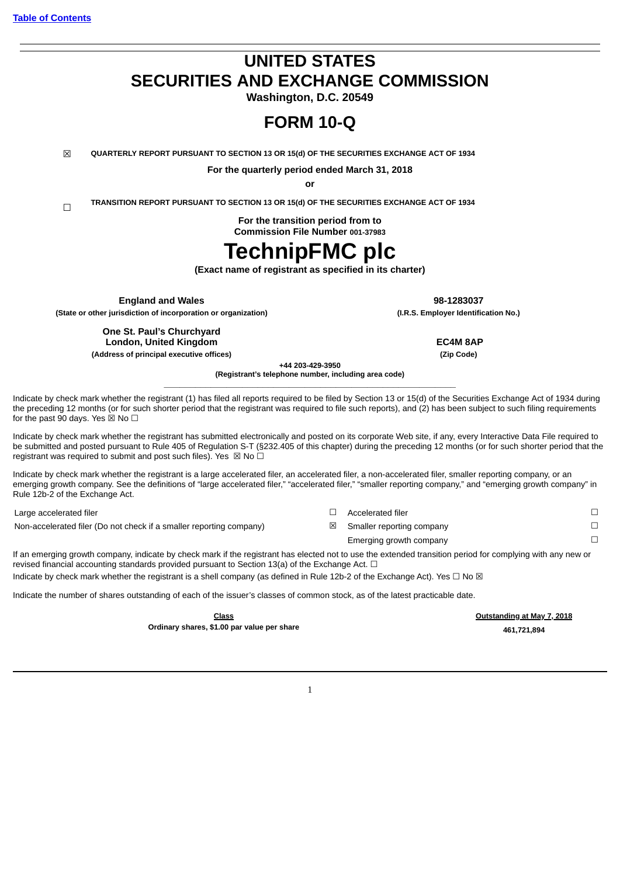# **UNITED STATES SECURITIES AND EXCHANGE COMMISSION**

**Washington, D.C. 20549**

# **FORM 10-Q**

☒ **QUARTERLY REPORT PURSUANT TO SECTION 13 OR 15(d) OF THE SECURITIES EXCHANGE ACT OF 1934**

**For the quarterly period ended March 31, 2018**

**or**

 $\Box$ **TRANSITION REPORT PURSUANT TO SECTION 13 OR 15(d) OF THE SECURITIES EXCHANGE ACT OF 1934**

> **For the transition period from to Commission File Number 001-37983**

# **TechnipFMC plc**

**(Exact name of registrant as specified in its charter)**

**England and Wales 98-1283037**

**(State or other jurisdiction of incorporation or organization) (I.R.S. Employer Identification No.)**

**One St. Paul's Churchyard London, United Kingdom EC4M 8AP**

**(Address of principal executive offices) (Zip Code)**

**+44 203-429-3950**

**(Registrant's telephone number, including area code) \_\_\_\_\_\_\_\_\_\_\_\_\_\_\_\_\_\_\_\_\_\_\_\_\_\_\_\_\_\_\_\_\_\_\_\_\_\_\_\_\_\_\_\_\_\_\_\_\_\_\_\_\_\_\_\_**

Indicate by check mark whether the registrant (1) has filed all reports required to be filed by Section 13 or 15(d) of the Securities Exchange Act of 1934 during the preceding 12 months (or for such shorter period that the registrant was required to file such reports), and (2) has been subject to such filing requirements for the past 90 days. Yes  $\boxtimes$  No  $\Box$ 

Indicate by check mark whether the registrant has submitted electronically and posted on its corporate Web site, if any, every Interactive Data File required to be submitted and posted pursuant to Rule 405 of Regulation S-T (§232.405 of this chapter) during the preceding 12 months (or for such shorter period that the registrant was required to submit and post such files). Yes  $\boxtimes$  No  $\Box$ 

Indicate by check mark whether the registrant is a large accelerated filer, an accelerated filer, a non-accelerated filer, smaller reporting company, or an emerging growth company. See the definitions of "large accelerated filer," "accelerated filer," "smaller reporting company," and "emerging growth company" in Rule 12b-2 of the Exchange Act.

Non-accelerated filer (Do not check if a smaller reporting company) **vertion** Smaller reporting company □

- Large accelerated filer ☐ Accelerated filer ☐
	-
	- Emerging growth company **□**

If an emerging growth company, indicate by check mark if the registrant has elected not to use the extended transition period for complying with any new or revised financial accounting standards provided pursuant to Section 13(a) of the Exchange Act. □

Indicate by check mark whether the registrant is a shell company (as defined in Rule 12b-2 of the Exchange Act). Yes  $\Box$  No  $\boxtimes$ 

Indicate the number of shares outstanding of each of the issuer's classes of common stock, as of the latest practicable date.

**Ordinary shares, \$1.00 par value per share 461,721,894**

**Class Outstanding at May 7, 2018**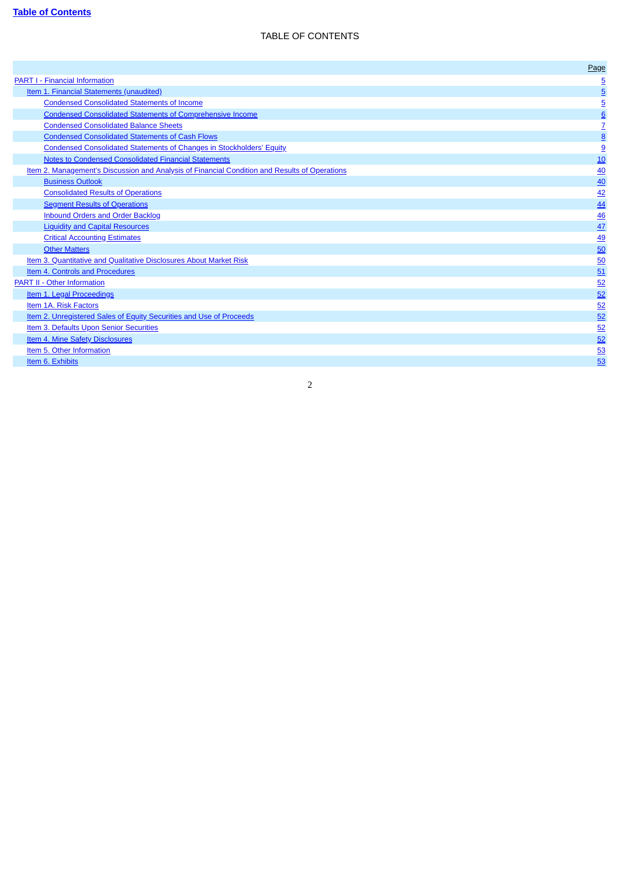## TABLE OF CONTENTS

<span id="page-1-0"></span>

|                                                                                               | Page            |
|-----------------------------------------------------------------------------------------------|-----------------|
| <b>PART I - Financial Information</b>                                                         |                 |
| Item 1. Financial Statements (unaudited)                                                      |                 |
| <b>Condensed Consolidated Statements of Income</b>                                            | $\overline{5}$  |
| <b>Condensed Consolidated Statements of Comprehensive Income</b>                              | 6               |
| <b>Condensed Consolidated Balance Sheets</b>                                                  |                 |
| <b>Condensed Consolidated Statements of Cash Flows</b>                                        | 8               |
| <b>Condensed Consolidated Statements of Changes in Stockholders' Equity</b>                   | 9               |
| <b>Notes to Condensed Consolidated Financial Statements</b>                                   | 10              |
| Item 2. Management's Discussion and Analysis of Financial Condition and Results of Operations | 40              |
| <b>Business Outlook</b>                                                                       | 40              |
| <b>Consolidated Results of Operations</b>                                                     | 42              |
| <b>Segment Results of Operations</b>                                                          | $\frac{44}{1}$  |
| <b>Inbound Orders and Order Backlog</b>                                                       | $\frac{46}{1}$  |
| <b>Liquidity and Capital Resources</b>                                                        | $\frac{47}{1}$  |
| <b>Critical Accounting Estimates</b>                                                          | 49              |
| <b>Other Matters</b>                                                                          | 50              |
| Item 3. Quantitative and Qualitative Disclosures About Market Risk                            | 50              |
| Item 4. Controls and Procedures                                                               | $\overline{51}$ |
| <b>PART II - Other Information</b>                                                            | 52              |
| Item 1. Legal Proceedings                                                                     | 52              |
| Item 1A. Risk Factors                                                                         | 52              |
| Item 2. Unregistered Sales of Equity Securities and Use of Proceeds                           | $\frac{52}{5}$  |
| Item 3. Defaults Upon Senior Securities                                                       | 52              |
| Item 4. Mine Safety Disclosures                                                               | 52              |
| Item 5. Other Information                                                                     | 53              |
| Item 6. Exhibits                                                                              | 53              |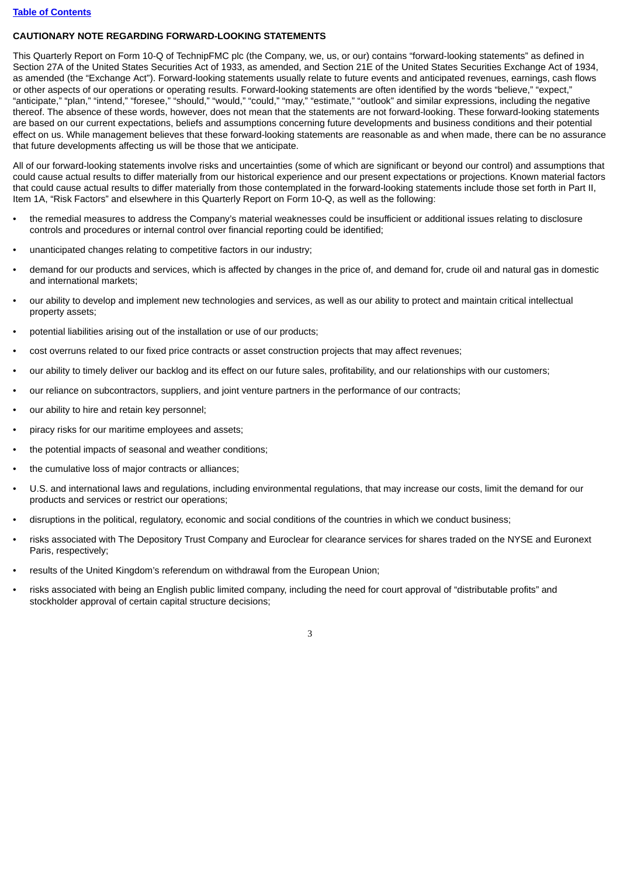#### **CAUTIONARY NOTE REGARDING FORWARD-LOOKING STATEMENTS**

This Quarterly Report on Form 10-Q of TechnipFMC plc (the Company, we, us, or our) contains "forward-looking statements" as defined in Section 27A of the United States Securities Act of 1933, as amended, and Section 21E of the United States Securities Exchange Act of 1934, as amended (the "Exchange Act"). Forward-looking statements usually relate to future events and anticipated revenues, earnings, cash flows or other aspects of our operations or operating results. Forward-looking statements are often identified by the words "believe," "expect," "anticipate," "plan," "intend," "foresee," "should," "would," "could," "may," "estimate," "outlook" and similar expressions, including the negative thereof. The absence of these words, however, does not mean that the statements are not forward-looking. These forward-looking statements are based on our current expectations, beliefs and assumptions concerning future developments and business conditions and their potential effect on us. While management believes that these forward-looking statements are reasonable as and when made, there can be no assurance that future developments affecting us will be those that we anticipate.

All of our forward-looking statements involve risks and uncertainties (some of which are significant or beyond our control) and assumptions that could cause actual results to differ materially from our historical experience and our present expectations or projections. Known material factors that could cause actual results to differ materially from those contemplated in the forward-looking statements include those set forth in Part II, Item 1A, "Risk Factors" and elsewhere in this Quarterly Report on Form 10-Q, as well as the following:

- the remedial measures to address the Company's material weaknesses could be insufficient or additional issues relating to disclosure controls and procedures or internal control over financial reporting could be identified;
- unanticipated changes relating to competitive factors in our industry;
- demand for our products and services, which is affected by changes in the price of, and demand for, crude oil and natural gas in domestic and international markets;
- our ability to develop and implement new technologies and services, as well as our ability to protect and maintain critical intellectual property assets;
- potential liabilities arising out of the installation or use of our products;
- cost overruns related to our fixed price contracts or asset construction projects that may affect revenues;
- our ability to timely deliver our backlog and its effect on our future sales, profitability, and our relationships with our customers;
- our reliance on subcontractors, suppliers, and joint venture partners in the performance of our contracts;
- our ability to hire and retain key personnel;
- piracy risks for our maritime employees and assets;
- the potential impacts of seasonal and weather conditions;
- the cumulative loss of major contracts or alliances;
- U.S. and international laws and regulations, including environmental regulations, that may increase our costs, limit the demand for our products and services or restrict our operations;
- disruptions in the political, regulatory, economic and social conditions of the countries in which we conduct business;
- risks associated with The Depository Trust Company and Euroclear for clearance services for shares traded on the NYSE and Euronext Paris, respectively;
- results of the United Kingdom's referendum on withdrawal from the European Union;
- risks associated with being an English public limited company, including the need for court approval of "distributable profits" and stockholder approval of certain capital structure decisions;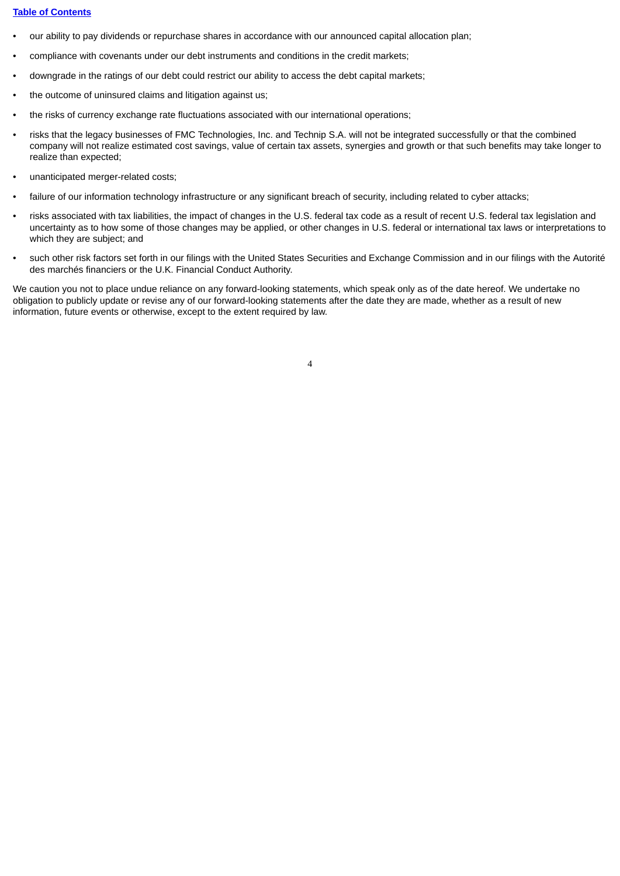- our ability to pay dividends or repurchase shares in accordance with our announced capital allocation plan;
- compliance with covenants under our debt instruments and conditions in the credit markets;
- downgrade in the ratings of our debt could restrict our ability to access the debt capital markets;
- the outcome of uninsured claims and litigation against us;
- the risks of currency exchange rate fluctuations associated with our international operations;
- risks that the legacy businesses of FMC Technologies, Inc. and Technip S.A. will not be integrated successfully or that the combined company will not realize estimated cost savings, value of certain tax assets, synergies and growth or that such benefits may take longer to realize than expected;
- unanticipated merger-related costs;
- failure of our information technology infrastructure or any significant breach of security, including related to cyber attacks;
- risks associated with tax liabilities, the impact of changes in the U.S. federal tax code as a result of recent U.S. federal tax legislation and uncertainty as to how some of those changes may be applied, or other changes in U.S. federal or international tax laws or interpretations to which they are subject; and
- such other risk factors set forth in our filings with the United States Securities and Exchange Commission and in our filings with the Autorité des marchés financiers or the U.K. Financial Conduct Authority.

We caution you not to place undue reliance on any forward-looking statements, which speak only as of the date hereof. We undertake no obligation to publicly update or revise any of our forward-looking statements after the date they are made, whether as a result of new information, future events or otherwise, except to the extent required by law.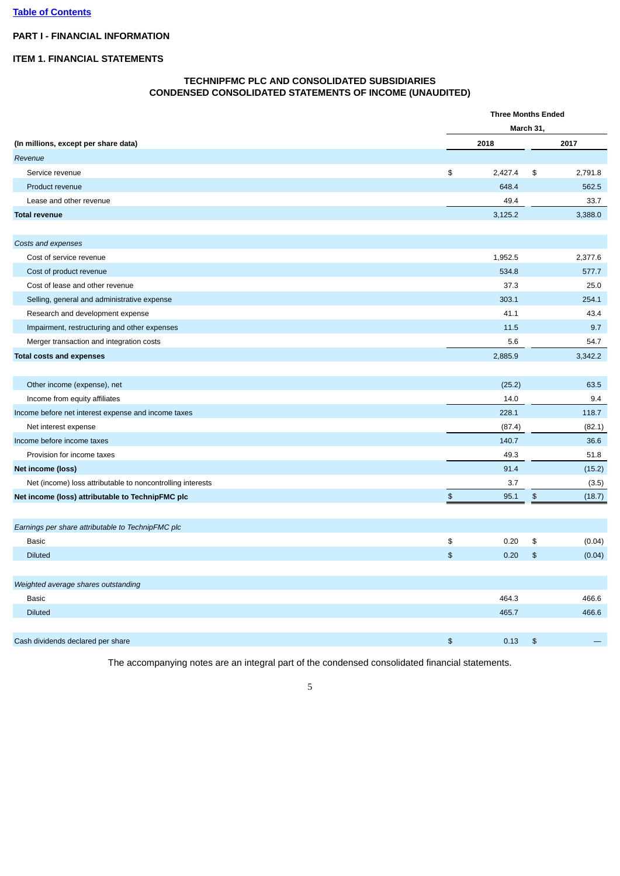## <span id="page-4-0"></span>**PART I - FINANCIAL INFORMATION**

#### <span id="page-4-2"></span><span id="page-4-1"></span>**ITEM 1. FINANCIAL STATEMENTS**

## **TECHNIPFMC PLC AND CONSOLIDATED SUBSIDIARIES CONDENSED CONSOLIDATED STATEMENTS OF INCOME (UNAUDITED)**

|                                                            |                           | <b>Three Months Ended</b> |                |         |  |  |  |
|------------------------------------------------------------|---------------------------|---------------------------|----------------|---------|--|--|--|
|                                                            |                           | March 31,                 |                |         |  |  |  |
| (In millions, except per share data)                       |                           | 2018                      |                | 2017    |  |  |  |
| Revenue                                                    |                           |                           |                |         |  |  |  |
| Service revenue                                            | \$                        | 2,427.4                   | \$             | 2,791.8 |  |  |  |
| Product revenue                                            |                           | 648.4                     |                | 562.5   |  |  |  |
| Lease and other revenue                                    |                           | 49.4                      |                | 33.7    |  |  |  |
| <b>Total revenue</b>                                       |                           | 3,125.2                   |                | 3,388.0 |  |  |  |
|                                                            |                           |                           |                |         |  |  |  |
| Costs and expenses                                         |                           |                           |                |         |  |  |  |
| Cost of service revenue                                    |                           | 1,952.5                   |                | 2,377.6 |  |  |  |
| Cost of product revenue                                    |                           | 534.8                     |                | 577.7   |  |  |  |
| Cost of lease and other revenue                            |                           | 37.3                      |                | 25.0    |  |  |  |
| Selling, general and administrative expense                |                           | 303.1                     |                | 254.1   |  |  |  |
| Research and development expense                           |                           | 41.1                      |                | 43.4    |  |  |  |
| Impairment, restructuring and other expenses               |                           | 11.5                      |                | 9.7     |  |  |  |
| Merger transaction and integration costs                   |                           | 5.6                       |                | 54.7    |  |  |  |
| <b>Total costs and expenses</b>                            |                           | 2,885.9                   |                | 3,342.2 |  |  |  |
|                                                            |                           |                           |                |         |  |  |  |
| Other income (expense), net                                |                           | (25.2)                    |                | 63.5    |  |  |  |
| Income from equity affiliates                              |                           | 14.0                      |                | 9.4     |  |  |  |
| Income before net interest expense and income taxes        |                           | 228.1                     |                | 118.7   |  |  |  |
| Net interest expense                                       |                           | (87.4)                    |                | (82.1)  |  |  |  |
| Income before income taxes                                 |                           | 140.7                     |                | 36.6    |  |  |  |
| Provision for income taxes                                 |                           | 49.3                      |                | 51.8    |  |  |  |
| Net income (loss)                                          |                           | 91.4                      |                | (15.2)  |  |  |  |
| Net (income) loss attributable to noncontrolling interests |                           | 3.7                       |                | (3.5)   |  |  |  |
| Net income (loss) attributable to TechnipFMC plc           | $\boldsymbol{\mathsf{S}}$ | 95.1                      | $\mathfrak{s}$ | (18.7)  |  |  |  |
|                                                            |                           |                           |                |         |  |  |  |
| Earnings per share attributable to TechnipFMC plc          |                           |                           |                |         |  |  |  |
| <b>Basic</b>                                               | \$                        | 0.20                      | \$             | (0.04)  |  |  |  |
| <b>Diluted</b>                                             | $\mathfrak{S}$            | 0.20                      | $\mathfrak{S}$ | (0.04)  |  |  |  |
|                                                            |                           |                           |                |         |  |  |  |
| Weighted average shares outstanding                        |                           |                           |                |         |  |  |  |
| <b>Basic</b>                                               |                           | 464.3                     |                | 466.6   |  |  |  |
| <b>Diluted</b>                                             |                           | 465.7                     |                | 466.6   |  |  |  |
|                                                            |                           |                           |                |         |  |  |  |
| Cash dividends declared per share                          | \$                        | 0.13                      | $\frac{2}{3}$  |         |  |  |  |

The accompanying notes are an integral part of the condensed consolidated financial statements.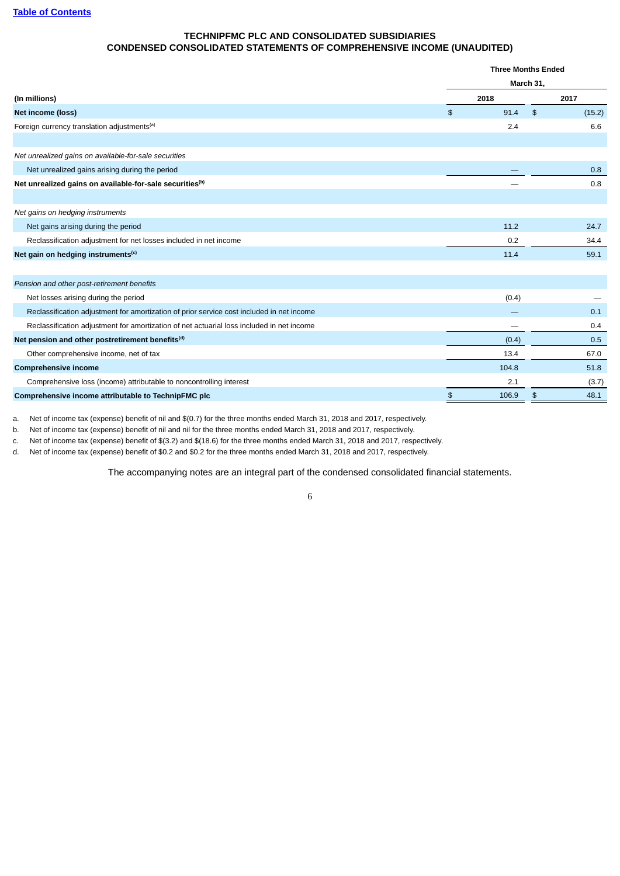#### **TECHNIPFMC PLC AND CONSOLIDATED SUBSIDIARIES CONDENSED CONSOLIDATED STATEMENTS OF COMPREHENSIVE INCOME (UNAUDITED)**

<span id="page-5-0"></span>

|                                                                                           | <b>Three Months Ended</b> |       |               |        |  |  |  |  |
|-------------------------------------------------------------------------------------------|---------------------------|-------|---------------|--------|--|--|--|--|
|                                                                                           | March 31,                 |       |               |        |  |  |  |  |
| (In millions)                                                                             |                           | 2018  | 2017          |        |  |  |  |  |
| Net income (loss)                                                                         | \$                        | 91.4  | $\frac{2}{3}$ | (15.2) |  |  |  |  |
| Foreign currency translation adjustments <sup>(a)</sup>                                   |                           | 2.4   |               | 6.6    |  |  |  |  |
|                                                                                           |                           |       |               |        |  |  |  |  |
| Net unrealized gains on available-for-sale securities                                     |                           |       |               |        |  |  |  |  |
| Net unrealized gains arising during the period                                            |                           |       |               | 0.8    |  |  |  |  |
| Net unrealized gains on available-for-sale securities <sup>(b)</sup>                      |                           |       |               | 0.8    |  |  |  |  |
|                                                                                           |                           |       |               |        |  |  |  |  |
| Net gains on hedging instruments                                                          |                           |       |               |        |  |  |  |  |
| Net gains arising during the period                                                       |                           | 11.2  |               | 24.7   |  |  |  |  |
| Reclassification adjustment for net losses included in net income                         |                           | 0.2   |               | 34.4   |  |  |  |  |
| Net gain on hedging instruments <sup>(c)</sup>                                            |                           | 11.4  |               | 59.1   |  |  |  |  |
|                                                                                           |                           |       |               |        |  |  |  |  |
| Pension and other post-retirement benefits                                                |                           |       |               |        |  |  |  |  |
| Net losses arising during the period                                                      |                           | (0.4) |               |        |  |  |  |  |
| Reclassification adjustment for amortization of prior service cost included in net income |                           |       |               | 0.1    |  |  |  |  |
| Reclassification adjustment for amortization of net actuarial loss included in net income |                           |       |               | 0.4    |  |  |  |  |
| Net pension and other postretirement benefits <sup>(d)</sup>                              |                           | (0.4) |               | 0.5    |  |  |  |  |
| Other comprehensive income, net of tax                                                    |                           | 13.4  |               | 67.0   |  |  |  |  |
| <b>Comprehensive income</b>                                                               |                           | 104.8 |               | 51.8   |  |  |  |  |
| Comprehensive loss (income) attributable to noncontrolling interest                       | 2.1                       |       |               |        |  |  |  |  |
| Comprehensive income attributable to TechnipFMC plc                                       | \$<br>106.9<br>\$<br>48.1 |       |               |        |  |  |  |  |

a. Net of income tax (expense) benefit of nil and \$(0.7) for the three months ended March 31, 2018 and 2017, respectively.

b. Net of income tax (expense) benefit of nil and nil for the three months ended March 31, 2018 and 2017, respectively.

c. Net of income tax (expense) benefit of \$(3.2) and \$(18.6) for the three months ended March 31, 2018 and 2017, respectively.

d. Net of income tax (expense) benefit of \$0.2 and \$0.2 for the three months ended March 31, 2018 and 2017, respectively.

The accompanying notes are an integral part of the condensed consolidated financial statements.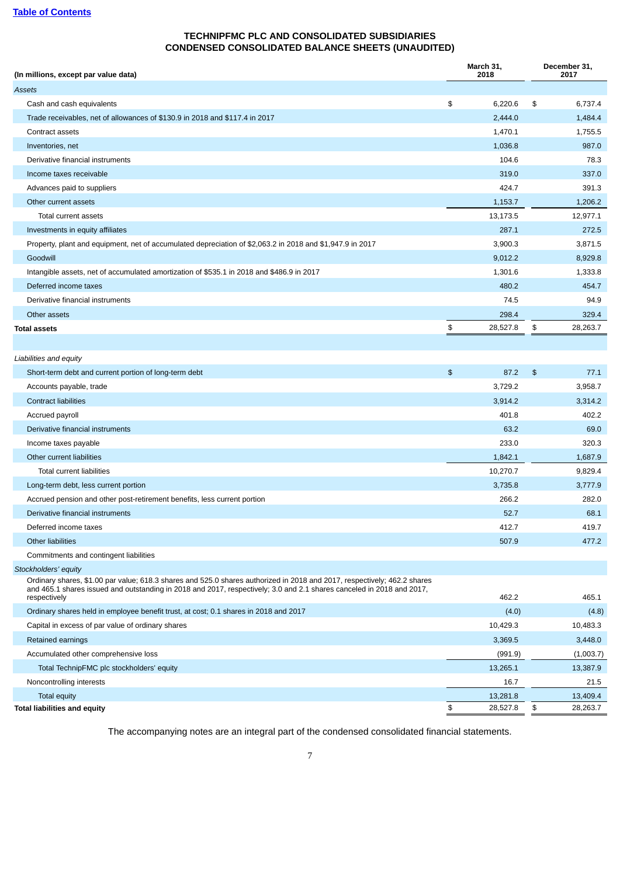## **TECHNIPFMC PLC AND CONSOLIDATED SUBSIDIARIES CONDENSED CONSOLIDATED BALANCE SHEETS (UNAUDITED)**

<span id="page-6-0"></span>

| March 31,<br>2018<br>(In millions, except par value data)                                                 |               | December 31,<br>2017 |                |          |
|-----------------------------------------------------------------------------------------------------------|---------------|----------------------|----------------|----------|
| <b>Assets</b>                                                                                             |               |                      |                |          |
| Cash and cash equivalents                                                                                 | \$            | 6,220.6              | \$             | 6,737.4  |
| Trade receivables, net of allowances of \$130.9 in 2018 and \$117.4 in 2017                               |               | 2,444.0              |                | 1,484.4  |
| Contract assets                                                                                           |               | 1,470.1              |                | 1,755.5  |
| Inventories, net                                                                                          |               | 1,036.8              |                | 987.0    |
| Derivative financial instruments                                                                          |               | 104.6                |                | 78.3     |
| Income taxes receivable                                                                                   |               | 319.0                |                | 337.0    |
| Advances paid to suppliers                                                                                |               | 424.7                |                | 391.3    |
| Other current assets                                                                                      |               | 1,153.7              |                | 1,206.2  |
| Total current assets                                                                                      |               | 13,173.5             |                | 12,977.1 |
| Investments in equity affiliates                                                                          |               | 287.1                |                | 272.5    |
| Property, plant and equipment, net of accumulated depreciation of \$2,063.2 in 2018 and \$1,947.9 in 2017 |               | 3,900.3              |                | 3.871.5  |
| Goodwill                                                                                                  |               | 9,012.2              |                | 8,929.8  |
| Intangible assets, net of accumulated amortization of \$535.1 in 2018 and \$486.9 in 2017                 |               | 1,301.6              |                | 1,333.8  |
| Deferred income taxes                                                                                     |               | 480.2                |                | 454.7    |
| Derivative financial instruments                                                                          |               | 74.5                 |                | 94.9     |
| Other assets                                                                                              |               | 298.4                |                | 329.4    |
| <b>Total assets</b>                                                                                       | \$            | 28,527.8             | \$             | 28,263.7 |
|                                                                                                           |               |                      |                |          |
| Liabilities and equity                                                                                    |               |                      |                |          |
| Short-term debt and current portion of long-term debt                                                     | $\frac{1}{2}$ | 87.2                 | $\mathfrak{S}$ | 77.1     |
| Accounts payable, trade                                                                                   |               | 3,729.2              |                | 3,958.7  |
| <b>Contract liabilities</b>                                                                               |               | 3,914.2              |                | 3,314.2  |
| Accrued payroll                                                                                           |               | 401.8                |                | 402.2    |
| Derivative financial instruments                                                                          |               | 63.2                 |                | 69.0     |
| Income taxes payable                                                                                      |               | 233.0                |                | 320.3    |
| Other current liabilities                                                                                 |               | 1,842.1              |                | 1,687.9  |
| <b>Total current liabilities</b>                                                                          |               | 10,270.7             |                | 9,829.4  |
| Long-term debt, less current portion                                                                      |               | 3,735.8              |                | 3,777.9  |
|                                                                                                           |               |                      |                |          |

| Accrued pension and other post-retirement benefits, less current portion | 266.2 | 282.0 |
|--------------------------------------------------------------------------|-------|-------|
| Derivative financial instruments                                         | 52.7  | 68.1  |
| Deferred income taxes                                                    | 412.7 | 419.7 |
| Other liabilities                                                        | 507.9 | 477.2 |
| Commitments and contingent liabilities                                   |       |       |

*Stockholders' equity*

Ordinary shares, \$1.00 par value; 618.3 shares and 525.0 shares authorized in 2018 and 2017, respectively; 462.2 shares and 465.1 shares issued and outstanding in 2018 and 2017, respectively; 3.0 and 2.1 shares canceled in 2018 and 2017, respectively 462.2 465.1 Ordinary shares held in employee benefit trust, at cost; 0.1 shares in 2018 and 2017 (4.8) (4.8) Capital in excess of par value of ordinary shares 10,483.3 10,429.3 10,429.3 Retained earnings 3,448.0 Accumulated other comprehensive loss (991.9) (1,003.7) Total TechnipFMC plc stockholders' equity and the control of the control of the control of the control of the control of the control of the control of the control of the control of the control of the control of the control Noncontrolling interests 21.5 21.5 22.15 Total equity 13,281.8 13,409.4 **Total liabilities and equity** \$ 28,527.8 \$ 28,263.7

The accompanying notes are an integral part of the condensed consolidated financial statements.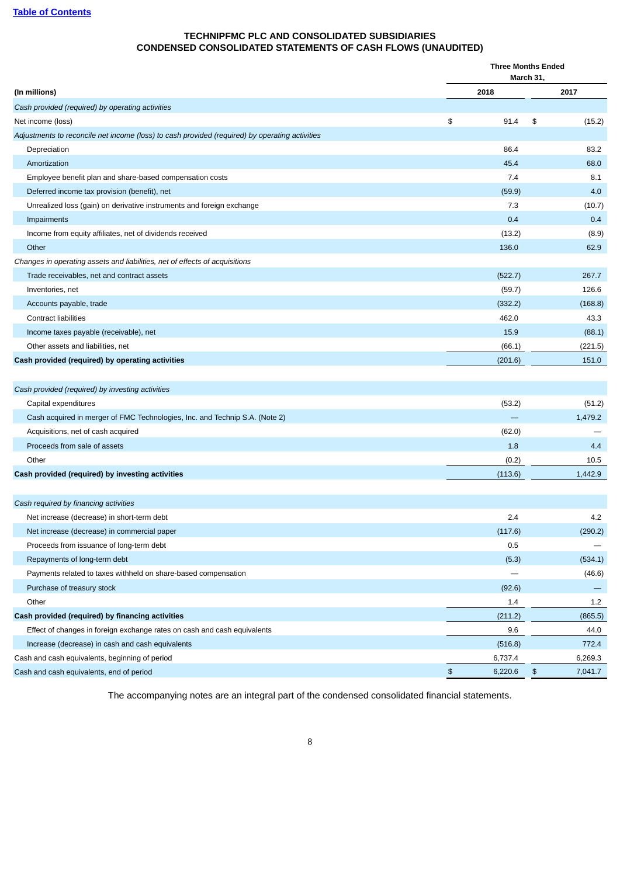### **TECHNIPFMC PLC AND CONSOLIDATED SUBSIDIARIES CONDENSED CONSOLIDATED STATEMENTS OF CASH FLOWS (UNAUDITED)**

<span id="page-7-0"></span>

|                                                                                                | <b>Three Months Ended</b><br>March 31, |         |                |         |  |
|------------------------------------------------------------------------------------------------|----------------------------------------|---------|----------------|---------|--|
| (In millions)                                                                                  |                                        | 2018    | 2017           |         |  |
| Cash provided (required) by operating activities                                               |                                        |         |                |         |  |
| Net income (loss)                                                                              | \$                                     | 91.4    | \$             | (15.2)  |  |
| Adjustments to reconcile net income (loss) to cash provided (required) by operating activities |                                        |         |                |         |  |
| Depreciation                                                                                   |                                        | 86.4    |                | 83.2    |  |
| Amortization                                                                                   |                                        | 45.4    |                | 68.0    |  |
| Employee benefit plan and share-based compensation costs                                       |                                        | 7.4     |                | 8.1     |  |
| Deferred income tax provision (benefit), net                                                   |                                        | (59.9)  |                | 4.0     |  |
| Unrealized loss (gain) on derivative instruments and foreign exchange                          |                                        | 7.3     |                | (10.7)  |  |
| <b>Impairments</b>                                                                             |                                        | 0.4     |                | 0.4     |  |
| Income from equity affiliates, net of dividends received                                       |                                        | (13.2)  |                | (8.9)   |  |
| Other                                                                                          |                                        | 136.0   |                | 62.9    |  |
| Changes in operating assets and liabilities, net of effects of acquisitions                    |                                        |         |                |         |  |
| Trade receivables, net and contract assets                                                     |                                        | (522.7) |                | 267.7   |  |
| Inventories, net                                                                               |                                        | (59.7)  |                | 126.6   |  |
| Accounts payable, trade                                                                        |                                        | (332.2) |                | (168.8) |  |
| <b>Contract liabilities</b>                                                                    |                                        | 462.0   |                | 43.3    |  |
| Income taxes payable (receivable), net                                                         |                                        | 15.9    |                | (88.1)  |  |
| Other assets and liabilities, net                                                              |                                        | (66.1)  |                | (221.5) |  |
| Cash provided (required) by operating activities                                               |                                        | (201.6) |                | 151.0   |  |
|                                                                                                |                                        |         |                |         |  |
| Cash provided (required) by investing activities                                               |                                        |         |                |         |  |
| Capital expenditures                                                                           |                                        | (53.2)  |                | (51.2)  |  |
| Cash acquired in merger of FMC Technologies, Inc. and Technip S.A. (Note 2)                    |                                        |         |                | 1,479.2 |  |
| Acquisitions, net of cash acquired                                                             |                                        | (62.0)  |                |         |  |
| Proceeds from sale of assets                                                                   |                                        | 1.8     |                | 4.4     |  |
| Other                                                                                          |                                        | (0.2)   |                | 10.5    |  |
| Cash provided (required) by investing activities                                               |                                        | (113.6) |                | 1.442.9 |  |
|                                                                                                |                                        |         |                |         |  |
| Cash required by financing activities                                                          |                                        |         |                |         |  |
| Net increase (decrease) in short-term debt                                                     |                                        | 2.4     |                | 4.2     |  |
| Net increase (decrease) in commercial paper                                                    |                                        | (117.6) |                | (290.2) |  |
| Proceeds from issuance of long-term debt                                                       |                                        | 0.5     |                |         |  |
| Repayments of long-term debt                                                                   |                                        | (5.3)   |                | (534.1) |  |
| Payments related to taxes withheld on share-based compensation                                 |                                        |         |                | (46.6)  |  |
| Purchase of treasury stock                                                                     |                                        | (92.6)  |                |         |  |
| Other                                                                                          |                                        | 1.4     |                | 1.2     |  |
| Cash provided (required) by financing activities                                               |                                        | (211.2) |                | (865.5) |  |
| Effect of changes in foreign exchange rates on cash and cash equivalents                       |                                        | 9.6     |                | 44.0    |  |
| Increase (decrease) in cash and cash equivalents                                               |                                        | (516.8) |                | 772.4   |  |
| Cash and cash equivalents, beginning of period                                                 |                                        | 6,737.4 |                | 6,269.3 |  |
| Cash and cash equivalents, end of period                                                       | $\boldsymbol{\mathfrak{s}}$            | 6,220.6 | $\mathfrak{P}$ | 7,041.7 |  |

The accompanying notes are an integral part of the condensed consolidated financial statements.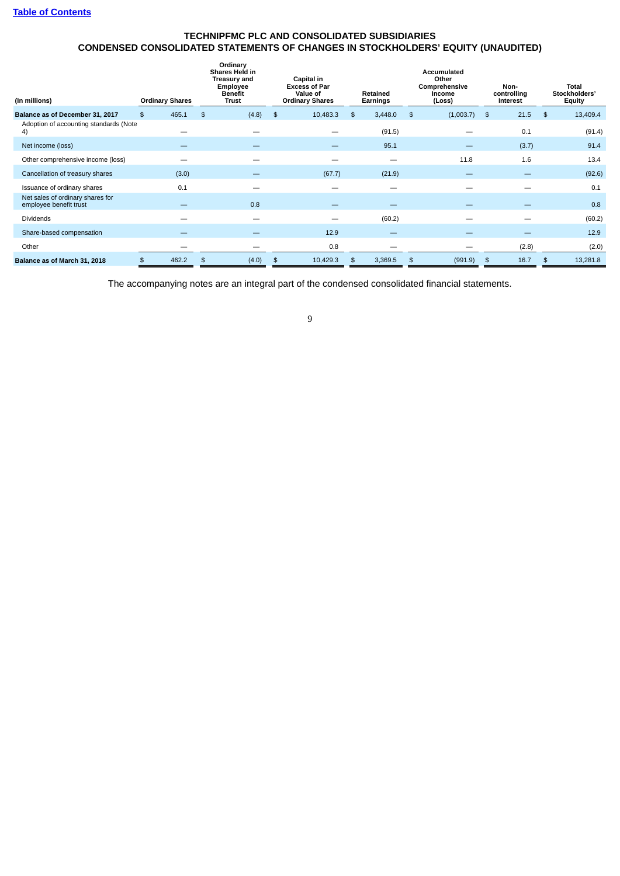## **TECHNIPFMC PLC AND CONSOLIDATED SUBSIDIARIES CONDENSED CONSOLIDATED STATEMENTS OF CHANGES IN STOCKHOLDERS' EQUITY (UNAUDITED)**

<span id="page-8-0"></span>

| (In millions)                                              | <b>Ordinary Shares</b> |                | Ordinary<br><b>Shares Held in</b><br><b>Treasury and</b><br>Employee<br><b>Benefit</b><br><b>Trust</b> |    | Capital in<br><b>Excess of Par</b><br>Value of<br><b>Ordinary Shares</b> |    | Retained<br>Earnings |    | <b>Accumulated</b><br>Other<br>Comprehensive<br>Income<br>(Loss) |    | Non-<br>controlling<br><b>Interest</b> | <b>Total</b><br>Stockholders'<br>Equity |
|------------------------------------------------------------|------------------------|----------------|--------------------------------------------------------------------------------------------------------|----|--------------------------------------------------------------------------|----|----------------------|----|------------------------------------------------------------------|----|----------------------------------------|-----------------------------------------|
| Balance as of December 31, 2017                            | \$<br>465.1            | $\mathfrak{S}$ | (4.8)                                                                                                  | \$ | 10,483.3                                                                 | \$ | 3,448.0              | \$ | (1,003.7)                                                        | \$ | 21.5                                   | \$<br>13,409.4                          |
| Adoption of accounting standards (Note<br>4)               |                        |                |                                                                                                        |    |                                                                          |    | (91.5)               |    |                                                                  |    | 0.1                                    | (91.4)                                  |
| Net income (loss)                                          | —                      |                |                                                                                                        |    |                                                                          |    | 95.1                 |    | —                                                                |    | (3.7)                                  | 91.4                                    |
| Other comprehensive income (loss)                          |                        |                |                                                                                                        |    |                                                                          |    |                      |    | 11.8                                                             |    | 1.6                                    | 13.4                                    |
| Cancellation of treasury shares                            | (3.0)                  |                |                                                                                                        |    | (67.7)                                                                   |    | (21.9)               |    |                                                                  |    |                                        | (92.6)                                  |
| Issuance of ordinary shares                                | 0.1                    |                |                                                                                                        |    |                                                                          |    |                      |    |                                                                  |    |                                        | 0.1                                     |
| Net sales of ordinary shares for<br>employee benefit trust |                        |                | 0.8                                                                                                    |    |                                                                          |    | —                    |    |                                                                  |    |                                        | 0.8                                     |
| <b>Dividends</b>                                           |                        |                |                                                                                                        |    |                                                                          |    | (60.2)               |    |                                                                  |    |                                        | (60.2)                                  |
| Share-based compensation                                   |                        |                |                                                                                                        |    | 12.9                                                                     |    | –                    |    |                                                                  |    |                                        | 12.9                                    |
| Other                                                      | –                      |                | -                                                                                                      |    | 0.8                                                                      |    | —                    |    | —                                                                |    | (2.8)                                  | (2.0)                                   |
| Balance as of March 31, 2018                               | \$<br>462.2            | \$             | (4.0)                                                                                                  | \$ | 10,429.3                                                                 | \$ | 3,369.5              | \$ | (991.9)                                                          | \$ | 16.7                                   | \$<br>13,281.8                          |

The accompanying notes are an integral part of the condensed consolidated financial statements.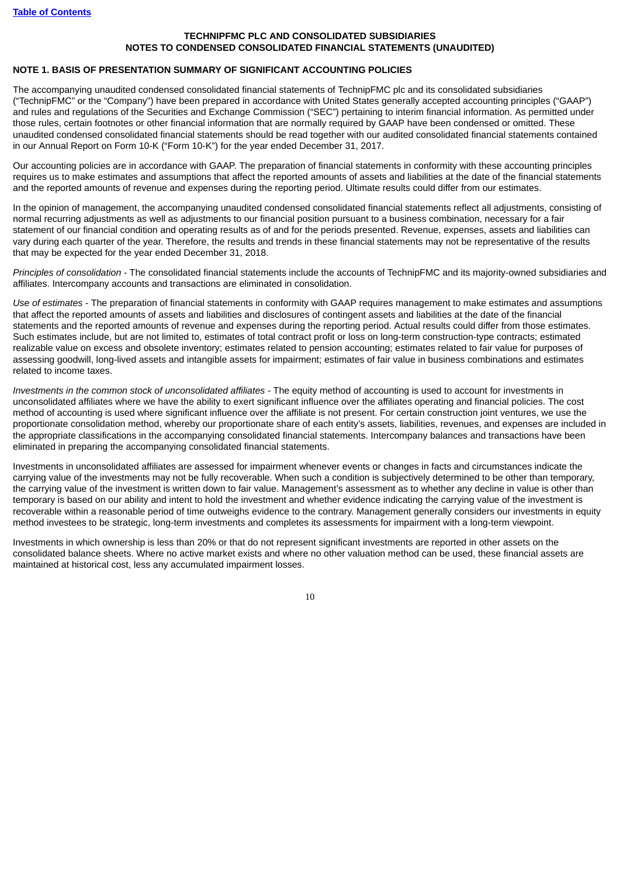#### **TECHNIPFMC PLC AND CONSOLIDATED SUBSIDIARIES NOTES TO CONDENSED CONSOLIDATED FINANCIAL STATEMENTS (UNAUDITED)**

#### <span id="page-9-0"></span>**NOTE 1. BASIS OF PRESENTATION SUMMARY OF SIGNIFICANT ACCOUNTING POLICIES**

The accompanying unaudited condensed consolidated financial statements of TechnipFMC plc and its consolidated subsidiaries ("TechnipFMC" or the "Company") have been prepared in accordance with United States generally accepted accounting principles ("GAAP") and rules and regulations of the Securities and Exchange Commission ("SEC") pertaining to interim financial information. As permitted under those rules, certain footnotes or other financial information that are normally required by GAAP have been condensed or omitted. These unaudited condensed consolidated financial statements should be read together with our audited consolidated financial statements contained in our Annual Report on Form 10-K ("Form 10-K") for the year ended December 31, 2017.

Our accounting policies are in accordance with GAAP. The preparation of financial statements in conformity with these accounting principles requires us to make estimates and assumptions that affect the reported amounts of assets and liabilities at the date of the financial statements and the reported amounts of revenue and expenses during the reporting period. Ultimate results could differ from our estimates.

In the opinion of management, the accompanying unaudited condensed consolidated financial statements reflect all adjustments, consisting of normal recurring adjustments as well as adjustments to our financial position pursuant to a business combination, necessary for a fair statement of our financial condition and operating results as of and for the periods presented. Revenue, expenses, assets and liabilities can vary during each quarter of the year. Therefore, the results and trends in these financial statements may not be representative of the results that may be expected for the year ended December 31, 2018.

*Principles of consolidation -* The consolidated financial statements include the accounts of TechnipFMC and its majority-owned subsidiaries and affiliates. Intercompany accounts and transactions are eliminated in consolidation.

*Use of estimates -* The preparation of financial statements in conformity with GAAP requires management to make estimates and assumptions that affect the reported amounts of assets and liabilities and disclosures of contingent assets and liabilities at the date of the financial statements and the reported amounts of revenue and expenses during the reporting period. Actual results could differ from those estimates. Such estimates include, but are not limited to, estimates of total contract profit or loss on long-term construction-type contracts; estimated realizable value on excess and obsolete inventory; estimates related to pension accounting; estimates related to fair value for purposes of assessing goodwill, long-lived assets and intangible assets for impairment; estimates of fair value in business combinations and estimates related to income taxes.

*Investments in the common stock of unconsolidated affiliates -* The equity method of accounting is used to account for investments in unconsolidated affiliates where we have the ability to exert significant influence over the affiliates operating and financial policies. The cost method of accounting is used where significant influence over the affiliate is not present. For certain construction joint ventures, we use the proportionate consolidation method, whereby our proportionate share of each entity's assets, liabilities, revenues, and expenses are included in the appropriate classifications in the accompanying consolidated financial statements. Intercompany balances and transactions have been eliminated in preparing the accompanying consolidated financial statements.

Investments in unconsolidated affiliates are assessed for impairment whenever events or changes in facts and circumstances indicate the carrying value of the investments may not be fully recoverable. When such a condition is subjectively determined to be other than temporary, the carrying value of the investment is written down to fair value. Management's assessment as to whether any decline in value is other than temporary is based on our ability and intent to hold the investment and whether evidence indicating the carrying value of the investment is recoverable within a reasonable period of time outweighs evidence to the contrary. Management generally considers our investments in equity method investees to be strategic, long-term investments and completes its assessments for impairment with a long-term viewpoint.

Investments in which ownership is less than 20% or that do not represent significant investments are reported in other assets on the consolidated balance sheets. Where no active market exists and where no other valuation method can be used, these financial assets are maintained at historical cost, less any accumulated impairment losses.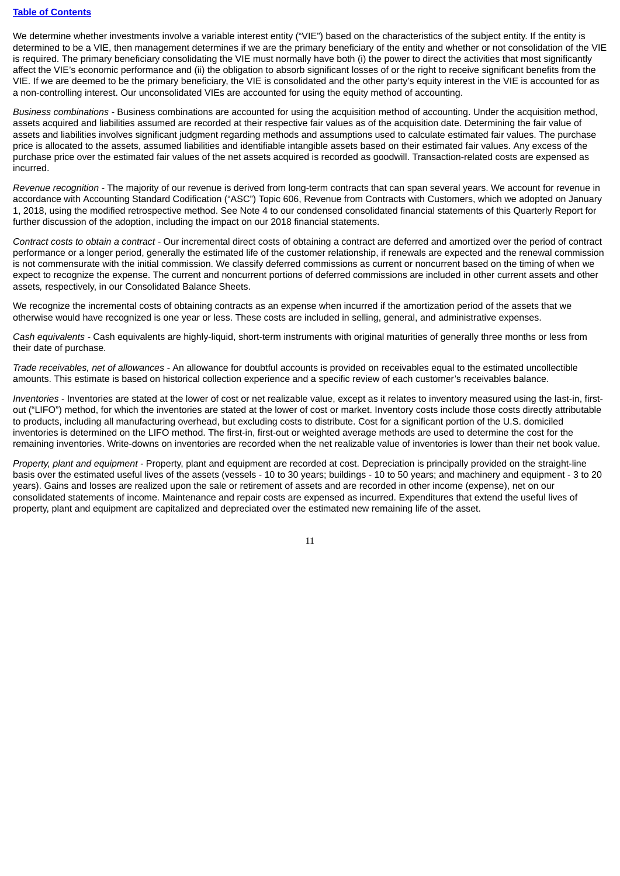We determine whether investments involve a variable interest entity ("VIE") based on the characteristics of the subject entity. If the entity is determined to be a VIE, then management determines if we are the primary beneficiary of the entity and whether or not consolidation of the VIE is required. The primary beneficiary consolidating the VIE must normally have both (i) the power to direct the activities that most significantly affect the VIE's economic performance and (ii) the obligation to absorb significant losses of or the right to receive significant benefits from the VIE. If we are deemed to be the primary beneficiary, the VIE is consolidated and the other party's equity interest in the VIE is accounted for as a non-controlling interest. Our unconsolidated VIEs are accounted for using the equity method of accounting.

*Business combinations -* Business combinations are accounted for using the acquisition method of accounting. Under the acquisition method, assets acquired and liabilities assumed are recorded at their respective fair values as of the acquisition date. Determining the fair value of assets and liabilities involves significant judgment regarding methods and assumptions used to calculate estimated fair values. The purchase price is allocated to the assets, assumed liabilities and identifiable intangible assets based on their estimated fair values. Any excess of the purchase price over the estimated fair values of the net assets acquired is recorded as goodwill. Transaction-related costs are expensed as incurred.

*Revenue recognition -* The majority of our revenue is derived from long-term contracts that can span several years. We account for revenue in accordance with Accounting Standard Codification ("ASC") Topic 606, Revenue from Contracts with Customers, which we adopted on January 1, 2018, using the modified retrospective method. See Note 4 to our condensed consolidated financial statements of this Quarterly Report for further discussion of the adoption, including the impact on our 2018 financial statements.

*Contract costs to obtain a contract -* Our incremental direct costs of obtaining a contract are deferred and amortized over the period of contract performance or a longer period, generally the estimated life of the customer relationship, if renewals are expected and the renewal commission is not commensurate with the initial commission. We classify deferred commissions as current or noncurrent based on the timing of when we expect to recognize the expense. The current and noncurrent portions of deferred commissions are included in other current assets and other assets*,* respectively, in our Consolidated Balance Sheets.

We recognize the incremental costs of obtaining contracts as an expense when incurred if the amortization period of the assets that we otherwise would have recognized is one year or less. These costs are included in selling, general, and administrative expenses.

*Cash equivalents -* Cash equivalents are highly-liquid, short-term instruments with original maturities of generally three months or less from their date of purchase.

*Trade receivables, net of allowances -* An allowance for doubtful accounts is provided on receivables equal to the estimated uncollectible amounts. This estimate is based on historical collection experience and a specific review of each customer's receivables balance.

*Inventories -* Inventories are stated at the lower of cost or net realizable value, except as it relates to inventory measured using the last-in, firstout ("LIFO") method, for which the inventories are stated at the lower of cost or market. Inventory costs include those costs directly attributable to products, including all manufacturing overhead, but excluding costs to distribute. Cost for a significant portion of the U.S. domiciled inventories is determined on the LIFO method. The first-in, first-out or weighted average methods are used to determine the cost for the remaining inventories. Write-downs on inventories are recorded when the net realizable value of inventories is lower than their net book value.

*Property, plant and equipment -* Property, plant and equipment are recorded at cost. Depreciation is principally provided on the straight-line basis over the estimated useful lives of the assets (vessels - 10 to 30 years; buildings - 10 to 50 years; and machinery and equipment - 3 to 20 years). Gains and losses are realized upon the sale or retirement of assets and are recorded in other income (expense), net on our consolidated statements of income. Maintenance and repair costs are expensed as incurred. Expenditures that extend the useful lives of property, plant and equipment are capitalized and depreciated over the estimated new remaining life of the asset.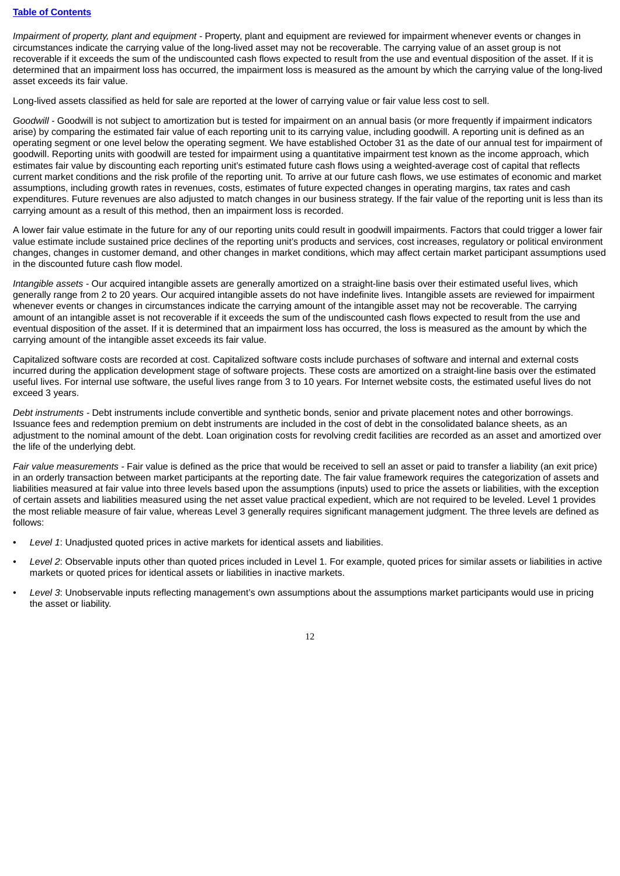*Impairment of property, plant and equipment -* Property, plant and equipment are reviewed for impairment whenever events or changes in circumstances indicate the carrying value of the long-lived asset may not be recoverable. The carrying value of an asset group is not recoverable if it exceeds the sum of the undiscounted cash flows expected to result from the use and eventual disposition of the asset. If it is determined that an impairment loss has occurred, the impairment loss is measured as the amount by which the carrying value of the long-lived asset exceeds its fair value.

Long-lived assets classified as held for sale are reported at the lower of carrying value or fair value less cost to sell.

*Goodwill -* Goodwill is not subject to amortization but is tested for impairment on an annual basis (or more frequently if impairment indicators arise) by comparing the estimated fair value of each reporting unit to its carrying value, including goodwill. A reporting unit is defined as an operating segment or one level below the operating segment. We have established October 31 as the date of our annual test for impairment of goodwill. Reporting units with goodwill are tested for impairment using a quantitative impairment test known as the income approach, which estimates fair value by discounting each reporting unit's estimated future cash flows using a weighted-average cost of capital that reflects current market conditions and the risk profile of the reporting unit. To arrive at our future cash flows, we use estimates of economic and market assumptions, including growth rates in revenues, costs, estimates of future expected changes in operating margins, tax rates and cash expenditures. Future revenues are also adjusted to match changes in our business strategy. If the fair value of the reporting unit is less than its carrying amount as a result of this method, then an impairment loss is recorded.

A lower fair value estimate in the future for any of our reporting units could result in goodwill impairments. Factors that could trigger a lower fair value estimate include sustained price declines of the reporting unit's products and services, cost increases, regulatory or political environment changes, changes in customer demand, and other changes in market conditions, which may affect certain market participant assumptions used in the discounted future cash flow model.

*Intangible assets -* Our acquired intangible assets are generally amortized on a straight-line basis over their estimated useful lives, which generally range from 2 to 20 years. Our acquired intangible assets do not have indefinite lives. Intangible assets are reviewed for impairment whenever events or changes in circumstances indicate the carrying amount of the intangible asset may not be recoverable. The carrying amount of an intangible asset is not recoverable if it exceeds the sum of the undiscounted cash flows expected to result from the use and eventual disposition of the asset. If it is determined that an impairment loss has occurred, the loss is measured as the amount by which the carrying amount of the intangible asset exceeds its fair value.

Capitalized software costs are recorded at cost. Capitalized software costs include purchases of software and internal and external costs incurred during the application development stage of software projects. These costs are amortized on a straight-line basis over the estimated useful lives. For internal use software, the useful lives range from 3 to 10 years. For Internet website costs, the estimated useful lives do not exceed 3 years.

*Debt instruments -* Debt instruments include convertible and synthetic bonds, senior and private placement notes and other borrowings. Issuance fees and redemption premium on debt instruments are included in the cost of debt in the consolidated balance sheets, as an adjustment to the nominal amount of the debt. Loan origination costs for revolving credit facilities are recorded as an asset and amortized over the life of the underlying debt.

*Fair value measurements -* Fair value is defined as the price that would be received to sell an asset or paid to transfer a liability (an exit price) in an orderly transaction between market participants at the reporting date. The fair value framework requires the categorization of assets and liabilities measured at fair value into three levels based upon the assumptions (inputs) used to price the assets or liabilities, with the exception of certain assets and liabilities measured using the net asset value practical expedient, which are not required to be leveled. Level 1 provides the most reliable measure of fair value, whereas Level 3 generally requires significant management judgment. The three levels are defined as follows:

- *Level 1*: Unadjusted quoted prices in active markets for identical assets and liabilities.
- *• Level 2*: Observable inputs other than quoted prices included in Level 1. For example, quoted prices for similar assets or liabilities in active markets or quoted prices for identical assets or liabilities in inactive markets.
- *• Level 3*: Unobservable inputs reflecting management's own assumptions about the assumptions market participants would use in pricing the asset or liability.

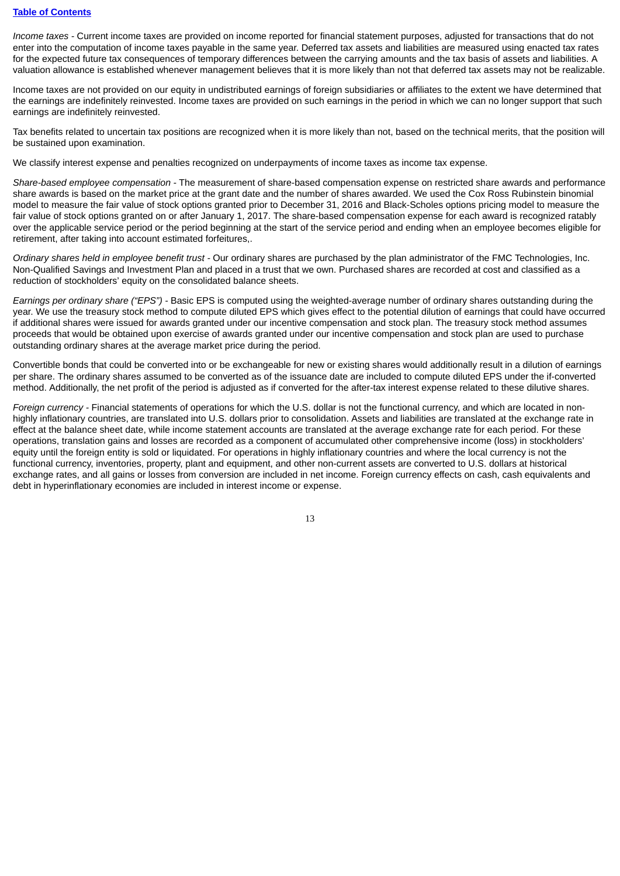*Income taxes -* Current income taxes are provided on income reported for financial statement purposes, adjusted for transactions that do not enter into the computation of income taxes payable in the same year. Deferred tax assets and liabilities are measured using enacted tax rates for the expected future tax consequences of temporary differences between the carrying amounts and the tax basis of assets and liabilities. A valuation allowance is established whenever management believes that it is more likely than not that deferred tax assets may not be realizable.

Income taxes are not provided on our equity in undistributed earnings of foreign subsidiaries or affiliates to the extent we have determined that the earnings are indefinitely reinvested. Income taxes are provided on such earnings in the period in which we can no longer support that such earnings are indefinitely reinvested.

Tax benefits related to uncertain tax positions are recognized when it is more likely than not, based on the technical merits, that the position will be sustained upon examination.

We classify interest expense and penalties recognized on underpayments of income taxes as income tax expense.

*Share-based employee compensation -* The measurement of share-based compensation expense on restricted share awards and performance share awards is based on the market price at the grant date and the number of shares awarded. We used the Cox Ross Rubinstein binomial model to measure the fair value of stock options granted prior to December 31, 2016 and Black-Scholes options pricing model to measure the fair value of stock options granted on or after January 1, 2017. The share-based compensation expense for each award is recognized ratably over the applicable service period or the period beginning at the start of the service period and ending when an employee becomes eligible for retirement, after taking into account estimated forfeitures,.

*Ordinary shares held in employee benefit trust -* Our ordinary shares are purchased by the plan administrator of the FMC Technologies, Inc. Non-Qualified Savings and Investment Plan and placed in a trust that we own. Purchased shares are recorded at cost and classified as a reduction of stockholders' equity on the consolidated balance sheets.

*Earnings per ordinary share ("EPS") -* Basic EPS is computed using the weighted-average number of ordinary shares outstanding during the year. We use the treasury stock method to compute diluted EPS which gives effect to the potential dilution of earnings that could have occurred if additional shares were issued for awards granted under our incentive compensation and stock plan. The treasury stock method assumes proceeds that would be obtained upon exercise of awards granted under our incentive compensation and stock plan are used to purchase outstanding ordinary shares at the average market price during the period.

Convertible bonds that could be converted into or be exchangeable for new or existing shares would additionally result in a dilution of earnings per share. The ordinary shares assumed to be converted as of the issuance date are included to compute diluted EPS under the if-converted method. Additionally, the net profit of the period is adjusted as if converted for the after-tax interest expense related to these dilutive shares.

*Foreign currency -* Financial statements of operations for which the U.S. dollar is not the functional currency, and which are located in nonhighly inflationary countries, are translated into U.S. dollars prior to consolidation. Assets and liabilities are translated at the exchange rate in effect at the balance sheet date, while income statement accounts are translated at the average exchange rate for each period. For these operations, translation gains and losses are recorded as a component of accumulated other comprehensive income (loss) in stockholders' equity until the foreign entity is sold or liquidated. For operations in highly inflationary countries and where the local currency is not the functional currency, inventories, property, plant and equipment, and other non-current assets are converted to U.S. dollars at historical exchange rates, and all gains or losses from conversion are included in net income. Foreign currency effects on cash, cash equivalents and debt in hyperinflationary economies are included in interest income or expense.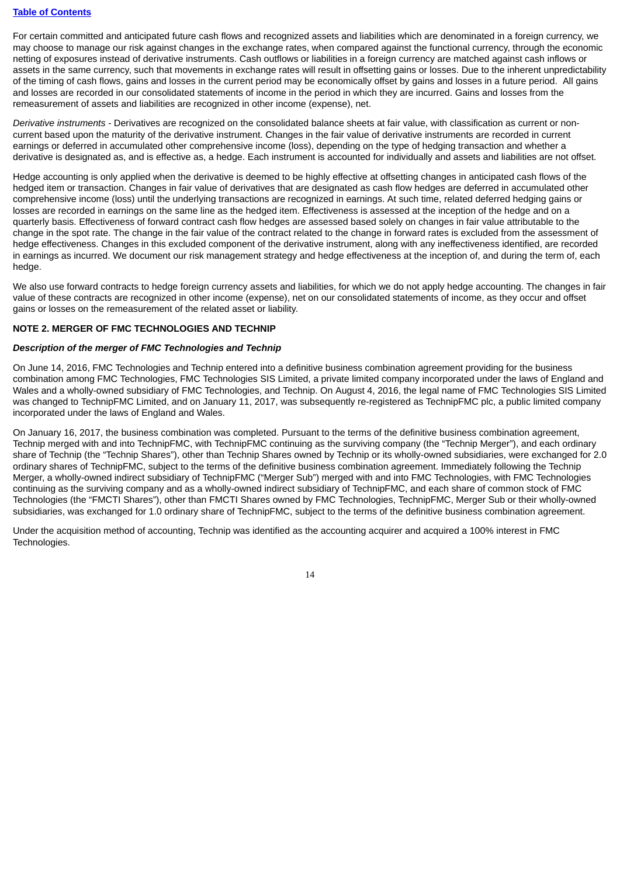For certain committed and anticipated future cash flows and recognized assets and liabilities which are denominated in a foreign currency, we may choose to manage our risk against changes in the exchange rates, when compared against the functional currency, through the economic netting of exposures instead of derivative instruments. Cash outflows or liabilities in a foreign currency are matched against cash inflows or assets in the same currency, such that movements in exchange rates will result in offsetting gains or losses. Due to the inherent unpredictability of the timing of cash flows, gains and losses in the current period may be economically offset by gains and losses in a future period. All gains and losses are recorded in our consolidated statements of income in the period in which they are incurred. Gains and losses from the remeasurement of assets and liabilities are recognized in other income (expense), net.

*Derivative instruments -* Derivatives are recognized on the consolidated balance sheets at fair value, with classification as current or noncurrent based upon the maturity of the derivative instrument. Changes in the fair value of derivative instruments are recorded in current earnings or deferred in accumulated other comprehensive income (loss), depending on the type of hedging transaction and whether a derivative is designated as, and is effective as, a hedge. Each instrument is accounted for individually and assets and liabilities are not offset.

Hedge accounting is only applied when the derivative is deemed to be highly effective at offsetting changes in anticipated cash flows of the hedged item or transaction. Changes in fair value of derivatives that are designated as cash flow hedges are deferred in accumulated other comprehensive income (loss) until the underlying transactions are recognized in earnings. At such time, related deferred hedging gains or losses are recorded in earnings on the same line as the hedged item. Effectiveness is assessed at the inception of the hedge and on a quarterly basis. Effectiveness of forward contract cash flow hedges are assessed based solely on changes in fair value attributable to the change in the spot rate. The change in the fair value of the contract related to the change in forward rates is excluded from the assessment of hedge effectiveness. Changes in this excluded component of the derivative instrument, along with any ineffectiveness identified, are recorded in earnings as incurred. We document our risk management strategy and hedge effectiveness at the inception of, and during the term of, each hedge.

We also use forward contracts to hedge foreign currency assets and liabilities, for which we do not apply hedge accounting. The changes in fair value of these contracts are recognized in other income (expense), net on our consolidated statements of income, as they occur and offset gains or losses on the remeasurement of the related asset or liability.

#### **NOTE 2. MERGER OF FMC TECHNOLOGIES AND TECHNIP**

#### *Description of the merger of FMC Technologies and Technip*

On June 14, 2016, FMC Technologies and Technip entered into a definitive business combination agreement providing for the business combination among FMC Technologies, FMC Technologies SIS Limited, a private limited company incorporated under the laws of England and Wales and a wholly-owned subsidiary of FMC Technologies, and Technip. On August 4, 2016, the legal name of FMC Technologies SIS Limited was changed to TechnipFMC Limited, and on January 11, 2017, was subsequently re-registered as TechnipFMC plc, a public limited company incorporated under the laws of England and Wales.

On January 16, 2017, the business combination was completed. Pursuant to the terms of the definitive business combination agreement, Technip merged with and into TechnipFMC, with TechnipFMC continuing as the surviving company (the "Technip Merger"), and each ordinary share of Technip (the "Technip Shares"), other than Technip Shares owned by Technip or its wholly-owned subsidiaries, were exchanged for 2.0 ordinary shares of TechnipFMC, subject to the terms of the definitive business combination agreement. Immediately following the Technip Merger, a wholly-owned indirect subsidiary of TechnipFMC ("Merger Sub") merged with and into FMC Technologies, with FMC Technologies continuing as the surviving company and as a wholly-owned indirect subsidiary of TechnipFMC, and each share of common stock of FMC Technologies (the "FMCTI Shares"), other than FMCTI Shares owned by FMC Technologies, TechnipFMC, Merger Sub or their wholly-owned subsidiaries, was exchanged for 1.0 ordinary share of TechnipFMC, subject to the terms of the definitive business combination agreement.

Under the acquisition method of accounting, Technip was identified as the accounting acquirer and acquired a 100% interest in FMC Technologies.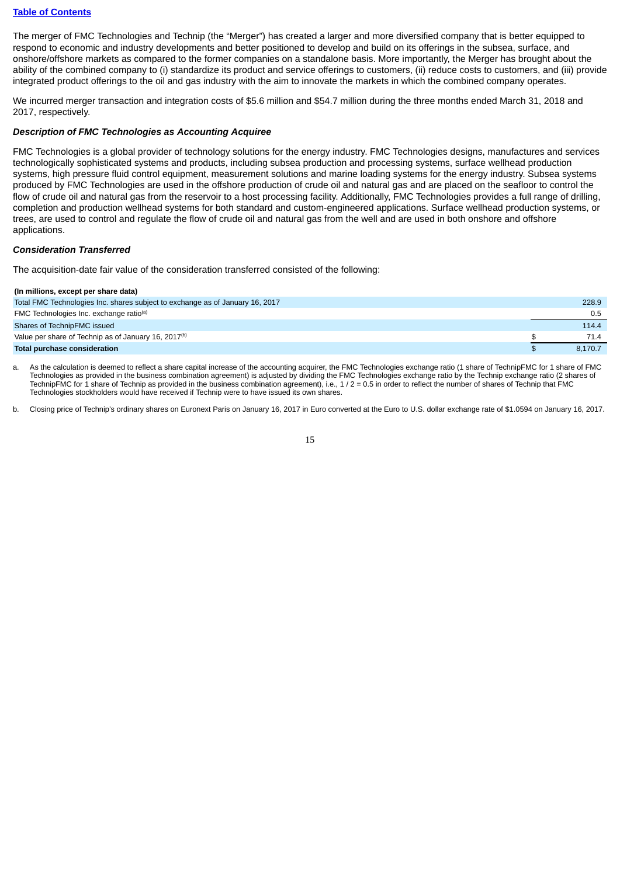The merger of FMC Technologies and Technip (the "Merger") has created a larger and more diversified company that is better equipped to respond to economic and industry developments and better positioned to develop and build on its offerings in the subsea, surface, and onshore/offshore markets as compared to the former companies on a standalone basis. More importantly, the Merger has brought about the ability of the combined company to (i) standardize its product and service offerings to customers, (ii) reduce costs to customers, and (iii) provide integrated product offerings to the oil and gas industry with the aim to innovate the markets in which the combined company operates.

We incurred merger transaction and integration costs of \$5.6 million and \$54.7 million during the three months ended March 31, 2018 and 2017, respectively.

#### *Description of FMC Technologies as Accounting Acquiree*

FMC Technologies is a global provider of technology solutions for the energy industry. FMC Technologies designs, manufactures and services technologically sophisticated systems and products, including subsea production and processing systems, surface wellhead production systems, high pressure fluid control equipment, measurement solutions and marine loading systems for the energy industry. Subsea systems produced by FMC Technologies are used in the offshore production of crude oil and natural gas and are placed on the seafloor to control the flow of crude oil and natural gas from the reservoir to a host processing facility. Additionally, FMC Technologies provides a full range of drilling, completion and production wellhead systems for both standard and custom-engineered applications. Surface wellhead production systems, or trees, are used to control and regulate the flow of crude oil and natural gas from the well and are used in both onshore and offshore applications.

#### *Consideration Transferred*

The acquisition-date fair value of the consideration transferred consisted of the following:

#### **(In millions, except per share data)**

| Total FMC Technologies Inc. shares subject to exchange as of January 16, 2017 | 228.9   |
|-------------------------------------------------------------------------------|---------|
| FMC Technologies Inc. exchange ratio <sup>(a)</sup>                           | 0.5     |
| Shares of TechnipFMC issued                                                   | 114.4   |
| Value per share of Technip as of January 16, 2017 <sup>(b)</sup>              |         |
| Total purchase consideration                                                  | 8.170.7 |

As the calculation is deemed to reflect a share capital increase of the accounting acquirer, the FMC Technologies exchange ratio (1 share of TechnipFMC for 1 share of FMC Technologies as provided in the business combination agreement) is adjusted by dividing the FMC Technologies exchange ratio by the Technip exchange ratio (2 shares of TechnipFMC for 1 share of Technip as provided in the business combination agreement), i.e.,  $1/2 = 0.5$  in order to reflect the number of shares of Technip that FMC Technologies stockholders would have received if Technip were to have issued its own shares.

b. Closing price of Technip's ordinary shares on Euronext Paris on January 16, 2017 in Euro converted at the Euro to U.S. dollar exchange rate of \$1.0594 on January 16, 2017.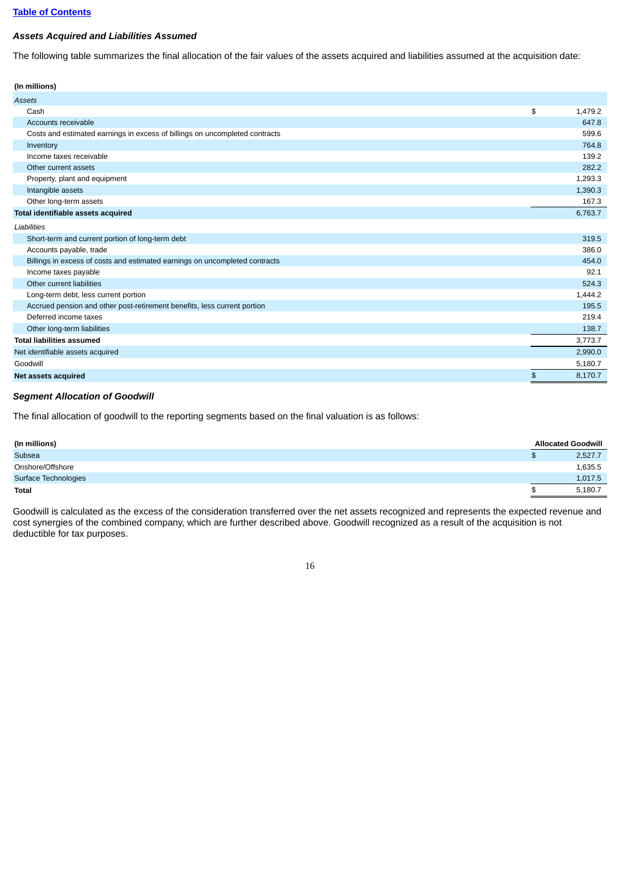## *Assets Acquired and Liabilities Assumed*

The following table summarizes the final allocation of the fair values of the assets acquired and liabilities assumed at the acquisition date:

| (In millions)                                                               |               |
|-----------------------------------------------------------------------------|---------------|
| <b>Assets</b>                                                               |               |
| Cash                                                                        | \$<br>1,479.2 |
| Accounts receivable                                                         | 647.8         |
| Costs and estimated earnings in excess of billings on uncompleted contracts | 599.6         |
| Inventory                                                                   | 764.8         |
| Income taxes receivable                                                     | 139.2         |
| Other current assets                                                        | 282.2         |
| Property, plant and equipment                                               | 1.293.3       |
| Intangible assets                                                           | 1,390.3       |
| Other long-term assets                                                      | 167.3         |
| Total identifiable assets acquired                                          | 6.763.7       |
| Liabilities                                                                 |               |
| Short-term and current portion of long-term debt                            | 319.5         |
| Accounts payable, trade                                                     | 386.0         |
| Billings in excess of costs and estimated earnings on uncompleted contracts | 454.0         |
| Income taxes payable                                                        | 92.1          |
| Other current liabilities                                                   | 524.3         |
| Long-term debt, less current portion                                        | 1,444.2       |
| Accrued pension and other post-retirement benefits, less current portion    | 195.5         |
| Deferred income taxes                                                       | 219.4         |
| Other long-term liabilities                                                 | 138.7         |
| <b>Total liabilities assumed</b>                                            | 3.773.7       |
| Net identifiable assets acquired                                            | 2,990.0       |
| Goodwill                                                                    | 5,180.7       |
| Net assets acquired                                                         | \$<br>8.170.7 |

#### *Segment Allocation of Goodwill*

The final allocation of goodwill to the reporting segments based on the final valuation is as follows:

| (In millions)        | <b>Allocated Goodwill</b> |
|----------------------|---------------------------|
| Subsea               | \$<br>2,527.7             |
| Onshore/Offshore     | 1,635.5                   |
| Surface Technologies | 1,017.5                   |
| <b>Total</b>         | \$<br>5,180.7             |

Goodwill is calculated as the excess of the consideration transferred over the net assets recognized and represents the expected revenue and cost synergies of the combined company, which are further described above. Goodwill recognized as a result of the acquisition is not deductible for tax purposes.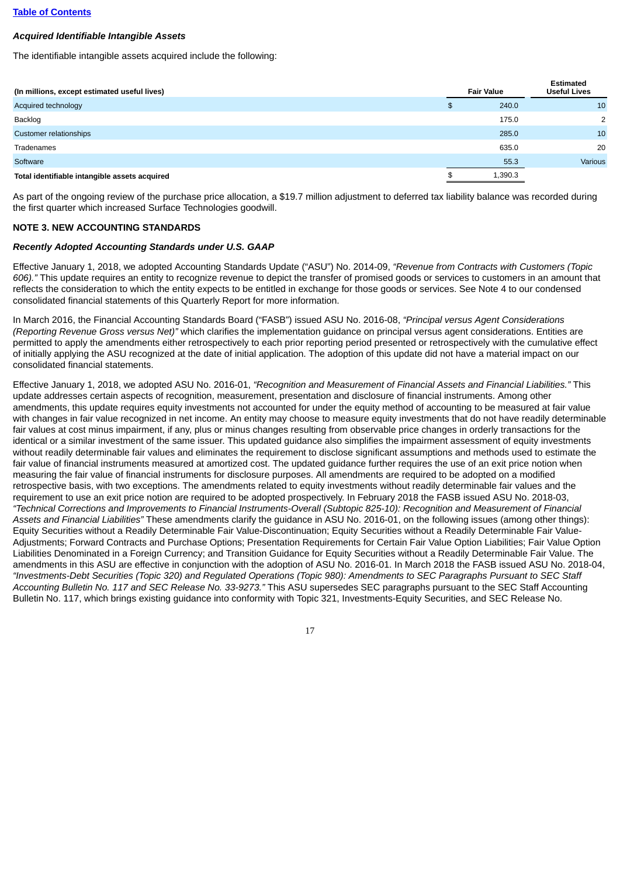## *Acquired Identifiable Intangible Assets*

The identifiable intangible assets acquired include the following:

| (In millions, except estimated useful lives)  | <b>Fair Value</b> |         | <b>Estimated</b><br><b>Useful Lives</b> |
|-----------------------------------------------|-------------------|---------|-----------------------------------------|
| Acquired technology                           | \$                | 240.0   | 10                                      |
| Backlog                                       |                   | 175.0   | 2                                       |
| <b>Customer relationships</b>                 |                   | 285.0   | 10                                      |
| Tradenames                                    |                   | 635.0   | 20                                      |
| Software                                      |                   | 55.3    | <b>Various</b>                          |
| Total identifiable intangible assets acquired |                   | 1,390.3 |                                         |

As part of the ongoing review of the purchase price allocation, a \$19.7 million adjustment to deferred tax liability balance was recorded during the first quarter which increased Surface Technologies goodwill.

#### **NOTE 3. NEW ACCOUNTING STANDARDS**

#### *Recently Adopted Accounting Standards under U.S. GAAP*

Effective January 1, 2018, we adopted Accounting Standards Update ("ASU") No. 2014-09, *"Revenue from Contracts with Customers (Topic 606)."* This update requires an entity to recognize revenue to depict the transfer of promised goods or services to customers in an amount that reflects the consideration to which the entity expects to be entitled in exchange for those goods or services. See Note 4 to our condensed consolidated financial statements of this Quarterly Report for more information.

In March 2016, the Financial Accounting Standards Board ("FASB") issued ASU No. 2016-08, *"Principal versus Agent Considerations (Reporting Revenue Gross versus Net)"* which clarifies the implementation guidance on principal versus agent considerations. Entities are permitted to apply the amendments either retrospectively to each prior reporting period presented or retrospectively with the cumulative effect of initially applying the ASU recognized at the date of initial application. The adoption of this update did not have a material impact on our consolidated financial statements.

Effective January 1, 2018, we adopted ASU No. 2016-01, *"Recognition and Measurement of Financial Assets and Financial Liabilities."* This update addresses certain aspects of recognition, measurement, presentation and disclosure of financial instruments. Among other amendments, this update requires equity investments not accounted for under the equity method of accounting to be measured at fair value with changes in fair value recognized in net income. An entity may choose to measure equity investments that do not have readily determinable fair values at cost minus impairment, if any, plus or minus changes resulting from observable price changes in orderly transactions for the identical or a similar investment of the same issuer. This updated guidance also simplifies the impairment assessment of equity investments without readily determinable fair values and eliminates the requirement to disclose significant assumptions and methods used to estimate the fair value of financial instruments measured at amortized cost. The updated quidance further requires the use of an exit price notion when measuring the fair value of financial instruments for disclosure purposes. All amendments are required to be adopted on a modified retrospective basis, with two exceptions. The amendments related to equity investments without readily determinable fair values and the requirement to use an exit price notion are required to be adopted prospectively. In February 2018 the FASB issued ASU No. 2018-03, "Technical Corrections and Improvements to Financial Instruments-Overall (Subtopic 825-10): Recognition and Measurement of Financial *Assets and Financial Liabilities"* These amendments clarify the guidance in ASU No. 2016-01, on the following issues (among other things): Equity Securities without a Readily Determinable Fair Value-Discontinuation; Equity Securities without a Readily Determinable Fair Value-Adjustments; Forward Contracts and Purchase Options; Presentation Requirements for Certain Fair Value Option Liabilities; Fair Value Option Liabilities Denominated in a Foreign Currency; and Transition Guidance for Equity Securities without a Readily Determinable Fair Value. The amendments in this ASU are effective in conjunction with the adoption of ASU No. 2016-01. In March 2018 the FASB issued ASU No. 2018-04, "Investments-Debt Securities (Topic 320) and Regulated Operations (Topic 980): Amendments to SEC Paragraphs Pursuant to SEC Staff *Accounting Bulletin No. 117 and SEC Release No. 33-9273."* This ASU supersedes SEC paragraphs pursuant to the SEC Staff Accounting Bulletin No. 117, which brings existing guidance into conformity with Topic 321, Investments-Equity Securities, and SEC Release No.

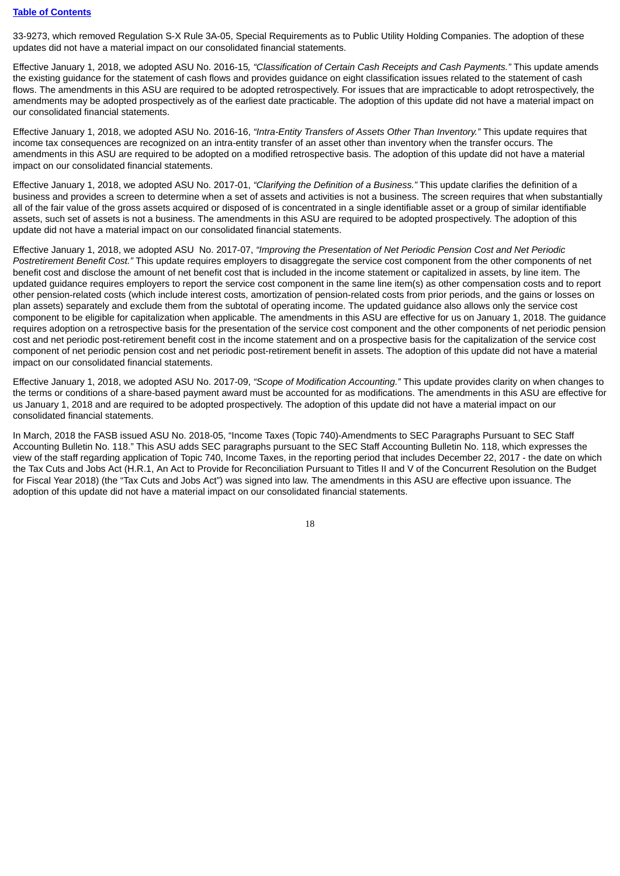33-9273, which removed Regulation S-X Rule 3A-05, Special Requirements as to Public Utility Holding Companies. The adoption of these updates did not have a material impact on our consolidated financial statements.

Effective January 1, 2018, we adopted ASU No. 2016-15*, "Classification of Certain Cash Receipts and Cash Payments."* This update amends the existing guidance for the statement of cash flows and provides guidance on eight classification issues related to the statement of cash flows. The amendments in this ASU are required to be adopted retrospectively. For issues that are impracticable to adopt retrospectively, the amendments may be adopted prospectively as of the earliest date practicable. The adoption of this update did not have a material impact on our consolidated financial statements.

Effective January 1, 2018, we adopted ASU No. 2016-16, *"Intra-Entity Transfers of Assets Other Than Inventory."* This update requires that income tax consequences are recognized on an intra-entity transfer of an asset other than inventory when the transfer occurs. The amendments in this ASU are required to be adopted on a modified retrospective basis. The adoption of this update did not have a material impact on our consolidated financial statements.

Effective January 1, 2018, we adopted ASU No. 2017-01, *"Clarifying the Definition of a Business."* This update clarifies the definition of a business and provides a screen to determine when a set of assets and activities is not a business. The screen requires that when substantially all of the fair value of the gross assets acquired or disposed of is concentrated in a single identifiable asset or a group of similar identifiable assets, such set of assets is not a business. The amendments in this ASU are required to be adopted prospectively. The adoption of this update did not have a material impact on our consolidated financial statements.

Effective January 1, 2018, we adopted ASU No. 2017-07, *"Improving the Presentation of Net Periodic Pension Cost and Net Periodic Postretirement Benefit Cost."* This update requires employers to disaggregate the service cost component from the other components of net benefit cost and disclose the amount of net benefit cost that is included in the income statement or capitalized in assets, by line item. The updated guidance requires employers to report the service cost component in the same line item(s) as other compensation costs and to report other pension-related costs (which include interest costs, amortization of pension-related costs from prior periods, and the gains or losses on plan assets) separately and exclude them from the subtotal of operating income. The updated guidance also allows only the service cost component to be eligible for capitalization when applicable. The amendments in this ASU are effective for us on January 1, 2018. The guidance requires adoption on a retrospective basis for the presentation of the service cost component and the other components of net periodic pension cost and net periodic post-retirement benefit cost in the income statement and on a prospective basis for the capitalization of the service cost component of net periodic pension cost and net periodic post-retirement benefit in assets. The adoption of this update did not have a material impact on our consolidated financial statements.

Effective January 1, 2018, we adopted ASU No. 2017-09, *"Scope of Modification Accounting."* This update provides clarity on when changes to the terms or conditions of a share-based payment award must be accounted for as modifications. The amendments in this ASU are effective for us January 1, 2018 and are required to be adopted prospectively. The adoption of this update did not have a material impact on our consolidated financial statements.

In March, 2018 the FASB issued ASU No. 2018-05, "Income Taxes (Topic 740)-Amendments to SEC Paragraphs Pursuant to SEC Staff Accounting Bulletin No. 118." This ASU adds SEC paragraphs pursuant to the SEC Staff Accounting Bulletin No. 118, which expresses the view of the staff regarding application of Topic 740, Income Taxes, in the reporting period that includes December 22, 2017 - the date on which the Tax Cuts and Jobs Act (H.R.1, An Act to Provide for Reconciliation Pursuant to Titles II and V of the Concurrent Resolution on the Budget for Fiscal Year 2018) (the "Tax Cuts and Jobs Act") was signed into law. The amendments in this ASU are effective upon issuance. The adoption of this update did not have a material impact on our consolidated financial statements.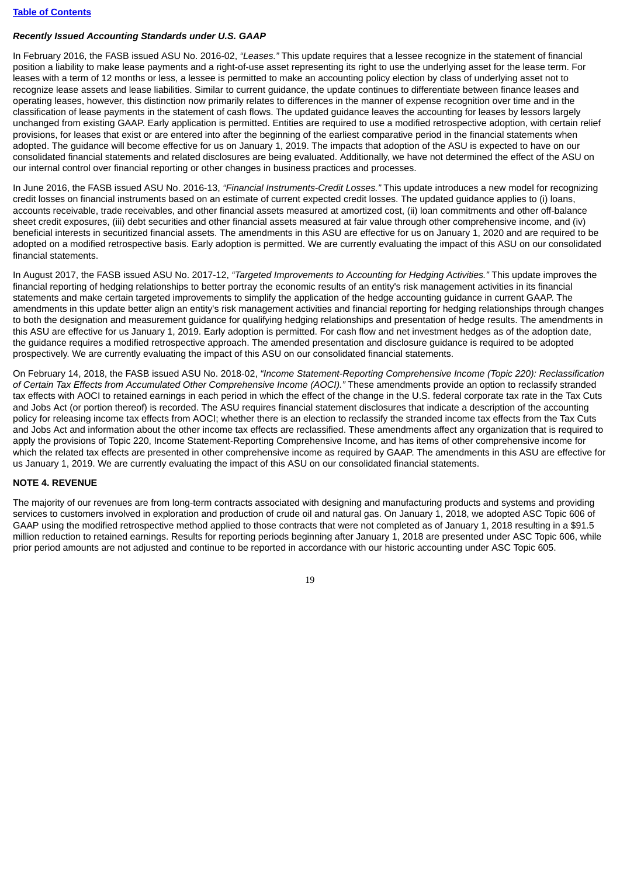#### *Recently Issued Accounting Standards under U.S. GAAP*

In February 2016, the FASB issued ASU No. 2016-02, *"Leases."* This update requires that a lessee recognize in the statement of financial position a liability to make lease payments and a right-of-use asset representing its right to use the underlying asset for the lease term. For leases with a term of 12 months or less, a lessee is permitted to make an accounting policy election by class of underlying asset not to recognize lease assets and lease liabilities. Similar to current guidance, the update continues to differentiate between finance leases and operating leases, however, this distinction now primarily relates to differences in the manner of expense recognition over time and in the classification of lease payments in the statement of cash flows. The updated guidance leaves the accounting for leases by lessors largely unchanged from existing GAAP. Early application is permitted. Entities are required to use a modified retrospective adoption, with certain relief provisions, for leases that exist or are entered into after the beginning of the earliest comparative period in the financial statements when adopted. The guidance will become effective for us on January 1, 2019. The impacts that adoption of the ASU is expected to have on our consolidated financial statements and related disclosures are being evaluated. Additionally, we have not determined the effect of the ASU on our internal control over financial reporting or other changes in business practices and processes.

In June 2016, the FASB issued ASU No. 2016-13, *"Financial Instruments*-*Credit Losses."* This update introduces a new model for recognizing credit losses on financial instruments based on an estimate of current expected credit losses. The updated guidance applies to (i) loans, accounts receivable, trade receivables, and other financial assets measured at amortized cost, (ii) loan commitments and other off-balance sheet credit exposures, (iii) debt securities and other financial assets measured at fair value through other comprehensive income, and (iv) beneficial interests in securitized financial assets. The amendments in this ASU are effective for us on January 1, 2020 and are required to be adopted on a modified retrospective basis. Early adoption is permitted. We are currently evaluating the impact of this ASU on our consolidated financial statements.

In August 2017, the FASB issued ASU No. 2017-12, *"Targeted Improvements to Accounting for Hedging Activities."* This update improves the financial reporting of hedging relationships to better portray the economic results of an entity's risk management activities in its financial statements and make certain targeted improvements to simplify the application of the hedge accounting guidance in current GAAP. The amendments in this update better align an entity's risk management activities and financial reporting for hedging relationships through changes to both the designation and measurement guidance for qualifying hedging relationships and presentation of hedge results. The amendments in this ASU are effective for us January 1, 2019. Early adoption is permitted. For cash flow and net investment hedges as of the adoption date, the guidance requires a modified retrospective approach. The amended presentation and disclosure guidance is required to be adopted prospectively. We are currently evaluating the impact of this ASU on our consolidated financial statements.

On February 14, 2018, the FASB issued ASU No. 2018-02, *"Income Statement-Reporting Comprehensive Income (Topic 220): Reclassification of Certain Tax Effects from Accumulated Other Comprehensive Income (AOCI)."* These amendments provide an option to reclassify stranded tax effects with AOCI to retained earnings in each period in which the effect of the change in the U.S. federal corporate tax rate in the Tax Cuts and Jobs Act (or portion thereof) is recorded. The ASU requires financial statement disclosures that indicate a description of the accounting policy for releasing income tax effects from AOCI; whether there is an election to reclassify the stranded income tax effects from the Tax Cuts and Jobs Act and information about the other income tax effects are reclassified. These amendments affect any organization that is required to apply the provisions of Topic 220, Income Statement-Reporting Comprehensive Income, and has items of other comprehensive income for which the related tax effects are presented in other comprehensive income as required by GAAP. The amendments in this ASU are effective for us January 1, 2019. We are currently evaluating the impact of this ASU on our consolidated financial statements.

#### **NOTE 4. REVENUE**

The majority of our revenues are from long-term contracts associated with designing and manufacturing products and systems and providing services to customers involved in exploration and production of crude oil and natural gas. On January 1, 2018, we adopted ASC Topic 606 of GAAP using the modified retrospective method applied to those contracts that were not completed as of January 1, 2018 resulting in a \$91.5 million reduction to retained earnings. Results for reporting periods beginning after January 1, 2018 are presented under ASC Topic 606, while prior period amounts are not adjusted and continue to be reported in accordance with our historic accounting under ASC Topic 605.

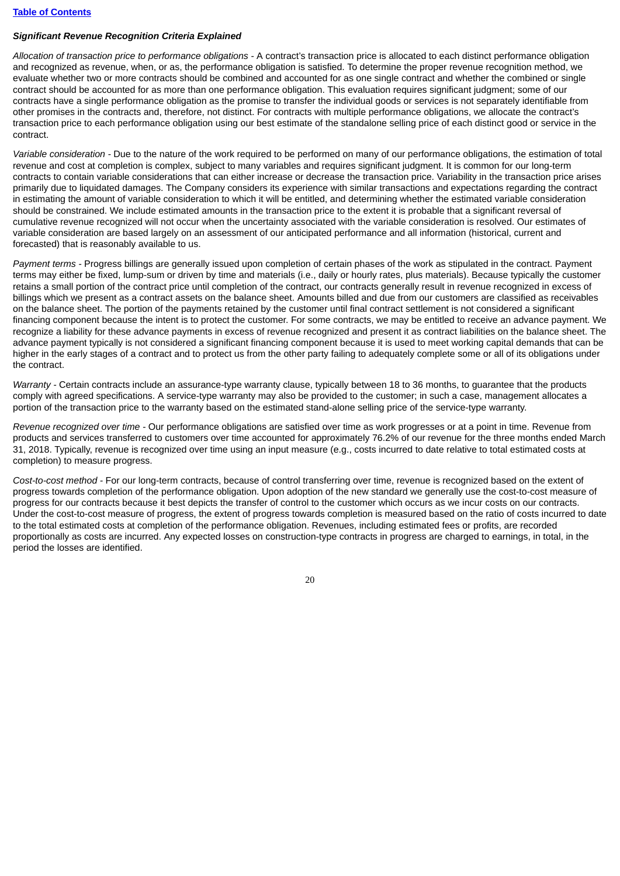#### *Significant Revenue Recognition Criteria Explained*

*Allocation of transaction price to performance obligations -* A contract's transaction price is allocated to each distinct performance obligation and recognized as revenue, when, or as, the performance obligation is satisfied. To determine the proper revenue recognition method, we evaluate whether two or more contracts should be combined and accounted for as one single contract and whether the combined or single contract should be accounted for as more than one performance obligation. This evaluation requires significant judgment; some of our contracts have a single performance obligation as the promise to transfer the individual goods or services is not separately identifiable from other promises in the contracts and, therefore, not distinct. For contracts with multiple performance obligations, we allocate the contract's transaction price to each performance obligation using our best estimate of the standalone selling price of each distinct good or service in the contract.

*Variable consideration -* Due to the nature of the work required to be performed on many of our performance obligations, the estimation of total revenue and cost at completion is complex, subject to many variables and requires significant judgment. It is common for our long-term contracts to contain variable considerations that can either increase or decrease the transaction price. Variability in the transaction price arises primarily due to liquidated damages. The Company considers its experience with similar transactions and expectations regarding the contract in estimating the amount of variable consideration to which it will be entitled, and determining whether the estimated variable consideration should be constrained. We include estimated amounts in the transaction price to the extent it is probable that a significant reversal of cumulative revenue recognized will not occur when the uncertainty associated with the variable consideration is resolved. Our estimates of variable consideration are based largely on an assessment of our anticipated performance and all information (historical, current and forecasted) that is reasonably available to us.

*Payment terms -* Progress billings are generally issued upon completion of certain phases of the work as stipulated in the contract. Payment terms may either be fixed, lump-sum or driven by time and materials (i.e., daily or hourly rates, plus materials). Because typically the customer retains a small portion of the contract price until completion of the contract, our contracts generally result in revenue recognized in excess of billings which we present as a contract assets on the balance sheet. Amounts billed and due from our customers are classified as receivables on the balance sheet. The portion of the payments retained by the customer until final contract settlement is not considered a significant financing component because the intent is to protect the customer. For some contracts, we may be entitled to receive an advance payment. We recognize a liability for these advance payments in excess of revenue recognized and present it as contract liabilities on the balance sheet. The advance payment typically is not considered a significant financing component because it is used to meet working capital demands that can be higher in the early stages of a contract and to protect us from the other party failing to adequately complete some or all of its obligations under the contract.

*Warranty -* Certain contracts include an assurance-type warranty clause, typically between 18 to 36 months, to guarantee that the products comply with agreed specifications. A service-type warranty may also be provided to the customer; in such a case, management allocates a portion of the transaction price to the warranty based on the estimated stand-alone selling price of the service-type warranty.

*Revenue recognized over time -* Our performance obligations are satisfied over time as work progresses or at a point in time. Revenue from products and services transferred to customers over time accounted for approximately 76.2% of our revenue for the three months ended March 31, 2018. Typically, revenue is recognized over time using an input measure (e.g., costs incurred to date relative to total estimated costs at completion) to measure progress.

*Cost-to-cost method -* For our long-term contracts, because of control transferring over time, revenue is recognized based on the extent of progress towards completion of the performance obligation. Upon adoption of the new standard we generally use the cost-to-cost measure of progress for our contracts because it best depicts the transfer of control to the customer which occurs as we incur costs on our contracts. Under the cost-to-cost measure of progress, the extent of progress towards completion is measured based on the ratio of costs incurred to date to the total estimated costs at completion of the performance obligation. Revenues, including estimated fees or profits, are recorded proportionally as costs are incurred. Any expected losses on construction-type contracts in progress are charged to earnings, in total, in the period the losses are identified.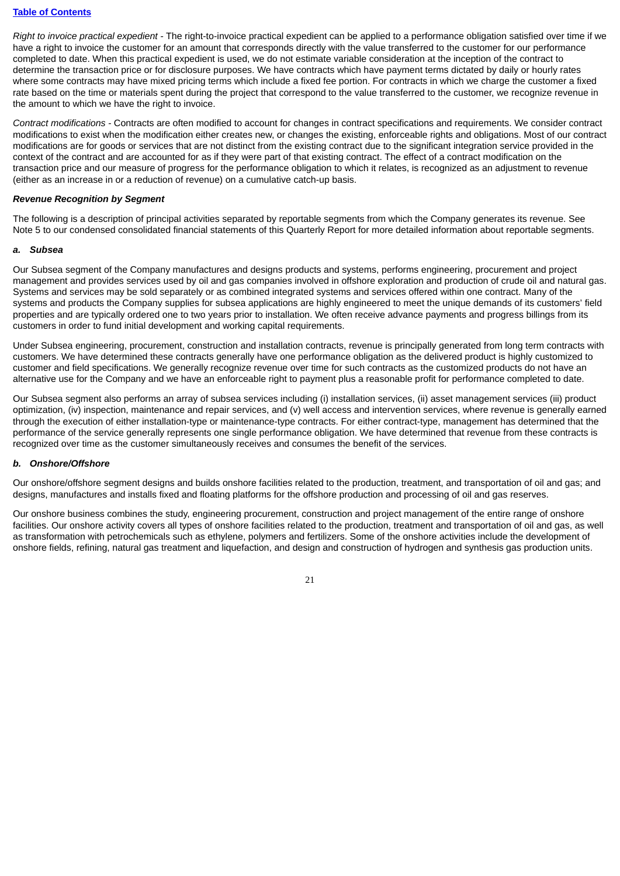*Right to invoice practical expedient -* The right-to-invoice practical expedient can be applied to a performance obligation satisfied over time if we have a right to invoice the customer for an amount that corresponds directly with the value transferred to the customer for our performance completed to date. When this practical expedient is used, we do not estimate variable consideration at the inception of the contract to determine the transaction price or for disclosure purposes. We have contracts which have payment terms dictated by daily or hourly rates where some contracts may have mixed pricing terms which include a fixed fee portion. For contracts in which we charge the customer a fixed rate based on the time or materials spent during the project that correspond to the value transferred to the customer, we recognize revenue in the amount to which we have the right to invoice.

*Contract modifications -* Contracts are often modified to account for changes in contract specifications and requirements. We consider contract modifications to exist when the modification either creates new, or changes the existing, enforceable rights and obligations. Most of our contract modifications are for goods or services that are not distinct from the existing contract due to the significant integration service provided in the context of the contract and are accounted for as if they were part of that existing contract. The effect of a contract modification on the transaction price and our measure of progress for the performance obligation to which it relates, is recognized as an adjustment to revenue (either as an increase in or a reduction of revenue) on a cumulative catch-up basis.

#### *Revenue Recognition by Segment*

The following is a description of principal activities separated by reportable segments from which the Company generates its revenue. See Note 5 to our condensed consolidated financial statements of this Quarterly Report for more detailed information about reportable segments.

#### *a. Subsea*

Our Subsea segment of the Company manufactures and designs products and systems, performs engineering, procurement and project management and provides services used by oil and gas companies involved in offshore exploration and production of crude oil and natural gas. Systems and services may be sold separately or as combined integrated systems and services offered within one contract. Many of the systems and products the Company supplies for subsea applications are highly engineered to meet the unique demands of its customers' field properties and are typically ordered one to two years prior to installation. We often receive advance payments and progress billings from its customers in order to fund initial development and working capital requirements.

Under Subsea engineering, procurement, construction and installation contracts, revenue is principally generated from long term contracts with customers. We have determined these contracts generally have one performance obligation as the delivered product is highly customized to customer and field specifications. We generally recognize revenue over time for such contracts as the customized products do not have an alternative use for the Company and we have an enforceable right to payment plus a reasonable profit for performance completed to date.

Our Subsea segment also performs an array of subsea services including (i) installation services, (ii) asset management services (iii) product optimization, (iv) inspection, maintenance and repair services, and (v) well access and intervention services, where revenue is generally earned through the execution of either installation-type or maintenance-type contracts. For either contract-type, management has determined that the performance of the service generally represents one single performance obligation. We have determined that revenue from these contracts is recognized over time as the customer simultaneously receives and consumes the benefit of the services.

#### *b. Onshore/Offshore*

Our onshore/offshore segment designs and builds onshore facilities related to the production, treatment, and transportation of oil and gas; and designs, manufactures and installs fixed and floating platforms for the offshore production and processing of oil and gas reserves.

Our onshore business combines the study, engineering procurement, construction and project management of the entire range of onshore facilities. Our onshore activity covers all types of onshore facilities related to the production, treatment and transportation of oil and gas, as well as transformation with petrochemicals such as ethylene, polymers and fertilizers. Some of the onshore activities include the development of onshore fields, refining, natural gas treatment and liquefaction, and design and construction of hydrogen and synthesis gas production units.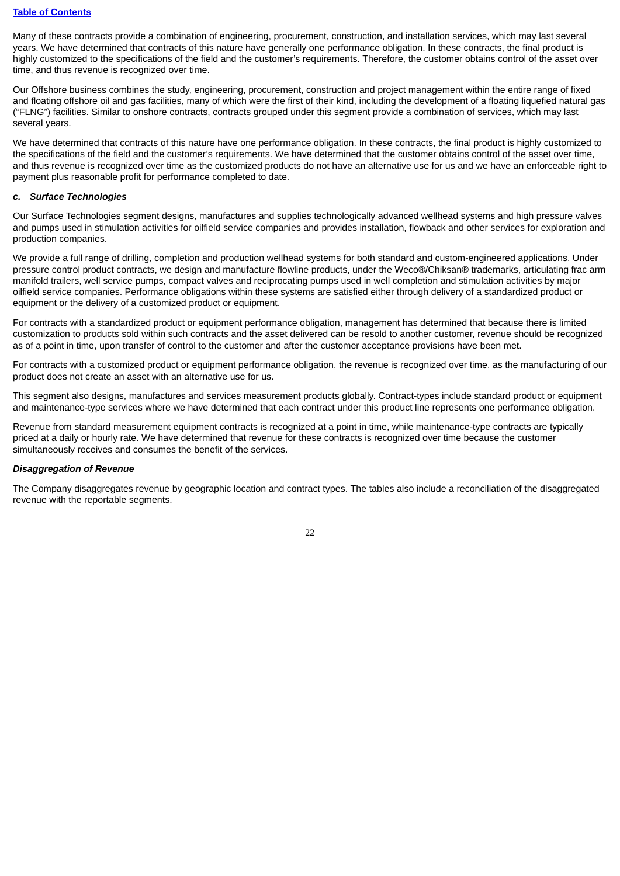Many of these contracts provide a combination of engineering, procurement, construction, and installation services, which may last several years. We have determined that contracts of this nature have generally one performance obligation. In these contracts, the final product is highly customized to the specifications of the field and the customer's requirements. Therefore, the customer obtains control of the asset over time, and thus revenue is recognized over time.

Our Offshore business combines the study, engineering, procurement, construction and project management within the entire range of fixed and floating offshore oil and gas facilities, many of which were the first of their kind, including the development of a floating liquefied natural gas ("FLNG") facilities. Similar to onshore contracts, contracts grouped under this segment provide a combination of services, which may last several years.

We have determined that contracts of this nature have one performance obligation. In these contracts, the final product is highly customized to the specifications of the field and the customer's requirements. We have determined that the customer obtains control of the asset over time, and thus revenue is recognized over time as the customized products do not have an alternative use for us and we have an enforceable right to payment plus reasonable profit for performance completed to date.

#### *c. Surface Technologies*

Our Surface Technologies segment designs, manufactures and supplies technologically advanced wellhead systems and high pressure valves and pumps used in stimulation activities for oilfield service companies and provides installation, flowback and other services for exploration and production companies.

We provide a full range of drilling, completion and production wellhead systems for both standard and custom-engineered applications. Under pressure control product contracts, we design and manufacture flowline products, under the Weco®/Chiksan® trademarks, articulating frac arm manifold trailers, well service pumps, compact valves and reciprocating pumps used in well completion and stimulation activities by major oilfield service companies. Performance obligations within these systems are satisfied either through delivery of a standardized product or equipment or the delivery of a customized product or equipment.

For contracts with a standardized product or equipment performance obligation, management has determined that because there is limited customization to products sold within such contracts and the asset delivered can be resold to another customer, revenue should be recognized as of a point in time, upon transfer of control to the customer and after the customer acceptance provisions have been met.

For contracts with a customized product or equipment performance obligation, the revenue is recognized over time, as the manufacturing of our product does not create an asset with an alternative use for us.

This segment also designs, manufactures and services measurement products globally. Contract-types include standard product or equipment and maintenance-type services where we have determined that each contract under this product line represents one performance obligation.

Revenue from standard measurement equipment contracts is recognized at a point in time, while maintenance-type contracts are typically priced at a daily or hourly rate. We have determined that revenue for these contracts is recognized over time because the customer simultaneously receives and consumes the benefit of the services.

#### *Disaggregation of Revenue*

The Company disaggregates revenue by geographic location and contract types. The tables also include a reconciliation of the disaggregated revenue with the reportable segments.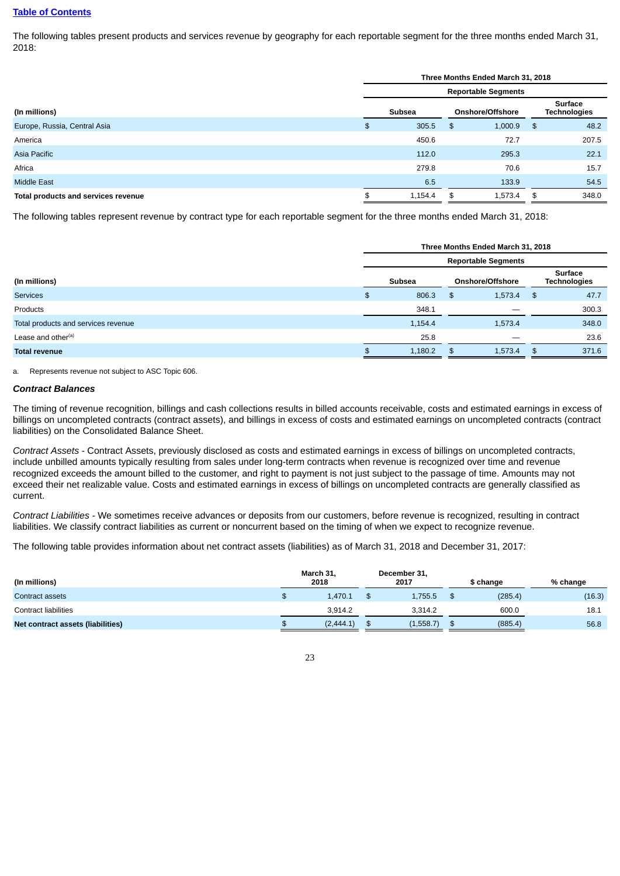The following tables present products and services revenue by geography for each reportable segment for the three months ended March 31, 2018:

|                                     |                            | Three Months Ended March 31, 2018 |    |         |      |                                       |  |  |
|-------------------------------------|----------------------------|-----------------------------------|----|---------|------|---------------------------------------|--|--|
|                                     | <b>Reportable Segments</b> |                                   |    |         |      |                                       |  |  |
| (In millions)                       |                            | <b>Subsea</b><br>Onshore/Offshore |    |         |      | <b>Surface</b><br><b>Technologies</b> |  |  |
| Europe, Russia, Central Asia        | \$                         | 305.5                             | \$ | 1,000.9 | - \$ | 48.2                                  |  |  |
| America                             |                            | 450.6                             |    | 72.7    |      | 207.5                                 |  |  |
| Asia Pacific                        |                            | 112.0                             |    | 295.3   |      | 22.1                                  |  |  |
| Africa                              |                            | 279.8                             |    | 70.6    |      | 15.7                                  |  |  |
| <b>Middle East</b>                  |                            | 6.5                               |    | 133.9   |      | 54.5                                  |  |  |
| Total products and services revenue |                            | 1,154.4                           | \$ | 1,573.4 | \$   | 348.0                                 |  |  |

The following tables represent revenue by contract type for each reportable segment for the three months ended March 31, 2018:

|                                     |                            | Three Months Ended March 31, 2018 |         |    |         |                                       |       |  |  |  |
|-------------------------------------|----------------------------|-----------------------------------|---------|----|---------|---------------------------------------|-------|--|--|--|
|                                     | <b>Reportable Segments</b> |                                   |         |    |         |                                       |       |  |  |  |
| (In millions)                       |                            | <b>Subsea</b><br>Onshore/Offshore |         |    |         | <b>Surface</b><br><b>Technologies</b> |       |  |  |  |
| <b>Services</b>                     | \$                         |                                   | 806.3   | \$ | 1,573.4 | - \$                                  | 47.7  |  |  |  |
| Products                            |                            |                                   | 348.1   |    |         |                                       | 300.3 |  |  |  |
| Total products and services revenue |                            |                                   | 1,154.4 |    | 1,573.4 |                                       | 348.0 |  |  |  |
| Lease and other $(a)$               |                            |                                   | 25.8    |    |         |                                       | 23.6  |  |  |  |
| <b>Total revenue</b>                | \$                         |                                   | 1,180.2 | \$ | 1,573.4 | -\$                                   | 371.6 |  |  |  |

a. Represents revenue not subject to ASC Topic 606.

#### *Contract Balances*

The timing of revenue recognition, billings and cash collections results in billed accounts receivable, costs and estimated earnings in excess of billings on uncompleted contracts (contract assets), and billings in excess of costs and estimated earnings on uncompleted contracts (contract liabilities) on the Consolidated Balance Sheet.

*Contract Assets -* Contract Assets, previously disclosed as costs and estimated earnings in excess of billings on uncompleted contracts, include unbilled amounts typically resulting from sales under long-term contracts when revenue is recognized over time and revenue recognized exceeds the amount billed to the customer, and right to payment is not just subject to the passage of time. Amounts may not exceed their net realizable value. Costs and estimated earnings in excess of billings on uncompleted contracts are generally classified as current.

*Contract Liabilities -* We sometimes receive advances or deposits from our customers, before revenue is recognized, resulting in contract liabilities. We classify contract liabilities as current or noncurrent based on the timing of when we expect to recognize revenue.

The following table provides information about net contract assets (liabilities) as of March 31, 2018 and December 31, 2017:

| (In millions)                     |  | March 31,<br>2018 | December 31,<br>2017 | \$ change     | % change |
|-----------------------------------|--|-------------------|----------------------|---------------|----------|
| Contract assets                   |  | 1.470.1           | 1,755.5              | (285.4)       | (16.3)   |
| <b>Contract liabilities</b>       |  | 3.914.2           | 3.314.2              | 600.0         | 18.1     |
| Net contract assets (liabilities) |  | (2,444.1)         | (1,558.7)            | \$<br>(885.4) | 56.8     |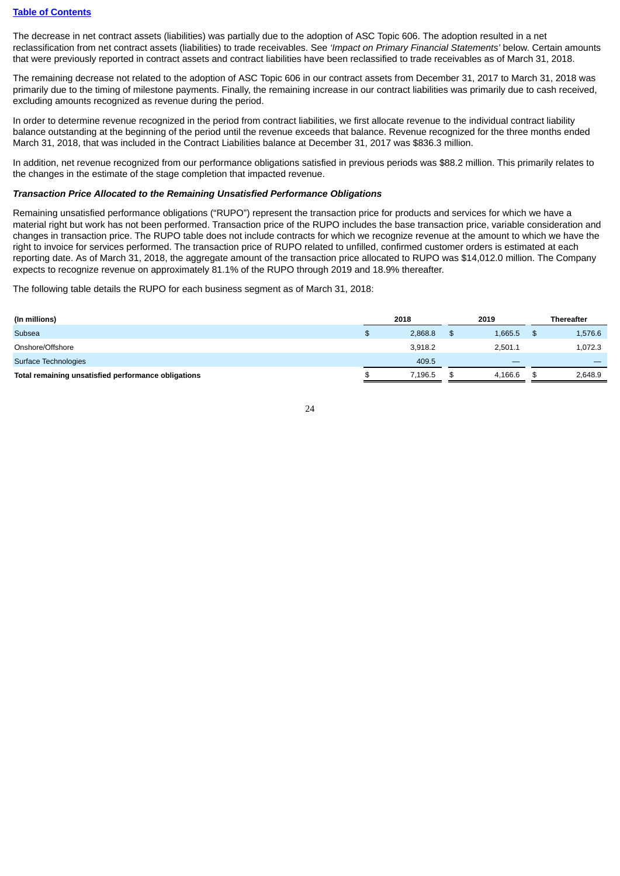The decrease in net contract assets (liabilities) was partially due to the adoption of ASC Topic 606. The adoption resulted in a net reclassification from net contract assets (liabilities) to trade receivables. See *'Impact on Primary Financial Statements'* below. Certain amounts that were previously reported in contract assets and contract liabilities have been reclassified to trade receivables as of March 31, 2018.

The remaining decrease not related to the adoption of ASC Topic 606 in our contract assets from December 31, 2017 to March 31, 2018 was primarily due to the timing of milestone payments. Finally, the remaining increase in our contract liabilities was primarily due to cash received, excluding amounts recognized as revenue during the period.

In order to determine revenue recognized in the period from contract liabilities, we first allocate revenue to the individual contract liability balance outstanding at the beginning of the period until the revenue exceeds that balance. Revenue recognized for the three months ended March 31, 2018, that was included in the Contract Liabilities balance at December 31, 2017 was \$836.3 million.

In addition, net revenue recognized from our performance obligations satisfied in previous periods was \$88.2 million. This primarily relates to the changes in the estimate of the stage completion that impacted revenue.

#### *Transaction Price Allocated to the Remaining Unsatisfied Performance Obligations*

Remaining unsatisfied performance obligations ("RUPO") represent the transaction price for products and services for which we have a material right but work has not been performed. Transaction price of the RUPO includes the base transaction price, variable consideration and changes in transaction price. The RUPO table does not include contracts for which we recognize revenue at the amount to which we have the right to invoice for services performed. The transaction price of RUPO related to unfilled, confirmed customer orders is estimated at each reporting date. As of March 31, 2018, the aggregate amount of the transaction price allocated to RUPO was \$14,012.0 million. The Company expects to recognize revenue on approximately 81.1% of the RUPO through 2019 and 18.9% thereafter.

The following table details the RUPO for each business segment as of March 31, 2018:

| (In millions)                                       | 2018    | 2019         |         |     | <b>Thereafter</b> |  |
|-----------------------------------------------------|---------|--------------|---------|-----|-------------------|--|
| Subsea                                              | 2,868.8 | $\mathbf{f}$ | 1.665.5 | -\$ | 1,576.6           |  |
| Onshore/Offshore                                    | 3,918.2 |              | 2,501.1 |     | 1,072.3           |  |
| Surface Technologies                                | 409.5   |              |         |     |                   |  |
| Total remaining unsatisfied performance obligations | 7.196.5 |              | 4.166.6 | \$  | 2,648.9           |  |
|                                                     |         |              |         |     |                   |  |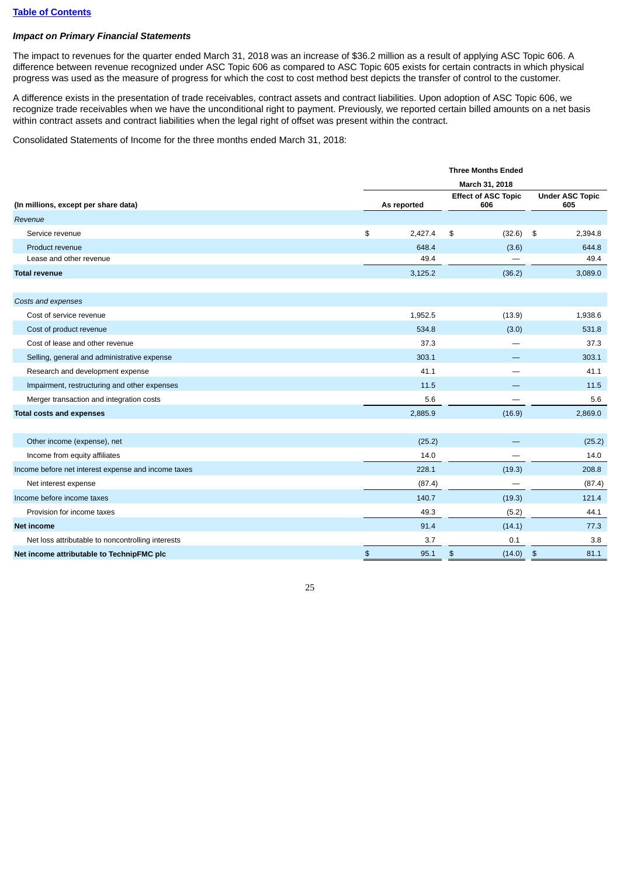#### *Impact on Primary Financial Statements*

The impact to revenues for the quarter ended March 31, 2018 was an increase of \$36.2 million as a result of applying ASC Topic 606. A difference between revenue recognized under ASC Topic 606 as compared to ASC Topic 605 exists for certain contracts in which physical progress was used as the measure of progress for which the cost to cost method best depicts the transfer of control to the customer.

A difference exists in the presentation of trade receivables, contract assets and contract liabilities. Upon adoption of ASC Topic 606, we recognize trade receivables when we have the unconditional right to payment. Previously, we reported certain billed amounts on a net basis within contract assets and contract liabilities when the legal right of offset was present within the contract.

Consolidated Statements of Income for the three months ended March 31, 2018:

|                                                     |                |         |    | <b>Three Months Ended</b>         |               |                               |
|-----------------------------------------------------|----------------|---------|----|-----------------------------------|---------------|-------------------------------|
|                                                     | March 31, 2018 |         |    |                                   |               |                               |
| (In millions, except per share data)                | As reported    |         |    | <b>Effect of ASC Topic</b><br>606 |               | <b>Under ASC Topic</b><br>605 |
| Revenue                                             |                |         |    |                                   |               |                               |
| Service revenue                                     | \$             | 2.427.4 | \$ | (32.6)                            | $\sqrt{5}$    | 2,394.8                       |
| Product revenue                                     |                | 648.4   |    | (3.6)                             |               | 644.8                         |
| Lease and other revenue                             |                | 49.4    |    |                                   |               | 49.4                          |
| <b>Total revenue</b>                                |                | 3,125.2 |    | (36.2)                            |               | 3,089.0                       |
|                                                     |                |         |    |                                   |               |                               |
| Costs and expenses                                  |                |         |    |                                   |               |                               |
| Cost of service revenue                             |                | 1.952.5 |    | (13.9)                            |               | 1,938.6                       |
| Cost of product revenue                             |                | 534.8   |    | (3.0)                             |               | 531.8                         |
| Cost of lease and other revenue                     |                | 37.3    |    |                                   |               | 37.3                          |
| Selling, general and administrative expense         |                | 303.1   |    | –                                 |               | 303.1                         |
| Research and development expense                    |                | 41.1    |    |                                   |               | 41.1                          |
| Impairment, restructuring and other expenses        |                | 11.5    |    |                                   |               | 11.5                          |
| Merger transaction and integration costs            |                | 5.6     |    |                                   |               | 5.6                           |
| <b>Total costs and expenses</b>                     |                | 2,885.9 |    | (16.9)                            |               | 2,869.0                       |
|                                                     |                |         |    |                                   |               |                               |
| Other income (expense), net                         |                | (25.2)  |    |                                   |               | (25.2)                        |
| Income from equity affiliates                       |                | 14.0    |    |                                   |               | 14.0                          |
| Income before net interest expense and income taxes |                | 228.1   |    | (19.3)                            |               | 208.8                         |
| Net interest expense                                |                | (87.4)  |    |                                   |               | (87.4)                        |
| Income before income taxes                          |                | 140.7   |    | (19.3)                            |               | 121.4                         |
| Provision for income taxes                          |                | 49.3    |    | (5.2)                             |               | 44.1                          |
| Net income                                          |                | 91.4    |    | (14.1)                            |               | 77.3                          |
| Net loss attributable to noncontrolling interests   |                | 3.7     |    | 0.1                               |               | 3.8                           |
| Net income attributable to TechnipFMC plc           | $\frac{1}{2}$  | 95.1    | \$ | (14.0)                            | $\frac{1}{2}$ | 81.1                          |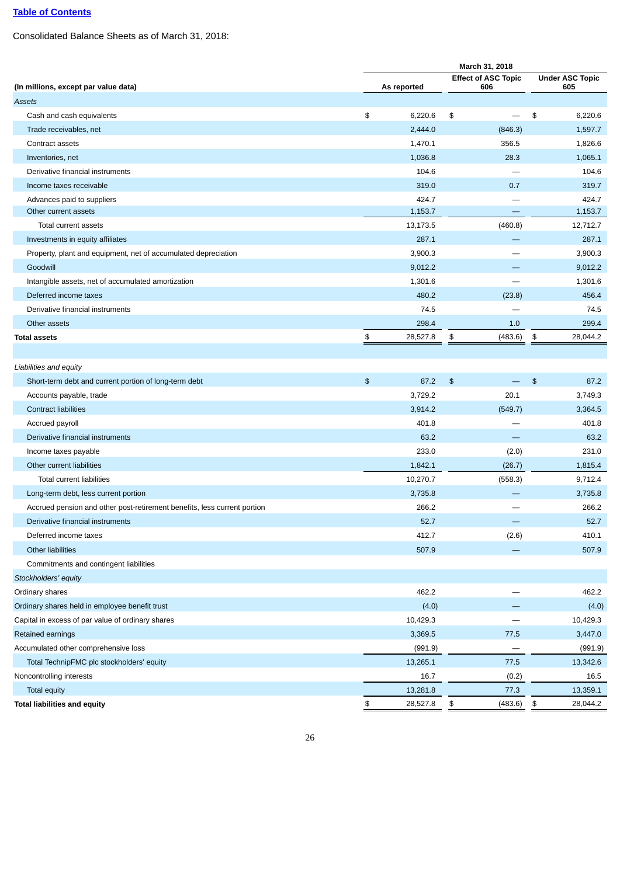Consolidated Balance Sheets as of March 31, 2018:

|                                                                          | March 31, 2018 |             |                |                                   |               |                               |  |
|--------------------------------------------------------------------------|----------------|-------------|----------------|-----------------------------------|---------------|-------------------------------|--|
| (In millions, except par value data)                                     |                | As reported |                | <b>Effect of ASC Topic</b><br>606 |               | <b>Under ASC Topic</b><br>605 |  |
| <b>Assets</b>                                                            |                |             |                |                                   |               |                               |  |
| Cash and cash equivalents                                                | \$             | 6,220.6     | \$             |                                   | \$            | 6,220.6                       |  |
| Trade receivables, net                                                   |                | 2,444.0     |                | (846.3)                           |               | 1,597.7                       |  |
| Contract assets                                                          |                | 1,470.1     |                | 356.5                             |               | 1,826.6                       |  |
| Inventories, net                                                         |                | 1,036.8     |                | 28.3                              |               | 1,065.1                       |  |
| Derivative financial instruments                                         |                | 104.6       |                | $\overline{\phantom{0}}$          |               | 104.6                         |  |
| Income taxes receivable                                                  |                | 319.0       |                | 0.7                               |               | 319.7                         |  |
| Advances paid to suppliers                                               |                | 424.7       |                |                                   |               | 424.7                         |  |
| Other current assets                                                     |                | 1,153.7     |                | -                                 |               | 1,153.7                       |  |
| Total current assets                                                     |                | 13,173.5    |                | (460.8)                           |               | 12,712.7                      |  |
| Investments in equity affiliates                                         |                | 287.1       |                |                                   |               | 287.1                         |  |
| Property, plant and equipment, net of accumulated depreciation           |                | 3,900.3     |                |                                   |               | 3,900.3                       |  |
| Goodwill                                                                 |                | 9,012.2     |                |                                   |               | 9,012.2                       |  |
| Intangible assets, net of accumulated amortization                       |                | 1.301.6     |                |                                   |               | 1,301.6                       |  |
| Deferred income taxes                                                    |                | 480.2       |                | (23.8)                            |               | 456.4                         |  |
| Derivative financial instruments                                         |                | 74.5        |                |                                   |               | 74.5                          |  |
| Other assets                                                             |                | 298.4       |                | 1.0                               |               | 299.4                         |  |
| <b>Total assets</b>                                                      | \$             | 28,527.8    | \$             | (483.6)                           | \$            | 28,044.2                      |  |
|                                                                          |                |             |                |                                   |               |                               |  |
| Liabilities and equity                                                   |                |             |                |                                   |               |                               |  |
| Short-term debt and current portion of long-term debt                    | $\frac{1}{2}$  | 87.2        | $\mathfrak{D}$ |                                   | $\frac{1}{2}$ | 87.2                          |  |
| Accounts payable, trade                                                  |                | 3,729.2     |                | 20.1                              |               | 3,749.3                       |  |
| <b>Contract liabilities</b>                                              |                | 3,914.2     |                | (549.7)                           |               | 3,364.5                       |  |
| Accrued payroll                                                          |                | 401.8       |                |                                   |               | 401.8                         |  |
| Derivative financial instruments                                         |                | 63.2        |                |                                   |               | 63.2                          |  |
| Income taxes payable                                                     |                | 233.0       |                | (2.0)                             |               | 231.0                         |  |
| Other current liabilities                                                |                | 1,842.1     |                | (26.7)                            |               | 1,815.4                       |  |
| <b>Total current liabilities</b>                                         |                | 10,270.7    |                | (558.3)                           |               | 9,712.4                       |  |
| Long-term debt, less current portion                                     |                | 3,735.8     |                |                                   |               | 3,735.8                       |  |
| Accrued pension and other post-retirement benefits, less current portion |                | 266.2       |                |                                   |               | 266.2                         |  |
| Derivative financial instruments                                         |                | 52.7        |                |                                   |               | 52.7                          |  |
| Deferred income taxes                                                    |                | 412.7       |                | (2.6)                             |               | 410.1                         |  |
| <b>Other liabilities</b>                                                 |                | 507.9       |                |                                   |               | 507.9                         |  |
| Commitments and contingent liabilities                                   |                |             |                |                                   |               |                               |  |
| Stockholders' equity                                                     |                |             |                |                                   |               |                               |  |
| Ordinary shares                                                          |                | 462.2       |                |                                   |               | 462.2                         |  |
| Ordinary shares held in employee benefit trust                           |                | (4.0)       |                |                                   |               | (4.0)                         |  |
| Capital in excess of par value of ordinary shares                        |                | 10,429.3    |                |                                   |               | 10,429.3                      |  |
| Retained earnings                                                        |                | 3,369.5     |                | 77.5                              |               | 3,447.0                       |  |
| Accumulated other comprehensive loss                                     |                | (991.9)     |                |                                   |               | (991.9)                       |  |
| Total TechnipFMC plc stockholders' equity                                |                | 13,265.1    |                | 77.5                              |               | 13,342.6                      |  |
| Noncontrolling interests                                                 |                | 16.7        |                | (0.2)                             |               | 16.5                          |  |
| Total equity                                                             |                | 13,281.8    |                | 77.3                              |               | 13,359.1                      |  |
| <b>Total liabilities and equity</b>                                      | \$             | 28,527.8    | \$             | (483.6)                           | \$            | 28,044.2                      |  |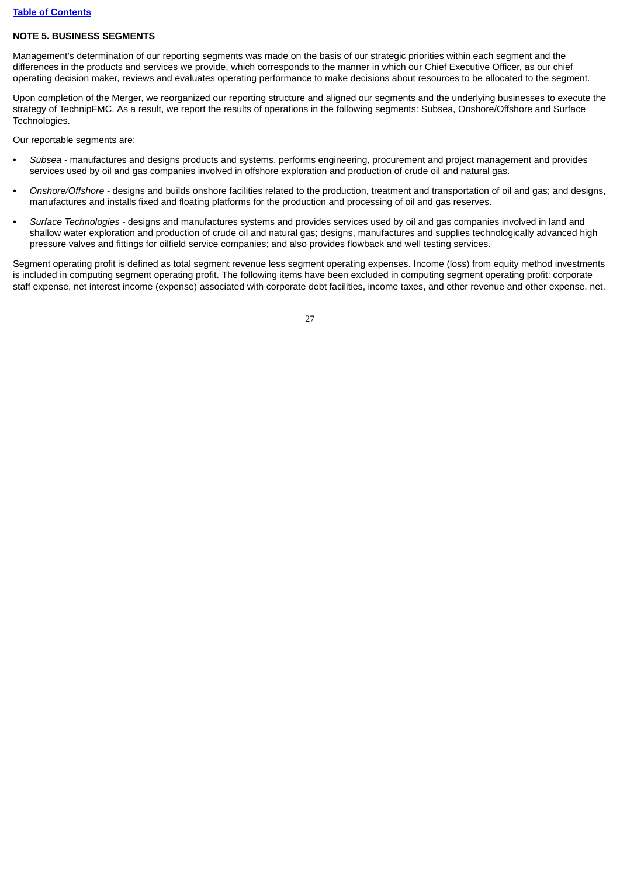## **NOTE 5. BUSINESS SEGMENTS**

Management's determination of our reporting segments was made on the basis of our strategic priorities within each segment and the differences in the products and services we provide, which corresponds to the manner in which our Chief Executive Officer, as our chief operating decision maker, reviews and evaluates operating performance to make decisions about resources to be allocated to the segment.

Upon completion of the Merger, we reorganized our reporting structure and aligned our segments and the underlying businesses to execute the strategy of TechnipFMC. As a result, we report the results of operations in the following segments: Subsea, Onshore/Offshore and Surface Technologies.

Our reportable segments are:

- *Subsea -* manufactures and designs products and systems, performs engineering, procurement and project management and provides services used by oil and gas companies involved in offshore exploration and production of crude oil and natural gas.
- *• Onshore/Offshore -* designs and builds onshore facilities related to the production, treatment and transportation of oil and gas; and designs, manufactures and installs fixed and floating platforms for the production and processing of oil and gas reserves.
- *• Surface Technologies -* designs and manufactures systems and provides services used by oil and gas companies involved in land and shallow water exploration and production of crude oil and natural gas; designs, manufactures and supplies technologically advanced high pressure valves and fittings for oilfield service companies; and also provides flowback and well testing services.

Segment operating profit is defined as total segment revenue less segment operating expenses. Income (loss) from equity method investments is included in computing segment operating profit. The following items have been excluded in computing segment operating profit: corporate staff expense, net interest income (expense) associated with corporate debt facilities, income taxes, and other revenue and other expense, net.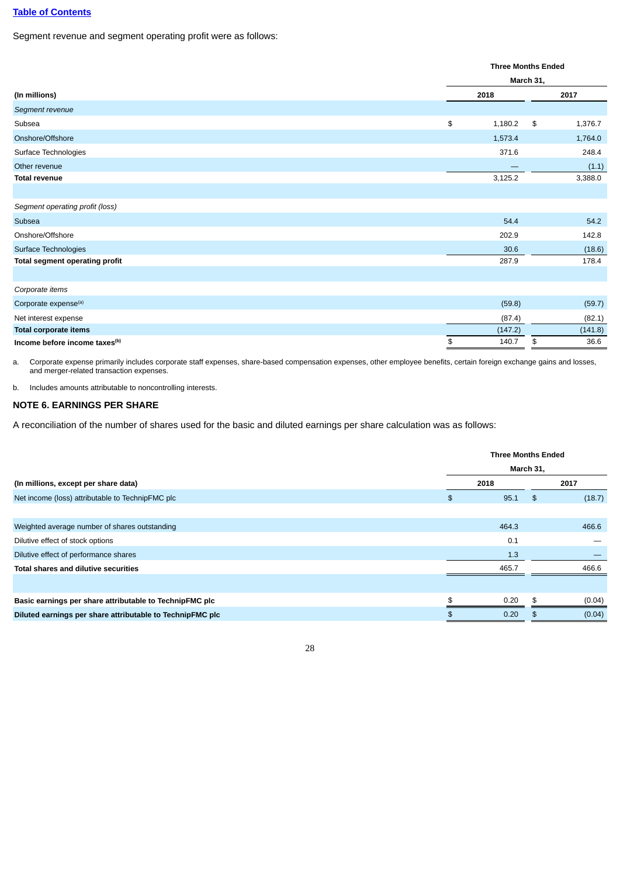Segment revenue and segment operating profit were as follows:

|                                           | <b>Three Months Ended</b> |           |         |  |  |  |
|-------------------------------------------|---------------------------|-----------|---------|--|--|--|
|                                           |                           | March 31, |         |  |  |  |
| (In millions)                             | 2018                      |           | 2017    |  |  |  |
| Segment revenue                           |                           |           |         |  |  |  |
| Subsea                                    | \$<br>1,180.2             | \$        | 1,376.7 |  |  |  |
| Onshore/Offshore                          | 1,573.4                   |           | 1,764.0 |  |  |  |
| Surface Technologies                      | 371.6                     |           | 248.4   |  |  |  |
| Other revenue                             |                           |           | (1.1)   |  |  |  |
| <b>Total revenue</b>                      | 3,125.2                   |           | 3,388.0 |  |  |  |
|                                           |                           |           |         |  |  |  |
| Segment operating profit (loss)           |                           |           |         |  |  |  |
| Subsea                                    | 54.4                      |           | 54.2    |  |  |  |
| Onshore/Offshore                          | 202.9                     |           | 142.8   |  |  |  |
| Surface Technologies                      | 30.6                      |           | (18.6)  |  |  |  |
| Total segment operating profit            | 287.9                     |           | 178.4   |  |  |  |
|                                           |                           |           |         |  |  |  |
| Corporate items                           |                           |           |         |  |  |  |
| Corporate expense <sup>(a)</sup>          | (59.8)                    |           | (59.7)  |  |  |  |
| Net interest expense                      | (87.4)                    |           | (82.1)  |  |  |  |
| <b>Total corporate items</b>              | (147.2)                   |           | (141.8) |  |  |  |
| Income before income taxes <sup>(b)</sup> | \$<br>140.7               | \$        | 36.6    |  |  |  |
|                                           |                           |           |         |  |  |  |

a. Corporate expense primarily includes corporate staff expenses, share-based compensation expenses, other employee benefits, certain foreign exchange gains and losses, and merger-related transaction expenses.

b. Includes amounts attributable to noncontrolling interests.

#### **NOTE 6. EARNINGS PER SHARE**

A reconciliation of the number of shares used for the basic and diluted earnings per share calculation was as follows:

|                                                           | <b>Three Months Ended</b> |           |     |        |  |  |  |
|-----------------------------------------------------------|---------------------------|-----------|-----|--------|--|--|--|
|                                                           |                           | March 31, |     |        |  |  |  |
| (In millions, except per share data)                      |                           | 2018      |     | 2017   |  |  |  |
| Net income (loss) attributable to TechnipFMC plc          | \$                        | 95.1      | \$. | (18.7) |  |  |  |
|                                                           |                           |           |     |        |  |  |  |
| Weighted average number of shares outstanding             |                           | 464.3     |     | 466.6  |  |  |  |
| Dilutive effect of stock options                          |                           | 0.1       |     |        |  |  |  |
| Dilutive effect of performance shares                     |                           | 1.3       |     |        |  |  |  |
| <b>Total shares and dilutive securities</b>               |                           | 465.7     |     | 466.6  |  |  |  |
|                                                           |                           |           |     |        |  |  |  |
| Basic earnings per share attributable to TechnipFMC plc   |                           | 0.20      | \$  | (0.04) |  |  |  |
| Diluted earnings per share attributable to TechnipFMC plc |                           | 0.20      |     | (0.04) |  |  |  |
|                                                           |                           |           |     |        |  |  |  |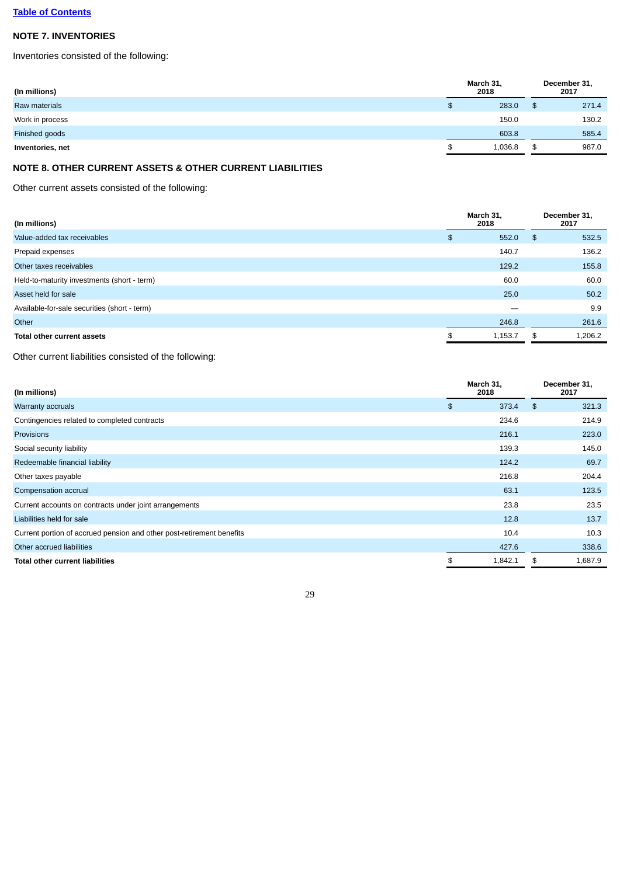## **NOTE 7. INVENTORIES**

Inventories consisted of the following:

| (In millions)    |   | March 31,<br>2018 |            | December 31,<br>2017 |
|------------------|---|-------------------|------------|----------------------|
| Raw materials    | Ф | 283.0             | $\sqrt{3}$ | 271.4                |
| Work in process  |   | 150.0             |            | 130.2                |
| Finished goods   |   | 603.8             |            | 585.4                |
| Inventories, net |   | 1,036.8           | \$         | 987.0                |
|                  |   |                   |            |                      |

## **NOTE 8. OTHER CURRENT ASSETS & OTHER CURRENT LIABILITIES**

Other current assets consisted of the following:

| 2018        |               | December 31,<br>2017 |
|-------------|---------------|----------------------|
| \$<br>552.0 | $\frac{3}{2}$ | 532.5                |
| 140.7       |               | 136.2                |
| 129.2       |               | 155.8                |
| 60.0        |               | 60.0                 |
| 25.0        |               | 50.2                 |
|             |               | 9.9                  |
| 246.8       |               | 261.6                |
| 1,153.7     | \$            | 1,206.2              |
|             | March 31,     |                      |

Other current liabilities consisted of the following:

| (In millions)                                                         | March 31,<br>2018 | December 31,<br>2017 |
|-----------------------------------------------------------------------|-------------------|----------------------|
| Warranty accruals                                                     | \$<br>373.4       | \$<br>321.3          |
| Contingencies related to completed contracts                          | 234.6             | 214.9                |
| Provisions                                                            | 216.1             | 223.0                |
| Social security liability                                             | 139.3             | 145.0                |
| Redeemable financial liability                                        | 124.2             | 69.7                 |
| Other taxes payable                                                   | 216.8             | 204.4                |
| Compensation accrual                                                  | 63.1              | 123.5                |
| Current accounts on contracts under joint arrangements                | 23.8              | 23.5                 |
| Liabilities held for sale                                             | 12.8              | 13.7                 |
| Current portion of accrued pension and other post-retirement benefits | 10.4              | 10.3                 |
| Other accrued liabilities                                             | 427.6             | 338.6                |
| <b>Total other current liabilities</b>                                | \$<br>1,842.1     | \$<br>1,687.9        |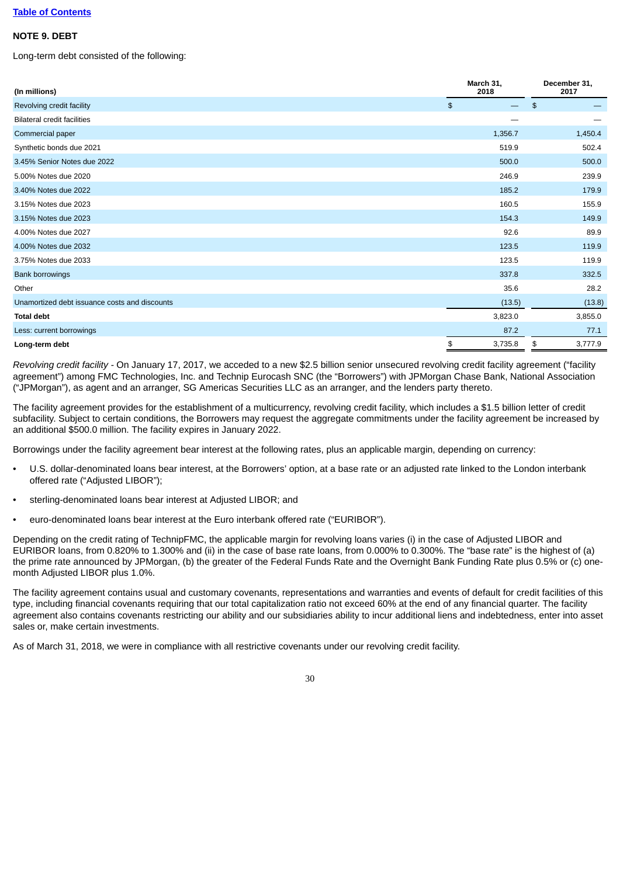## **NOTE 9. DEBT**

Long-term debt consisted of the following:

| (In millions)                                 |               | March 31,<br>2018 |                           | December 31,<br>2017 |
|-----------------------------------------------|---------------|-------------------|---------------------------|----------------------|
| Revolving credit facility                     | $\frac{2}{3}$ |                   | $\boldsymbol{\mathsf{S}}$ |                      |
| <b>Bilateral credit facilities</b>            |               |                   |                           |                      |
| Commercial paper                              |               | 1,356.7           |                           | 1,450.4              |
| Synthetic bonds due 2021                      |               | 519.9             |                           | 502.4                |
| 3.45% Senior Notes due 2022                   |               | 500.0             |                           | 500.0                |
| 5.00% Notes due 2020                          |               | 246.9             |                           | 239.9                |
| 3.40% Notes due 2022                          |               | 185.2             |                           | 179.9                |
| 3.15% Notes due 2023                          |               | 160.5             |                           | 155.9                |
| 3.15% Notes due 2023                          |               | 154.3             |                           | 149.9                |
| 4.00% Notes due 2027                          |               | 92.6              |                           | 89.9                 |
| 4.00% Notes due 2032                          |               | 123.5             |                           | 119.9                |
| 3.75% Notes due 2033                          |               | 123.5             |                           | 119.9                |
| <b>Bank borrowings</b>                        |               | 337.8             |                           | 332.5                |
| Other                                         |               | 35.6              |                           | 28.2                 |
| Unamortized debt issuance costs and discounts |               | (13.5)            |                           | (13.8)               |
| <b>Total debt</b>                             |               | 3,823.0           |                           | 3,855.0              |
| Less: current borrowings                      |               | 87.2              |                           | 77.1                 |
| Long-term debt                                | \$            | 3,735.8           | \$                        | 3,777.9              |

*Revolving credit facility -* On January 17, 2017, we acceded to a new \$2.5 billion senior unsecured revolving credit facility agreement ("facility agreement") among FMC Technologies, Inc. and Technip Eurocash SNC (the "Borrowers") with JPMorgan Chase Bank, National Association ("JPMorgan"), as agent and an arranger, SG Americas Securities LLC as an arranger, and the lenders party thereto.

The facility agreement provides for the establishment of a multicurrency, revolving credit facility, which includes a \$1.5 billion letter of credit subfacility. Subject to certain conditions, the Borrowers may request the aggregate commitments under the facility agreement be increased by an additional \$500.0 million. The facility expires in January 2022.

Borrowings under the facility agreement bear interest at the following rates, plus an applicable margin, depending on currency:

- U.S. dollar-denominated loans bear interest, at the Borrowers' option, at a base rate or an adjusted rate linked to the London interbank offered rate ("Adjusted LIBOR");
- sterling-denominated loans bear interest at Adjusted LIBOR; and
- euro-denominated loans bear interest at the Euro interbank offered rate ("EURIBOR").

Depending on the credit rating of TechnipFMC, the applicable margin for revolving loans varies (i) in the case of Adjusted LIBOR and EURIBOR loans, from 0.820% to 1.300% and (ii) in the case of base rate loans, from 0.000% to 0.300%. The "base rate" is the highest of (a) the prime rate announced by JPMorgan, (b) the greater of the Federal Funds Rate and the Overnight Bank Funding Rate plus 0.5% or (c) onemonth Adjusted LIBOR plus 1.0%.

The facility agreement contains usual and customary covenants, representations and warranties and events of default for credit facilities of this type, including financial covenants requiring that our total capitalization ratio not exceed 60% at the end of any financial quarter. The facility agreement also contains covenants restricting our ability and our subsidiaries ability to incur additional liens and indebtedness, enter into asset sales or, make certain investments.

As of March 31, 2018, we were in compliance with all restrictive covenants under our revolving credit facility.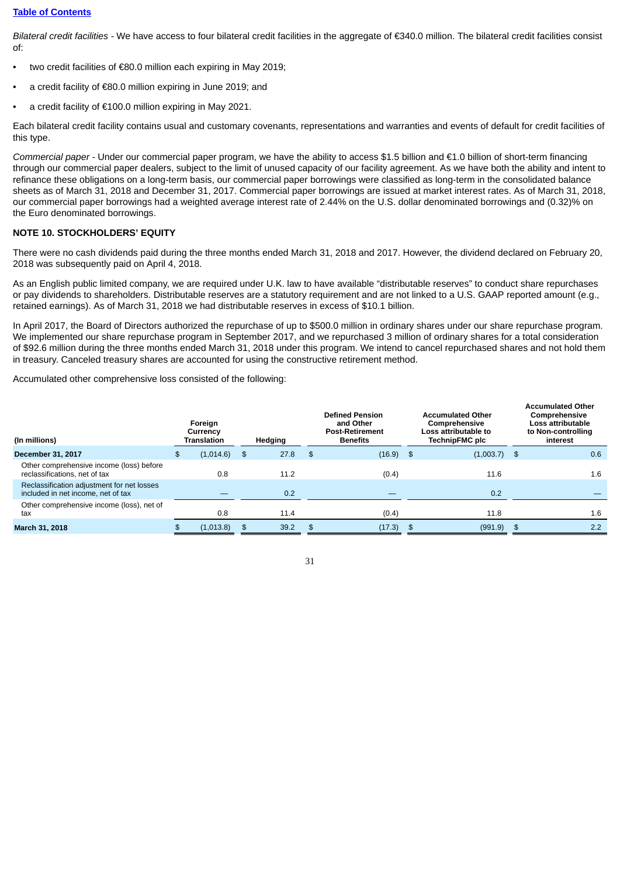*Bilateral credit facilities -* We have access to four bilateral credit facilities in the aggregate of €340.0 million. The bilateral credit facilities consist of:

- two credit facilities of €80.0 million each expiring in May 2019;
- a credit facility of €80.0 million expiring in June 2019; and
- a credit facility of €100.0 million expiring in May 2021.

Each bilateral credit facility contains usual and customary covenants, representations and warranties and events of default for credit facilities of this type.

*Commercial paper -* Under our commercial paper program, we have the ability to access \$1.5 billion and €1.0 billion of short-term financing through our commercial paper dealers, subject to the limit of unused capacity of our facility agreement. As we have both the ability and intent to refinance these obligations on a long-term basis, our commercial paper borrowings were classified as long-term in the consolidated balance sheets as of March 31, 2018 and December 31, 2017. Commercial paper borrowings are issued at market interest rates. As of March 31, 2018, our commercial paper borrowings had a weighted average interest rate of 2.44% on the U.S. dollar denominated borrowings and (0.32)% on the Euro denominated borrowings.

#### **NOTE 10. STOCKHOLDERS' EQUITY**

There were no cash dividends paid during the three months ended March 31, 2018 and 2017. However, the dividend declared on February 20, 2018 was subsequently paid on April 4, 2018.

As an English public limited company, we are required under U.K. law to have available "distributable reserves" to conduct share repurchases or pay dividends to shareholders. Distributable reserves are a statutory requirement and are not linked to a U.S. GAAP reported amount (e.g., retained earnings). As of March 31, 2018 we had distributable reserves in excess of \$10.1 billion.

In April 2017, the Board of Directors authorized the repurchase of up to \$500.0 million in ordinary shares under our share repurchase program. We implemented our share repurchase program in September 2017, and we repurchased 3 million of ordinary shares for a total consideration of \$92.6 million during the three months ended March 31, 2018 under this program. We intend to cancel repurchased shares and not hold them in treasury. Canceled treasury shares are accounted for using the constructive retirement method.

Accumulated other comprehensive loss consisted of the following:

| (In millions)                                                                    | Foreign<br>Currency<br>Translation | <b>Hedging</b> |      |    | <b>Defined Pension</b><br><b>Accumulated Other</b><br>and Other<br>Comprehensive<br>Loss attributable to<br><b>Post-Retirement</b><br>TechnipFMC plc<br><b>Benefits</b> |     |           |      | <b>Accumulated Other</b><br>Comprehensive<br>Loss attributable<br>to Non-controlling<br>interest |
|----------------------------------------------------------------------------------|------------------------------------|----------------|------|----|-------------------------------------------------------------------------------------------------------------------------------------------------------------------------|-----|-----------|------|--------------------------------------------------------------------------------------------------|
| December 31, 2017                                                                | \$<br>(1,014.6)                    | \$             | 27.8 | \$ | $(16.9)$ \$                                                                                                                                                             |     | (1,003.7) | - \$ | 0.6                                                                                              |
| Other comprehensive income (loss) before<br>reclassifications, net of tax        | 0.8                                |                | 11.2 |    | (0.4)                                                                                                                                                                   |     | 11.6      |      | 1.6                                                                                              |
| Reclassification adjustment for net losses<br>included in net income, net of tax |                                    |                | 0.2  |    |                                                                                                                                                                         |     | 0.2       |      |                                                                                                  |
| Other comprehensive income (loss), net of<br>tax                                 | 0.8                                |                | 11.4 |    | (0.4)                                                                                                                                                                   |     | 11.8      |      | 1.6                                                                                              |
| <b>March 31, 2018</b>                                                            | (1,013.8)                          | \$.            | 39.2 |    | (17.3)                                                                                                                                                                  | -\$ | (991.9)   | \$   | 2.2                                                                                              |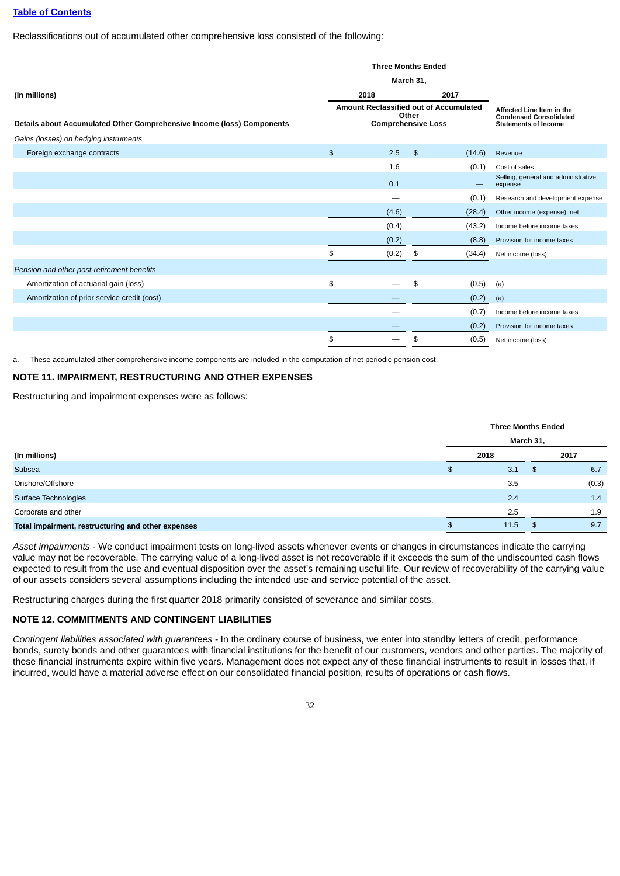Reclassifications out of accumulated other comprehensive loss consisted of the following:

|                                                                        |               | March 31,                                                                    |                                                                                           |        |                                                |
|------------------------------------------------------------------------|---------------|------------------------------------------------------------------------------|-------------------------------------------------------------------------------------------|--------|------------------------------------------------|
| (In millions)                                                          |               | 2018                                                                         |                                                                                           | 2017   |                                                |
| Details about Accumulated Other Comprehensive Income (loss) Components |               | Amount Reclassified out of Accumulated<br>Other<br><b>Comprehensive Loss</b> | Affected Line Item in the<br><b>Condensed Consolidated</b><br><b>Statements of Income</b> |        |                                                |
| Gains (losses) on hedging instruments                                  |               |                                                                              |                                                                                           |        |                                                |
| Foreign exchange contracts                                             | $\frac{2}{3}$ | 2.5                                                                          | $\frac{2}{3}$                                                                             | (14.6) | Revenue                                        |
|                                                                        |               | 1.6                                                                          |                                                                                           | (0.1)  | Cost of sales                                  |
|                                                                        |               | 0.1                                                                          |                                                                                           |        | Selling, general and administrative<br>expense |
|                                                                        |               |                                                                              |                                                                                           | (0.1)  | Research and development expense               |
|                                                                        |               | (4.6)                                                                        |                                                                                           | (28.4) | Other income (expense), net                    |
|                                                                        |               | (0.4)                                                                        |                                                                                           | (43.2) | Income before income taxes                     |
|                                                                        |               | (0.2)                                                                        |                                                                                           | (8.8)  | Provision for income taxes                     |
|                                                                        | \$            | (0.2)                                                                        | \$                                                                                        | (34.4) | Net income (loss)                              |
| Pension and other post-retirement benefits                             |               |                                                                              |                                                                                           |        |                                                |
| Amortization of actuarial gain (loss)                                  | \$            |                                                                              | \$                                                                                        | (0.5)  | (a)                                            |
| Amortization of prior service credit (cost)                            |               |                                                                              |                                                                                           | (0.2)  | (a)                                            |
|                                                                        |               |                                                                              |                                                                                           | (0.7)  | Income before income taxes                     |
|                                                                        |               |                                                                              |                                                                                           | (0.2)  | Provision for income taxes                     |
|                                                                        | \$            |                                                                              |                                                                                           | (0.5)  | Net income (loss)                              |

a. These accumulated other comprehensive income components are included in the computation of net periodic pension cost.

#### **NOTE 11. IMPAIRMENT, RESTRUCTURING AND OTHER EXPENSES**

Restructuring and impairment expenses were as follows:

|                                                    |           | <b>Three Months Ended</b> |      |       |  |  |  |
|----------------------------------------------------|-----------|---------------------------|------|-------|--|--|--|
|                                                    | March 31, |                           |      |       |  |  |  |
| (In millions)                                      |           | 2018                      |      | 2017  |  |  |  |
| Subsea                                             | \$        | 3.1                       | - \$ | 6.7   |  |  |  |
| Onshore/Offshore                                   |           | 3.5                       |      | (0.3) |  |  |  |
| Surface Technologies                               |           | 2.4                       |      | 1.4   |  |  |  |
| Corporate and other                                |           | 2.5                       |      | 1.9   |  |  |  |
| Total impairment, restructuring and other expenses |           | 11.5                      | \$   | 9.7   |  |  |  |

*Asset impairments -* We conduct impairment tests on long-lived assets whenever events or changes in circumstances indicate the carrying value may not be recoverable. The carrying value of a long-lived asset is not recoverable if it exceeds the sum of the undiscounted cash flows expected to result from the use and eventual disposition over the asset's remaining useful life. Our review of recoverability of the carrying value of our assets considers several assumptions including the intended use and service potential of the asset.

Restructuring charges during the first quarter 2018 primarily consisted of severance and similar costs.

#### **NOTE 12. COMMITMENTS AND CONTINGENT LIABILITIES**

*Contingent liabilities associated with guarantees -* In the ordinary course of business, we enter into standby letters of credit, performance bonds, surety bonds and other guarantees with financial institutions for the benefit of our customers, vendors and other parties. The majority of these financial instruments expire within five years. Management does not expect any of these financial instruments to result in losses that, if incurred, would have a material adverse effect on our consolidated financial position, results of operations or cash flows.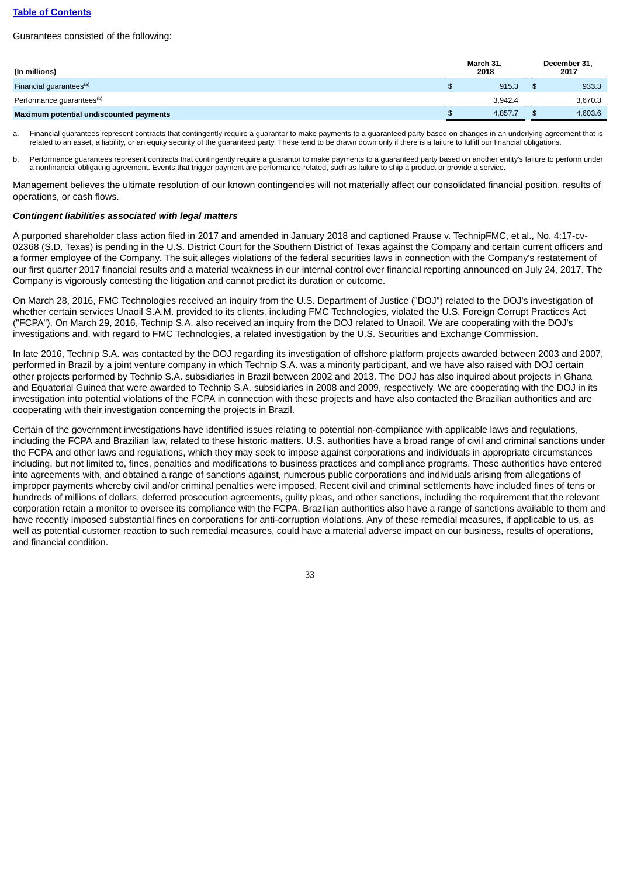Guarantees consisted of the following:

| (In millions)                           | March 31,<br>2018 |     | December 31,<br>2017 |
|-----------------------------------------|-------------------|-----|----------------------|
| Financial guarantees <sup>(a)</sup>     | 915.3             | \$  | 933.3                |
| Performance guarantees <sup>(b)</sup>   | 3.942.4           |     | 3,670.3              |
| Maximum potential undiscounted payments | 4.857.7           | \$. | 4,603.6              |

Financial guarantees represent contracts that contingently require a guarantor to make payments to a guaranteed party based on changes in an underlying agreement that is related to an asset, a liability, or an equity security of the guaranteed party. These tend to be drawn down only if there is a failure to fulfill our financial obligations.

b. Performance quarantees represent contracts that contingently require a quarantor to make payments to a quaranteed party based on another entity's failure to perform under a nonfinancial obligating agreement. Events that trigger payment are performance-related, such as failure to ship a product or provide a service.

Management believes the ultimate resolution of our known contingencies will not materially affect our consolidated financial position, results of operations, or cash flows.

#### *Contingent liabilities associated with legal matters*

A purported shareholder class action filed in 2017 and amended in January 2018 and captioned Prause v. TechnipFMC, et al., No. 4:17-cv-02368 (S.D. Texas) is pending in the U.S. District Court for the Southern District of Texas against the Company and certain current officers and a former employee of the Company. The suit alleges violations of the federal securities laws in connection with the Company's restatement of our first quarter 2017 financial results and a material weakness in our internal control over financial reporting announced on July 24, 2017. The Company is vigorously contesting the litigation and cannot predict its duration or outcome.

On March 28, 2016, FMC Technologies received an inquiry from the U.S. Department of Justice ("DOJ") related to the DOJ's investigation of whether certain services Unaoil S.A.M. provided to its clients, including FMC Technologies, violated the U.S. Foreign Corrupt Practices Act ("FCPA"). On March 29, 2016, Technip S.A. also received an inquiry from the DOJ related to Unaoil. We are cooperating with the DOJ's investigations and, with regard to FMC Technologies, a related investigation by the U.S. Securities and Exchange Commission.

In late 2016, Technip S.A. was contacted by the DOJ regarding its investigation of offshore platform projects awarded between 2003 and 2007, performed in Brazil by a joint venture company in which Technip S.A. was a minority participant, and we have also raised with DOJ certain other projects performed by Technip S.A. subsidiaries in Brazil between 2002 and 2013. The DOJ has also inquired about projects in Ghana and Equatorial Guinea that were awarded to Technip S.A. subsidiaries in 2008 and 2009, respectively. We are cooperating with the DOJ in its investigation into potential violations of the FCPA in connection with these projects and have also contacted the Brazilian authorities and are cooperating with their investigation concerning the projects in Brazil.

Certain of the government investigations have identified issues relating to potential non-compliance with applicable laws and regulations, including the FCPA and Brazilian law, related to these historic matters. U.S. authorities have a broad range of civil and criminal sanctions under the FCPA and other laws and regulations, which they may seek to impose against corporations and individuals in appropriate circumstances including, but not limited to, fines, penalties and modifications to business practices and compliance programs. These authorities have entered into agreements with, and obtained a range of sanctions against, numerous public corporations and individuals arising from allegations of improper payments whereby civil and/or criminal penalties were imposed. Recent civil and criminal settlements have included fines of tens or hundreds of millions of dollars, deferred prosecution agreements, guilty pleas, and other sanctions, including the requirement that the relevant corporation retain a monitor to oversee its compliance with the FCPA. Brazilian authorities also have a range of sanctions available to them and have recently imposed substantial fines on corporations for anti-corruption violations. Any of these remedial measures, if applicable to us, as well as potential customer reaction to such remedial measures, could have a material adverse impact on our business, results of operations, and financial condition.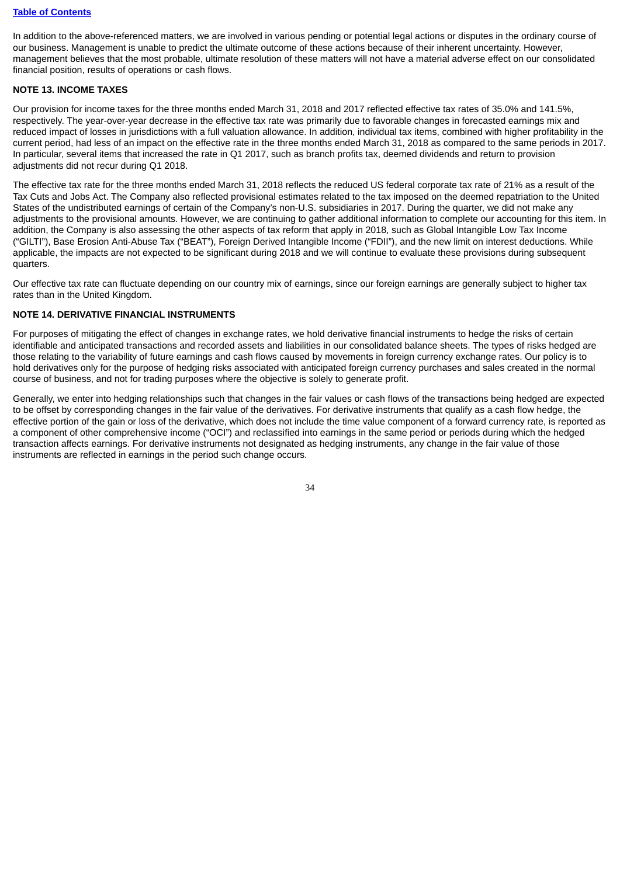In addition to the above-referenced matters, we are involved in various pending or potential legal actions or disputes in the ordinary course of our business. Management is unable to predict the ultimate outcome of these actions because of their inherent uncertainty. However, management believes that the most probable, ultimate resolution of these matters will not have a material adverse effect on our consolidated financial position, results of operations or cash flows.

#### **NOTE 13. INCOME TAXES**

Our provision for income taxes for the three months ended March 31, 2018 and 2017 reflected effective tax rates of 35.0% and 141.5%, respectively. The year-over-year decrease in the effective tax rate was primarily due to favorable changes in forecasted earnings mix and reduced impact of losses in jurisdictions with a full valuation allowance. In addition, individual tax items, combined with higher profitability in the current period, had less of an impact on the effective rate in the three months ended March 31, 2018 as compared to the same periods in 2017. In particular, several items that increased the rate in Q1 2017, such as branch profits tax, deemed dividends and return to provision adjustments did not recur during Q1 2018.

The effective tax rate for the three months ended March 31, 2018 reflects the reduced US federal corporate tax rate of 21% as a result of the Tax Cuts and Jobs Act. The Company also reflected provisional estimates related to the tax imposed on the deemed repatriation to the United States of the undistributed earnings of certain of the Company's non-U.S. subsidiaries in 2017. During the quarter, we did not make any adjustments to the provisional amounts. However, we are continuing to gather additional information to complete our accounting for this item. In addition, the Company is also assessing the other aspects of tax reform that apply in 2018, such as Global Intangible Low Tax Income ("GILTI"), Base Erosion Anti-Abuse Tax ("BEAT"), Foreign Derived Intangible Income ("FDII"), and the new limit on interest deductions. While applicable, the impacts are not expected to be significant during 2018 and we will continue to evaluate these provisions during subsequent quarters.

Our effective tax rate can fluctuate depending on our country mix of earnings, since our foreign earnings are generally subject to higher tax rates than in the United Kingdom.

## **NOTE 14. DERIVATIVE FINANCIAL INSTRUMENTS**

For purposes of mitigating the effect of changes in exchange rates, we hold derivative financial instruments to hedge the risks of certain identifiable and anticipated transactions and recorded assets and liabilities in our consolidated balance sheets. The types of risks hedged are those relating to the variability of future earnings and cash flows caused by movements in foreign currency exchange rates. Our policy is to hold derivatives only for the purpose of hedging risks associated with anticipated foreign currency purchases and sales created in the normal course of business, and not for trading purposes where the objective is solely to generate profit.

Generally, we enter into hedging relationships such that changes in the fair values or cash flows of the transactions being hedged are expected to be offset by corresponding changes in the fair value of the derivatives. For derivative instruments that qualify as a cash flow hedge, the effective portion of the gain or loss of the derivative, which does not include the time value component of a forward currency rate, is reported as a component of other comprehensive income ("OCI") and reclassified into earnings in the same period or periods during which the hedged transaction affects earnings. For derivative instruments not designated as hedging instruments, any change in the fair value of those instruments are reflected in earnings in the period such change occurs.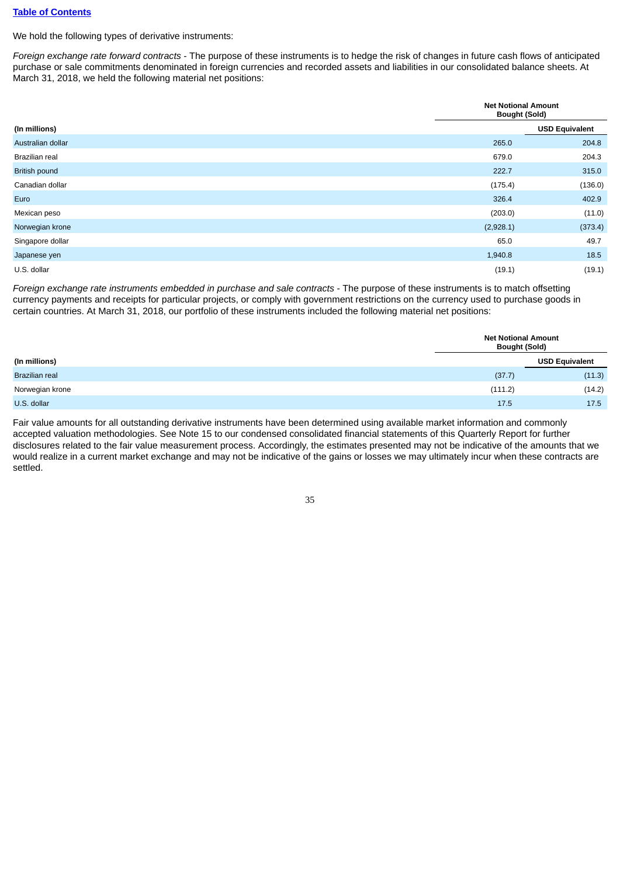We hold the following types of derivative instruments:

*Foreign exchange rate forward contracts* - The purpose of these instruments is to hedge the risk of changes in future cash flows of anticipated purchase or sale commitments denominated in foreign currencies and recorded assets and liabilities in our consolidated balance sheets. At March 31, 2018, we held the following material net positions:

|                   | <b>Net Notional Amount</b> | <b>Bought (Sold)</b>  |  |  |
|-------------------|----------------------------|-----------------------|--|--|
| (In millions)     |                            | <b>USD Equivalent</b> |  |  |
| Australian dollar | 265.0                      | 204.8                 |  |  |
| Brazilian real    | 679.0                      | 204.3                 |  |  |
| British pound     | 222.7                      | 315.0                 |  |  |
| Canadian dollar   | (175.4)                    | (136.0)               |  |  |
| Euro              | 326.4                      | 402.9                 |  |  |
| Mexican peso      | (203.0)                    | (11.0)                |  |  |
| Norwegian krone   | (2,928.1)                  | (373.4)               |  |  |
| Singapore dollar  | 65.0                       | 49.7                  |  |  |
| Japanese yen      | 1,940.8                    | 18.5                  |  |  |
| U.S. dollar       | (19.1)                     | (19.1)                |  |  |

*Foreign exchange rate instruments embedded in purchase and sale contracts* - The purpose of these instruments is to match offsetting currency payments and receipts for particular projects, or comply with government restrictions on the currency used to purchase goods in certain countries. At March 31, 2018, our portfolio of these instruments included the following material net positions:

|                       | <b>Net Notional Amount</b><br><b>Bought (Sold)</b> |                       |
|-----------------------|----------------------------------------------------|-----------------------|
| (In millions)         |                                                    | <b>USD Equivalent</b> |
| <b>Brazilian real</b> | (37.7)                                             | (11.3)                |
| Norwegian krone       | (111.2)                                            | (14.2)                |
| U.S. dollar           | 17.5                                               | 17.5                  |

Fair value amounts for all outstanding derivative instruments have been determined using available market information and commonly accepted valuation methodologies. See Note 15 to our condensed consolidated financial statements of this Quarterly Report for further disclosures related to the fair value measurement process. Accordingly, the estimates presented may not be indicative of the amounts that we would realize in a current market exchange and may not be indicative of the gains or losses we may ultimately incur when these contracts are settled.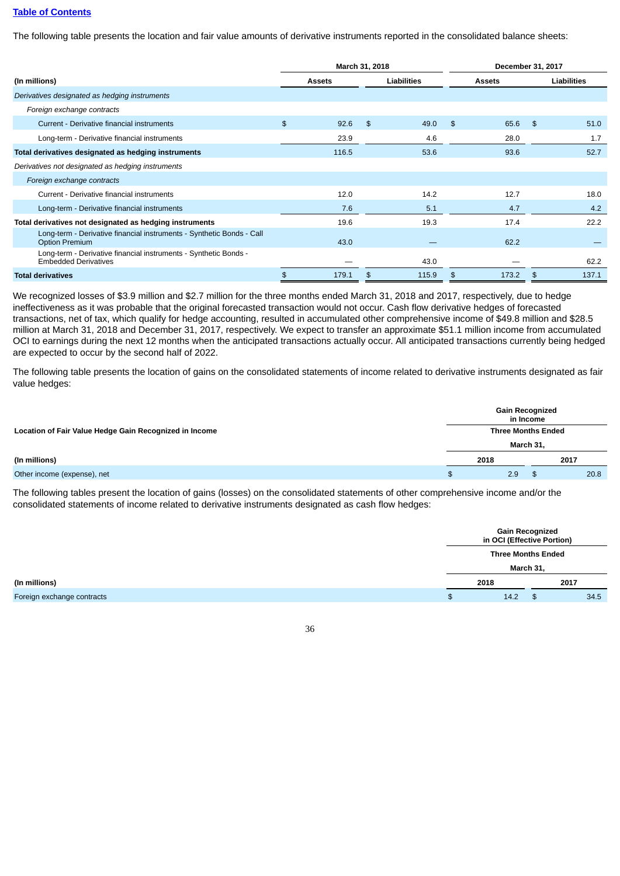The following table presents the location and fair value amounts of derivative instruments reported in the consolidated balance sheets:

|                                                                                                 |                | March 31, 2018 |    |                    |    | December 31, 2017 |      |             |  |
|-------------------------------------------------------------------------------------------------|----------------|----------------|----|--------------------|----|-------------------|------|-------------|--|
| (In millions)                                                                                   |                | <b>Assets</b>  |    | <b>Liabilities</b> |    | <b>Assets</b>     |      | Liabilities |  |
| Derivatives designated as hedging instruments                                                   |                |                |    |                    |    |                   |      |             |  |
| Foreign exchange contracts                                                                      |                |                |    |                    |    |                   |      |             |  |
| Current - Derivative financial instruments                                                      | $\mathfrak{S}$ | 92.6           | \$ | 49.0               | \$ | 65.6              | - \$ | 51.0        |  |
| Long-term - Derivative financial instruments                                                    |                | 23.9           |    | 4.6                |    | 28.0              |      | 1.7         |  |
| Total derivatives designated as hedging instruments                                             |                | 116.5          |    | 53.6               |    | 93.6              |      | 52.7        |  |
| Derivatives not designated as hedging instruments                                               |                |                |    |                    |    |                   |      |             |  |
| Foreign exchange contracts                                                                      |                |                |    |                    |    |                   |      |             |  |
| Current - Derivative financial instruments                                                      |                | 12.0           |    | 14.2               |    | 12.7              |      | 18.0        |  |
| Long-term - Derivative financial instruments                                                    |                | 7.6            |    | 5.1                |    | 4.7               |      | 4.2         |  |
| Total derivatives not designated as hedging instruments                                         |                | 19.6           |    | 19.3               |    | 17.4              |      | 22.2        |  |
| Long-term - Derivative financial instruments - Synthetic Bonds - Call<br><b>Option Premium</b>  |                | 43.0           |    |                    |    | 62.2              |      |             |  |
| Long-term - Derivative financial instruments - Synthetic Bonds -<br><b>Embedded Derivatives</b> |                |                |    | 43.0               |    |                   |      | 62.2        |  |
| <b>Total derivatives</b>                                                                        | \$             | 179.1          |    | 115.9              | \$ | 173.2             |      | 137.1       |  |

We recognized losses of \$3.9 million and \$2.7 million for the three months ended March 31, 2018 and 2017, respectively, due to hedge ineffectiveness as it was probable that the original forecasted transaction would not occur. Cash flow derivative hedges of forecasted transactions, net of tax, which qualify for hedge accounting, resulted in accumulated other comprehensive income of \$49.8 million and \$28.5 million at March 31, 2018 and December 31, 2017, respectively. We expect to transfer an approximate \$51.1 million income from accumulated OCI to earnings during the next 12 months when the anticipated transactions actually occur. All anticipated transactions currently being hedged are expected to occur by the second half of 2022.

The following table presents the location of gains on the consolidated statements of income related to derivative instruments designated as fair value hedges:

|                                                        | <b>Gain Recognized</b><br>in Income    |      |      |      |  |  |  |  |
|--------------------------------------------------------|----------------------------------------|------|------|------|--|--|--|--|
| Location of Fair Value Hedge Gain Recognized in Income | <b>Three Months Ended</b><br>March 31, |      |      |      |  |  |  |  |
|                                                        |                                        |      |      |      |  |  |  |  |
| (In millions)                                          |                                        | 2018 |      | 2017 |  |  |  |  |
| Other income (expense), net                            |                                        | 2.9  | - 36 | 20.8 |  |  |  |  |

The following tables present the location of gains (losses) on the consolidated statements of other comprehensive income and/or the consolidated statements of income related to derivative instruments designated as cash flow hedges:

|  | <b>Gain Recognized</b><br>in OCI (Effective Portion) |                           |           |      |
|--|------------------------------------------------------|---------------------------|-----------|------|
|  |                                                      | <b>Three Months Ended</b> |           |      |
|  |                                                      |                           | March 31, |      |
|  |                                                      | 2018                      |           | 2017 |
|  | ж                                                    | 14.2                      | - \$      | 34.5 |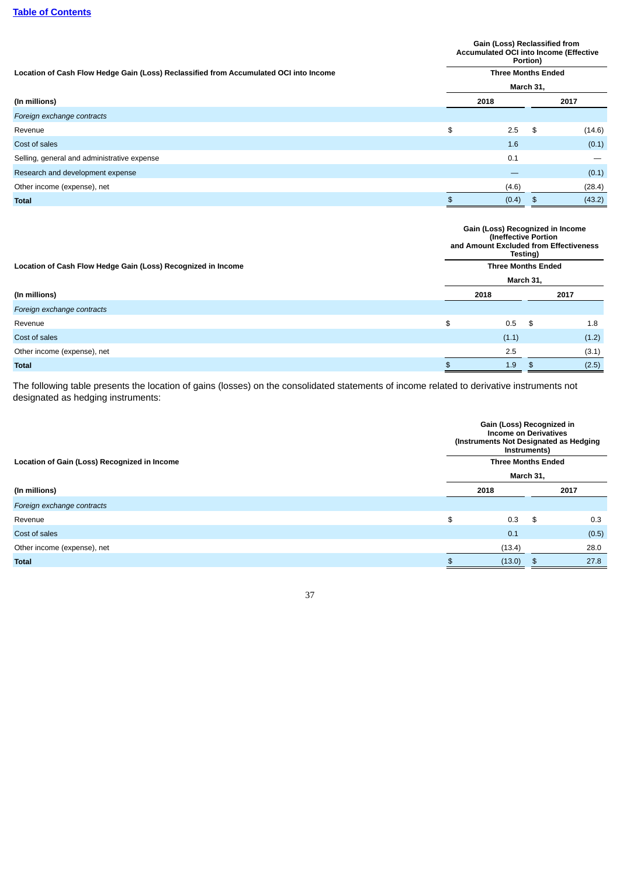| Gain (Loss) Reclassified from                 |
|-----------------------------------------------|
| <b>Accumulated OCI into Income (Effective</b> |
| Portion)                                      |

## **Location of Cash Flow Hedge Gain (Loss) Reclassified from Accumulated OCI into Income Three Months Ended March 31, (In millions) 2018 2017** *Foreign exchange contracts*  $\sim$  Revenue  $\sim$  2.5 \$ (14.6)  $\rm Cost$  of sales  $1.6$  (0.1) Selling, general and administrative expense expense and the service of the service of the service of the service of the service of the service of the service of the service of the service of the service of the service of t Research and development expense (0.1) (0.1) The second state of the second state of the second state of the second state of the second state of the second state of the second state of the second state of the second state Other income (expense), net (4.6) (28.4) **Total** \$ (0.4) \$ (43.2)

|                                                              | Gain (Loss) Recognized in Income<br>(Ineffective Portion<br>and Amount Excluded from Effectiveness<br>Testing) |                           |           |       |  |  |  |  |
|--------------------------------------------------------------|----------------------------------------------------------------------------------------------------------------|---------------------------|-----------|-------|--|--|--|--|
| Location of Cash Flow Hedge Gain (Loss) Recognized in Income |                                                                                                                | <b>Three Months Ended</b> |           |       |  |  |  |  |
|                                                              |                                                                                                                |                           | March 31, |       |  |  |  |  |
| (In millions)                                                |                                                                                                                | 2018                      |           | 2017  |  |  |  |  |
| Foreign exchange contracts                                   |                                                                                                                |                           |           |       |  |  |  |  |
| Revenue                                                      | \$                                                                                                             | 0.5                       | - \$      | 1.8   |  |  |  |  |
| Cost of sales                                                |                                                                                                                | (1.1)                     |           | (1.2) |  |  |  |  |
| Other income (expense), net                                  |                                                                                                                | 2.5                       |           | (3.1) |  |  |  |  |
| <b>Total</b>                                                 |                                                                                                                | 1.9                       |           | (2.5) |  |  |  |  |

The following table presents the location of gains (losses) on the consolidated statements of income related to derivative instruments not designated as hedging instruments:

|                                              | Gain (Loss) Recognized in<br><b>Income on Derivatives</b><br>(Instruments Not Designated as Hedging<br>Instruments) |        |      |       |  |  |  |
|----------------------------------------------|---------------------------------------------------------------------------------------------------------------------|--------|------|-------|--|--|--|
| Location of Gain (Loss) Recognized in Income | <b>Three Months Ended</b><br>March 31,                                                                              |        |      |       |  |  |  |
| (In millions)                                | 2018                                                                                                                |        | 2017 |       |  |  |  |
| Foreign exchange contracts                   |                                                                                                                     |        |      |       |  |  |  |
| Revenue                                      | \$                                                                                                                  | 0.3    | -\$  | 0.3   |  |  |  |
| Cost of sales                                |                                                                                                                     | 0.1    |      | (0.5) |  |  |  |
| Other income (expense), net                  |                                                                                                                     | (13.4) |      | 28.0  |  |  |  |
| <b>Total</b>                                 |                                                                                                                     | (13.0) | \$.  | 27.8  |  |  |  |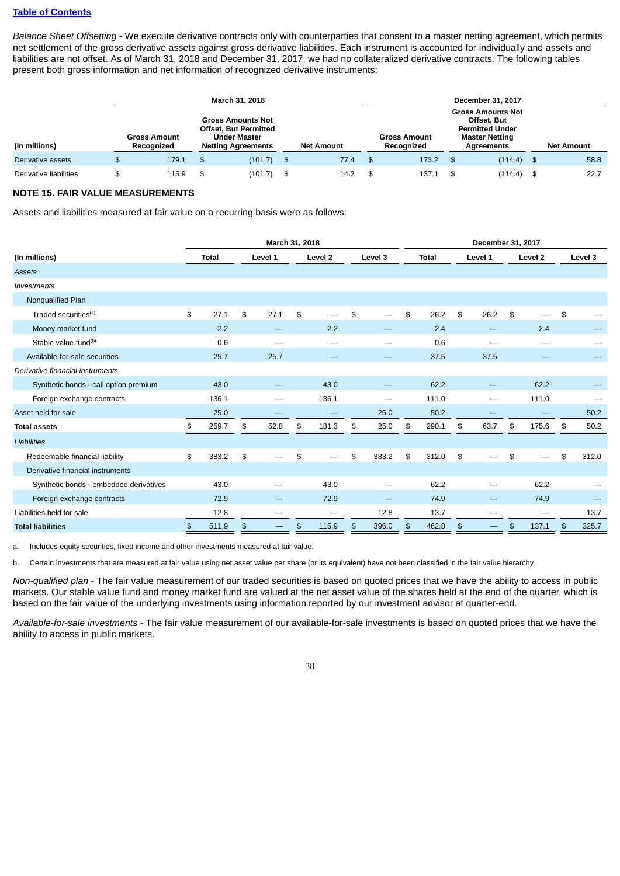*Balance Sheet Offsetting -* We execute derivative contracts only with counterparties that consent to a master netting agreement, which permits net settlement of the gross derivative assets against gross derivative liabilities. Each instrument is accounted for individually and assets and liabilities are not offset. As of March 31, 2018 and December 31, 2017, we had no collateralized derivative contracts. The following tables present both gross information and net information of recognized derivative instruments:

|                                             | <b>March 31, 2018</b> |                                                                                                                                   |    |         |                                                                                                                                               |      | December 31, 2017 |       |    |                   |      |      |  |
|---------------------------------------------|-----------------------|-----------------------------------------------------------------------------------------------------------------------------------|----|---------|-----------------------------------------------------------------------------------------------------------------------------------------------|------|-------------------|-------|----|-------------------|------|------|--|
| Gross Amount<br>(In millions)<br>Recognized |                       | <b>Gross Amounts Not</b><br><b>Offset, But Permitted</b><br><b>Under Master</b><br><b>Netting Agreements</b><br><b>Net Amount</b> |    |         | <b>Gross Amounts Not</b><br>Offset, But<br><b>Permitted Under</b><br><b>Master Netting</b><br><b>Gross Amount</b><br>Recognized<br>Agreements |      |                   |       |    | <b>Net Amount</b> |      |      |  |
| Derivative assets                           |                       | 179.1                                                                                                                             | \$ | (101.7) | - \$                                                                                                                                          | 77.4 | \$.               | 173.2 | \$ | $(114.4)$ \$      |      | 58.8 |  |
| Derivative liabilities                      |                       | 115.9                                                                                                                             | \$ | (101.7) | -\$                                                                                                                                           | 14.2 | \$                | 137.1 | \$ | (114.4)           | - \$ | 22.7 |  |

#### **NOTE 15. FAIR VALUE MEASUREMENTS**

Assets and liabilities measured at fair value on a recurring basis were as follows:

|                                        |    |              |               | March 31, 2018                | December 31, 2017 |             |              |       |               |                 |    |         |               |       |
|----------------------------------------|----|--------------|---------------|-------------------------------|-------------------|-------------|--------------|-------|---------------|-----------------|----|---------|---------------|-------|
| (In millions)                          |    | <b>Total</b> |               | Level 1                       | Level 2           | Level 3     | <b>Total</b> |       | Level 1       |                 |    | Level 2 | Level 3       |       |
| <b>Assets</b>                          |    |              |               |                               |                   |             |              |       |               |                 |    |         |               |       |
| <b>Investments</b>                     |    |              |               |                               |                   |             |              |       |               |                 |    |         |               |       |
| Nonqualified Plan                      |    |              |               |                               |                   |             |              |       |               |                 |    |         |               |       |
| Traded securities <sup>(a)</sup>       | \$ | 27.1         | \$            | 27.1                          | \$                | \$          | \$           | 26.2  | \$            | 26.2            | \$ |         | \$            |       |
| Money market fund                      |    | 2.2          |               | $\overbrace{\phantom{12332}}$ | 2.2               |             |              | 2.4   |               |                 |    | 2.4     |               |       |
| Stable value fund <sup>(b)</sup>       |    | 0.6          |               |                               | —                 |             |              | 0.6   |               |                 |    |         |               |       |
| Available-for-sale securities          |    | 25.7         |               | 25.7                          | —                 | —           |              | 37.5  |               | 37.5            |    | —       |               |       |
| Derivative financial instruments       |    |              |               |                               |                   |             |              |       |               |                 |    |         |               |       |
| Synthetic bonds - call option premium  |    | 43.0         |               |                               | 43.0              | —           |              | 62.2  |               |                 |    | 62.2    |               |       |
| Foreign exchange contracts             |    | 136.1        |               |                               | 136.1             |             |              | 111.0 |               |                 |    | 111.0   |               |       |
| Asset held for sale                    |    | 25.0         |               |                               | _                 | 25.0        |              | 50.2  |               |                 |    |         |               | 50.2  |
| <b>Total assets</b>                    | \$ | 259.7        | \$            | 52.8                          | \$<br>181.3       | \$<br>25.0  | \$           | 290.1 | \$            | 63.7            | \$ | 175.6   | \$            | 50.2  |
| Liabilities                            |    |              |               |                               |                   |             |              |       |               |                 |    |         |               |       |
| Redeemable financial liability         | \$ | 383.2        | \$            |                               | \$                | \$<br>383.2 | \$           | 312.0 | \$            |                 | \$ |         | \$            | 312.0 |
| Derivative financial instruments       |    |              |               |                               |                   |             |              |       |               |                 |    |         |               |       |
| Synthetic bonds - embedded derivatives |    | 43.0         |               |                               | 43.0              |             |              | 62.2  |               |                 |    | 62.2    |               |       |
| Foreign exchange contracts             |    | 72.9         |               | —                             | 72.9              |             |              | 74.9  |               | $\qquad \qquad$ |    | 74.9    |               |       |
| Liabilities held for sale              |    | 12.8         |               |                               | -                 | 12.8        |              | 13.7  |               |                 |    |         |               | 13.7  |
| <b>Total liabilities</b>               | \$ | 511.9        | $\frac{1}{2}$ |                               | \$<br>115.9       | \$<br>396.0 | \$           | 462.8 | $\frac{2}{3}$ |                 | \$ | 137.1   | $\frac{4}{5}$ | 325.7 |

a. Includes equity securities, fixed income and other investments measured at fair value.

b. Certain investments that are measured at fair value using net asset value per share (or its equivalent) have not been classified in the fair value hierarchy.

*Non-qualified plan -* The fair value measurement of our traded securities is based on quoted prices that we have the ability to access in public markets. Our stable value fund and money market fund are valued at the net asset value of the shares held at the end of the quarter, which is based on the fair value of the underlying investments using information reported by our investment advisor at quarter-end.

*Available-for-sale investments -* The fair value measurement of our available-for-sale investments is based on quoted prices that we have the ability to access in public markets.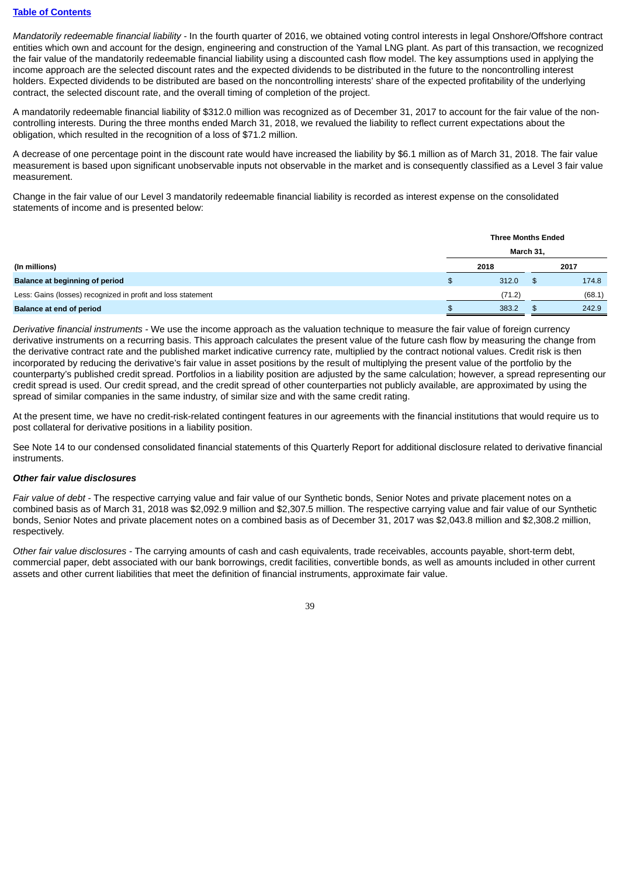*Mandatorily redeemable financial liability -* In the fourth quarter of 2016, we obtained voting control interests in legal Onshore/Offshore contract entities which own and account for the design, engineering and construction of the Yamal LNG plant. As part of this transaction, we recognized the fair value of the mandatorily redeemable financial liability using a discounted cash flow model. The key assumptions used in applying the income approach are the selected discount rates and the expected dividends to be distributed in the future to the noncontrolling interest holders. Expected dividends to be distributed are based on the noncontrolling interests' share of the expected profitability of the underlying contract, the selected discount rate, and the overall timing of completion of the project.

A mandatorily redeemable financial liability of \$312.0 million was recognized as of December 31, 2017 to account for the fair value of the noncontrolling interests. During the three months ended March 31, 2018, we revalued the liability to reflect current expectations about the obligation, which resulted in the recognition of a loss of \$71.2 million.

A decrease of one percentage point in the discount rate would have increased the liability by \$6.1 million as of March 31, 2018. The fair value measurement is based upon significant unobservable inputs not observable in the market and is consequently classified as a Level 3 fair value measurement.

Change in the fair value of our Level 3 mandatorily redeemable financial liability is recorded as interest expense on the consolidated statements of income and is presented below:

|                                                              |  | <b>Three Months Ended</b> |      |        |  |  |
|--------------------------------------------------------------|--|---------------------------|------|--------|--|--|
|                                                              |  | March 31.                 |      |        |  |  |
| (In millions)                                                |  | 2018                      |      | 2017   |  |  |
| Balance at beginning of period                               |  | 312.0                     | - \$ | 174.8  |  |  |
| Less: Gains (losses) recognized in profit and loss statement |  | (71.2)                    |      | (68.1) |  |  |
| Balance at end of period                                     |  | 383.2                     | \$   | 242.9  |  |  |

*Derivative financial instruments -* We use the income approach as the valuation technique to measure the fair value of foreign currency derivative instruments on a recurring basis. This approach calculates the present value of the future cash flow by measuring the change from the derivative contract rate and the published market indicative currency rate, multiplied by the contract notional values. Credit risk is then incorporated by reducing the derivative's fair value in asset positions by the result of multiplying the present value of the portfolio by the counterparty's published credit spread. Portfolios in a liability position are adjusted by the same calculation; however, a spread representing our credit spread is used. Our credit spread, and the credit spread of other counterparties not publicly available, are approximated by using the spread of similar companies in the same industry, of similar size and with the same credit rating.

At the present time, we have no credit-risk-related contingent features in our agreements with the financial institutions that would require us to post collateral for derivative positions in a liability position.

See Note 14 to our condensed consolidated financial statements of this Quarterly Report for additional disclosure related to derivative financial **instruments** 

#### *Other fair value disclosures*

*Fair value of debt -* The respective carrying value and fair value of our Synthetic bonds, Senior Notes and private placement notes on a combined basis as of March 31, 2018 was \$2,092.9 million and \$2,307.5 million. The respective carrying value and fair value of our Synthetic bonds, Senior Notes and private placement notes on a combined basis as of December 31, 2017 was \$2,043.8 million and \$2,308.2 million, respectively.

*Other fair value disclosures -* The carrying amounts of cash and cash equivalents, trade receivables, accounts payable, short-term debt, commercial paper, debt associated with our bank borrowings, credit facilities, convertible bonds, as well as amounts included in other current assets and other current liabilities that meet the definition of financial instruments, approximate fair value.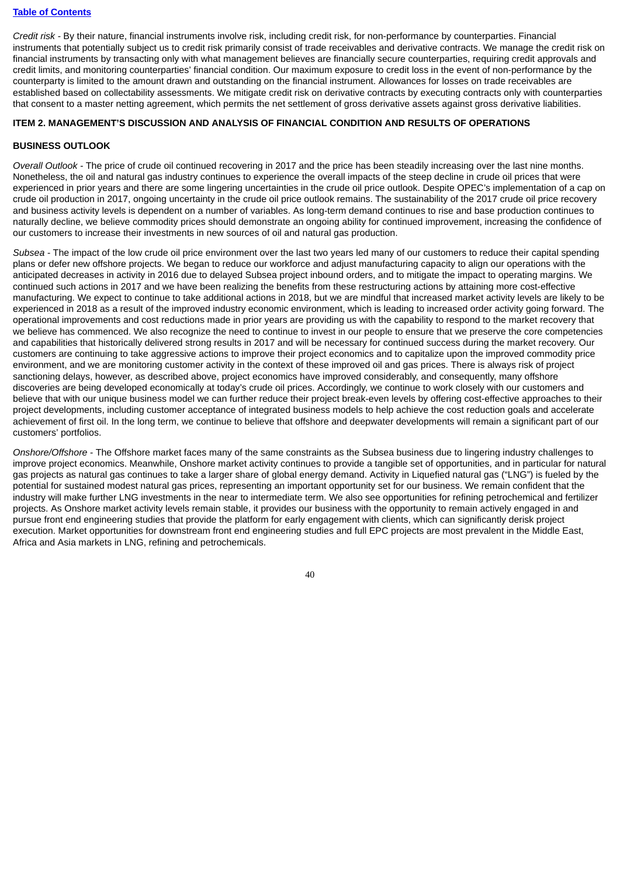*Credit risk -* By their nature, financial instruments involve risk, including credit risk, for non-performance by counterparties. Financial instruments that potentially subject us to credit risk primarily consist of trade receivables and derivative contracts. We manage the credit risk on financial instruments by transacting only with what management believes are financially secure counterparties, requiring credit approvals and credit limits, and monitoring counterparties' financial condition. Our maximum exposure to credit loss in the event of non-performance by the counterparty is limited to the amount drawn and outstanding on the financial instrument. Allowances for losses on trade receivables are established based on collectability assessments. We mitigate credit risk on derivative contracts by executing contracts only with counterparties that consent to a master netting agreement, which permits the net settlement of gross derivative assets against gross derivative liabilities.

#### <span id="page-39-0"></span>**ITEM 2. MANAGEMENT'S DISCUSSION AND ANALYSIS OF FINANCIAL CONDITION AND RESULTS OF OPERATIONS**

#### <span id="page-39-1"></span>**BUSINESS OUTLOOK**

*Overall Outlook -* The price of crude oil continued recovering in 2017 and the price has been steadily increasing over the last nine months. Nonetheless, the oil and natural gas industry continues to experience the overall impacts of the steep decline in crude oil prices that were experienced in prior years and there are some lingering uncertainties in the crude oil price outlook. Despite OPEC's implementation of a cap on crude oil production in 2017, ongoing uncertainty in the crude oil price outlook remains. The sustainability of the 2017 crude oil price recovery and business activity levels is dependent on a number of variables. As long-term demand continues to rise and base production continues to naturally decline, we believe commodity prices should demonstrate an ongoing ability for continued improvement, increasing the confidence of our customers to increase their investments in new sources of oil and natural gas production.

*Subsea -* The impact of the low crude oil price environment over the last two years led many of our customers to reduce their capital spending plans or defer new offshore projects. We began to reduce our workforce and adjust manufacturing capacity to align our operations with the anticipated decreases in activity in 2016 due to delayed Subsea project inbound orders, and to mitigate the impact to operating margins. We continued such actions in 2017 and we have been realizing the benefits from these restructuring actions by attaining more cost-effective manufacturing. We expect to continue to take additional actions in 2018, but we are mindful that increased market activity levels are likely to be experienced in 2018 as a result of the improved industry economic environment, which is leading to increased order activity going forward. The operational improvements and cost reductions made in prior years are providing us with the capability to respond to the market recovery that we believe has commenced. We also recognize the need to continue to invest in our people to ensure that we preserve the core competencies and capabilities that historically delivered strong results in 2017 and will be necessary for continued success during the market recovery. Our customers are continuing to take aggressive actions to improve their project economics and to capitalize upon the improved commodity price environment, and we are monitoring customer activity in the context of these improved oil and gas prices. There is always risk of project sanctioning delays, however, as described above, project economics have improved considerably, and consequently, many offshore discoveries are being developed economically at today's crude oil prices. Accordingly, we continue to work closely with our customers and believe that with our unique business model we can further reduce their project break-even levels by offering cost-effective approaches to their project developments, including customer acceptance of integrated business models to help achieve the cost reduction goals and accelerate achievement of first oil. In the long term, we continue to believe that offshore and deepwater developments will remain a significant part of our customers' portfolios.

*Onshore/Offshore -* The Offshore market faces many of the same constraints as the Subsea business due to lingering industry challenges to improve project economics. Meanwhile, Onshore market activity continues to provide a tangible set of opportunities, and in particular for natural gas projects as natural gas continues to take a larger share of global energy demand. Activity in Liquefied natural gas ("LNG") is fueled by the potential for sustained modest natural gas prices, representing an important opportunity set for our business. We remain confident that the industry will make further LNG investments in the near to intermediate term. We also see opportunities for refining petrochemical and fertilizer projects. As Onshore market activity levels remain stable, it provides our business with the opportunity to remain actively engaged in and pursue front end engineering studies that provide the platform for early engagement with clients, which can significantly derisk project execution. Market opportunities for downstream front end engineering studies and full EPC projects are most prevalent in the Middle East, Africa and Asia markets in LNG, refining and petrochemicals.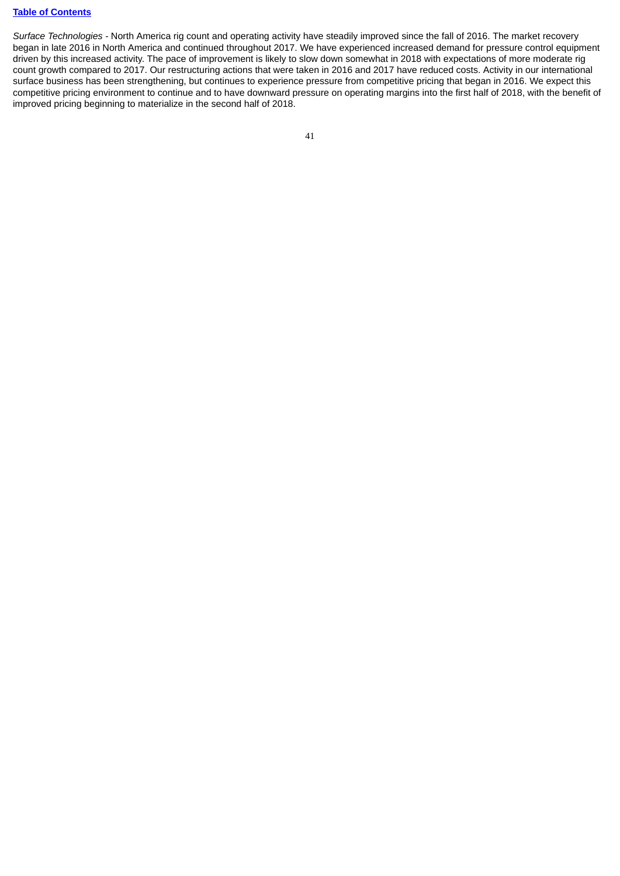*Surface Technologies -* North America rig count and operating activity have steadily improved since the fall of 2016. The market recovery began in late 2016 in North America and continued throughout 2017. We have experienced increased demand for pressure control equipment driven by this increased activity. The pace of improvement is likely to slow down somewhat in 2018 with expectations of more moderate rig count growth compared to 2017. Our restructuring actions that were taken in 2016 and 2017 have reduced costs. Activity in our international surface business has been strengthening, but continues to experience pressure from competitive pricing that began in 2016. We expect this competitive pricing environment to continue and to have downward pressure on operating margins into the first half of 2018, with the benefit of improved pricing beginning to materialize in the second half of 2018.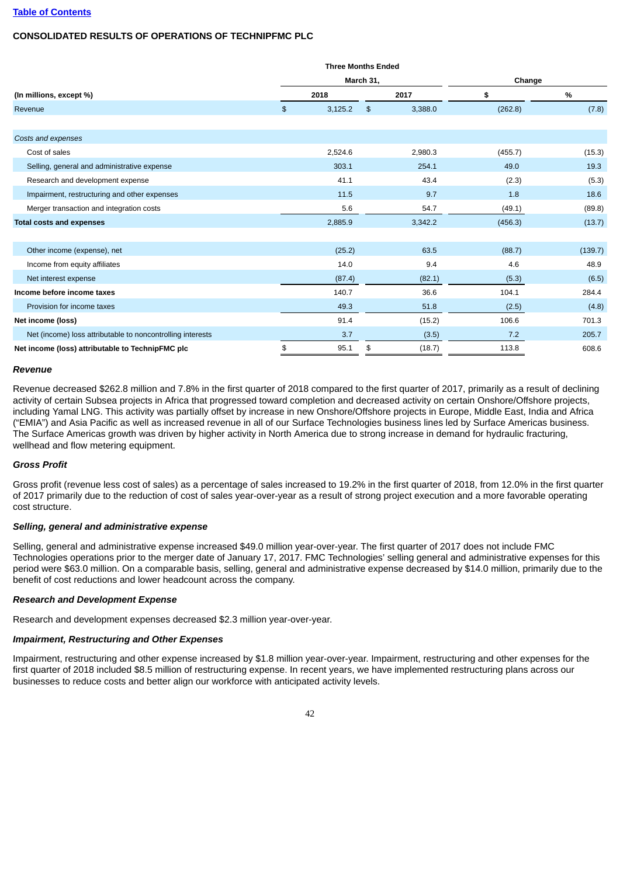#### <span id="page-41-0"></span>**CONSOLIDATED RESULTS OF OPERATIONS OF TECHNIPFMC PLC**

|                                                            |               |         | <b>Three Months Ended</b> |         |         |  |  |  |
|------------------------------------------------------------|---------------|---------|---------------------------|---------|---------|--|--|--|
|                                                            |               |         | March 31,                 |         | Change  |  |  |  |
| (In millions, except %)                                    |               | 2018    | 2017                      | \$      | %       |  |  |  |
| Revenue                                                    | $\frac{2}{3}$ | 3,125.2 | $\frac{2}{3}$<br>3,388.0  | (262.8) | (7.8)   |  |  |  |
|                                                            |               |         |                           |         |         |  |  |  |
| Costs and expenses                                         |               |         |                           |         |         |  |  |  |
| Cost of sales                                              |               | 2,524.6 | 2,980.3                   | (455.7) | (15.3)  |  |  |  |
| Selling, general and administrative expense                |               | 303.1   | 254.1                     | 49.0    | 19.3    |  |  |  |
| Research and development expense                           |               | 41.1    | 43.4                      | (2.3)   | (5.3)   |  |  |  |
| Impairment, restructuring and other expenses               |               | 11.5    | 9.7                       | 1.8     | 18.6    |  |  |  |
| Merger transaction and integration costs                   |               | 5.6     | 54.7                      | (49.1)  | (89.8)  |  |  |  |
| <b>Total costs and expenses</b>                            |               | 2,885.9 | 3,342.2                   | (456.3) | (13.7)  |  |  |  |
|                                                            |               |         |                           |         |         |  |  |  |
| Other income (expense), net                                |               | (25.2)  | 63.5                      | (88.7)  | (139.7) |  |  |  |
| Income from equity affiliates                              |               | 14.0    | 9.4                       | 4.6     | 48.9    |  |  |  |
| Net interest expense                                       |               | (87.4)  | (82.1)                    | (5.3)   | (6.5)   |  |  |  |
| Income before income taxes                                 |               | 140.7   | 36.6                      | 104.1   | 284.4   |  |  |  |
| Provision for income taxes                                 |               | 49.3    | 51.8                      | (2.5)   | (4.8)   |  |  |  |
| Net income (loss)                                          |               | 91.4    | (15.2)                    | 106.6   | 701.3   |  |  |  |
| Net (income) loss attributable to noncontrolling interests |               | 3.7     | (3.5)                     | 7.2     | 205.7   |  |  |  |
| Net income (loss) attributable to TechnipFMC plc           | \$            | 95.1    | (18.7)<br>\$              | 113.8   | 608.6   |  |  |  |

#### *Revenue*

Revenue decreased \$262.8 million and 7.8% in the first quarter of 2018 compared to the first quarter of 2017, primarily as a result of declining activity of certain Subsea projects in Africa that progressed toward completion and decreased activity on certain Onshore/Offshore projects, including Yamal LNG. This activity was partially offset by increase in new Onshore/Offshore projects in Europe, Middle East, India and Africa ("EMIA") and Asia Pacific as well as increased revenue in all of our Surface Technologies business lines led by Surface Americas business. The Surface Americas growth was driven by higher activity in North America due to strong increase in demand for hydraulic fracturing, wellhead and flow metering equipment.

#### *Gross Profit*

Gross profit (revenue less cost of sales) as a percentage of sales increased to 19.2% in the first quarter of 2018, from 12.0% in the first quarter of 2017 primarily due to the reduction of cost of sales year-over-year as a result of strong project execution and a more favorable operating cost structure.

#### *Selling, general and administrative expense*

Selling, general and administrative expense increased \$49.0 million year-over-year. The first quarter of 2017 does not include FMC Technologies operations prior to the merger date of January 17, 2017. FMC Technologies' selling general and administrative expenses for this period were \$63.0 million. On a comparable basis, selling, general and administrative expense decreased by \$14.0 million, primarily due to the benefit of cost reductions and lower headcount across the company.

#### *Research and Development Expense*

Research and development expenses decreased \$2.3 million year-over-year.

#### *Impairment, Restructuring and Other Expenses*

Impairment, restructuring and other expense increased by \$1.8 million year-over-year. Impairment, restructuring and other expenses for the first quarter of 2018 included \$8.5 million of restructuring expense. In recent years, we have implemented restructuring plans across our businesses to reduce costs and better align our workforce with anticipated activity levels.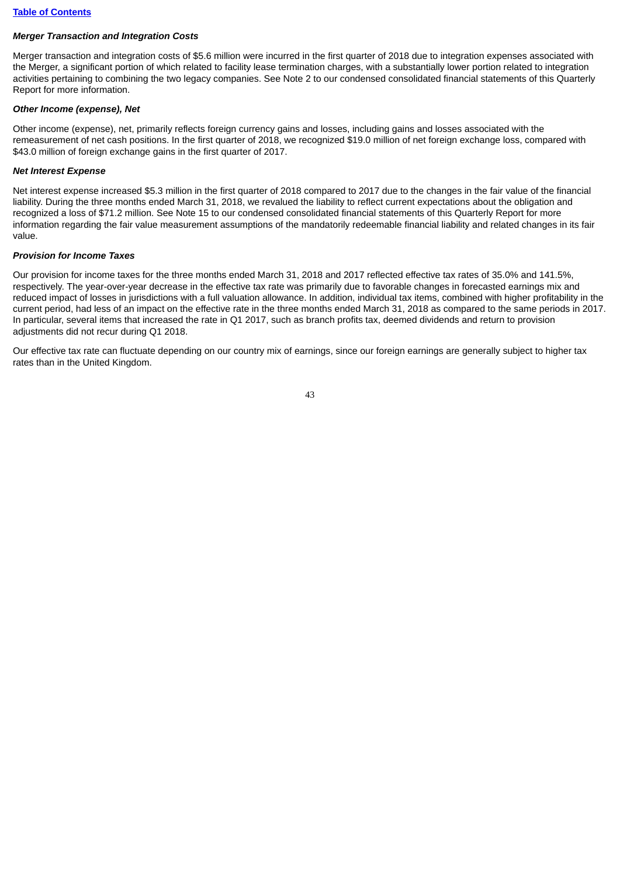## *Merger Transaction and Integration Costs*

Merger transaction and integration costs of \$5.6 million were incurred in the first quarter of 2018 due to integration expenses associated with the Merger, a significant portion of which related to facility lease termination charges, with a substantially lower portion related to integration activities pertaining to combining the two legacy companies. See Note 2 to our condensed consolidated financial statements of this Quarterly Report for more information.

#### *Other Income (expense), Net*

Other income (expense), net, primarily reflects foreign currency gains and losses, including gains and losses associated with the remeasurement of net cash positions. In the first quarter of 2018, we recognized \$19.0 million of net foreign exchange loss, compared with \$43.0 million of foreign exchange gains in the first quarter of 2017.

#### *Net Interest Expense*

Net interest expense increased \$5.3 million in the first quarter of 2018 compared to 2017 due to the changes in the fair value of the financial liability. During the three months ended March 31, 2018, we revalued the liability to reflect current expectations about the obligation and recognized a loss of \$71.2 million. See Note 15 to our condensed consolidated financial statements of this Quarterly Report for more information regarding the fair value measurement assumptions of the mandatorily redeemable financial liability and related changes in its fair value.

#### *Provision for Income Taxes*

Our provision for income taxes for the three months ended March 31, 2018 and 2017 reflected effective tax rates of 35.0% and 141.5%, respectively. The year-over-year decrease in the effective tax rate was primarily due to favorable changes in forecasted earnings mix and reduced impact of losses in jurisdictions with a full valuation allowance. In addition, individual tax items, combined with higher profitability in the current period, had less of an impact on the effective rate in the three months ended March 31, 2018 as compared to the same periods in 2017. In particular, several items that increased the rate in Q1 2017, such as branch profits tax, deemed dividends and return to provision adjustments did not recur during Q1 2018.

Our effective tax rate can fluctuate depending on our country mix of earnings, since our foreign earnings are generally subject to higher tax rates than in the United Kingdom.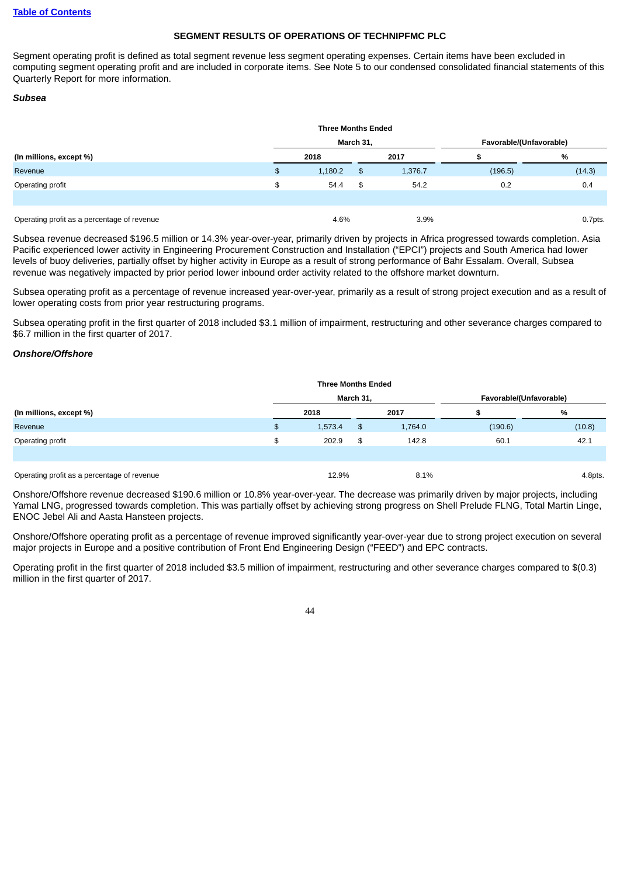#### **SEGMENT RESULTS OF OPERATIONS OF TECHNIPFMC PLC**

<span id="page-43-0"></span>Segment operating profit is defined as total segment revenue less segment operating expenses. Certain items have been excluded in computing segment operating profit and are included in corporate items. See Note 5 to our condensed consolidated financial statements of this Quarterly Report for more information.

#### *Subsea*

|                                             |     | <b>Three Months Ended</b> |           |         |                         |            |  |  |  |  |  |  |
|---------------------------------------------|-----|---------------------------|-----------|---------|-------------------------|------------|--|--|--|--|--|--|
|                                             |     |                           | March 31, |         | Favorable/(Unfavorable) |            |  |  |  |  |  |  |
| (In millions, except %)                     |     | 2018                      |           | 2017    |                         | %          |  |  |  |  |  |  |
| Revenue                                     | эĐ. | 1,180.2                   | \$        | 1,376.7 | (196.5)                 | (14.3)     |  |  |  |  |  |  |
| Operating profit                            |     | 54.4                      | \$        | 54.2    | 0.2                     | 0.4        |  |  |  |  |  |  |
| Operating profit as a percentage of revenue |     | 4.6%                      |           | 3.9%    |                         | $0.7pts$ . |  |  |  |  |  |  |

Subsea revenue decreased \$196.5 million or 14.3% year-over-year, primarily driven by projects in Africa progressed towards completion. Asia Pacific experienced lower activity in Engineering Procurement Construction and Installation ("EPCI") projects and South America had lower levels of buoy deliveries, partially offset by higher activity in Europe as a result of strong performance of Bahr Essalam. Overall, Subsea revenue was negatively impacted by prior period lower inbound order activity related to the offshore market downturn.

Subsea operating profit as a percentage of revenue increased year-over-year, primarily as a result of strong project execution and as a result of lower operating costs from prior year restructuring programs.

Subsea operating profit in the first quarter of 2018 included \$3.1 million of impairment, restructuring and other severance charges compared to \$6.7 million in the first quarter of 2017.

#### *Onshore/Offshore*

|                         |    |         | March 31,  |         | Favorable/(Unfavorable) |        |  |
|-------------------------|----|---------|------------|---------|-------------------------|--------|--|
| (In millions, except %) |    | 2018    |            | 2017    |                         | %      |  |
| Revenue                 | \$ | 1,573.4 | $\sqrt{3}$ | 1,764.0 | (190.6)                 | (10.8) |  |
| Operating profit        | \$ | 202.9   | \$         | 142.8   | 60.1                    | 42.1   |  |
|                         |    |         |            |         |                         |        |  |
|                         |    |         |            |         |                         |        |  |

Operating profit as a percentage of revenue  $12.9\%$   $8.1\%$ 

Onshore/Offshore revenue decreased \$190.6 million or 10.8% year-over-year. The decrease was primarily driven by major projects, including Yamal LNG, progressed towards completion. This was partially offset by achieving strong progress on Shell Prelude FLNG, Total Martin Linge, ENOC Jebel Ali and Aasta Hansteen projects.

Onshore/Offshore operating profit as a percentage of revenue improved significantly year-over-year due to strong project execution on several major projects in Europe and a positive contribution of Front End Engineering Design ("FEED") and EPC contracts.

Operating profit in the first quarter of 2018 included \$3.5 million of impairment, restructuring and other severance charges compared to \$(0.3) million in the first quarter of 2017.

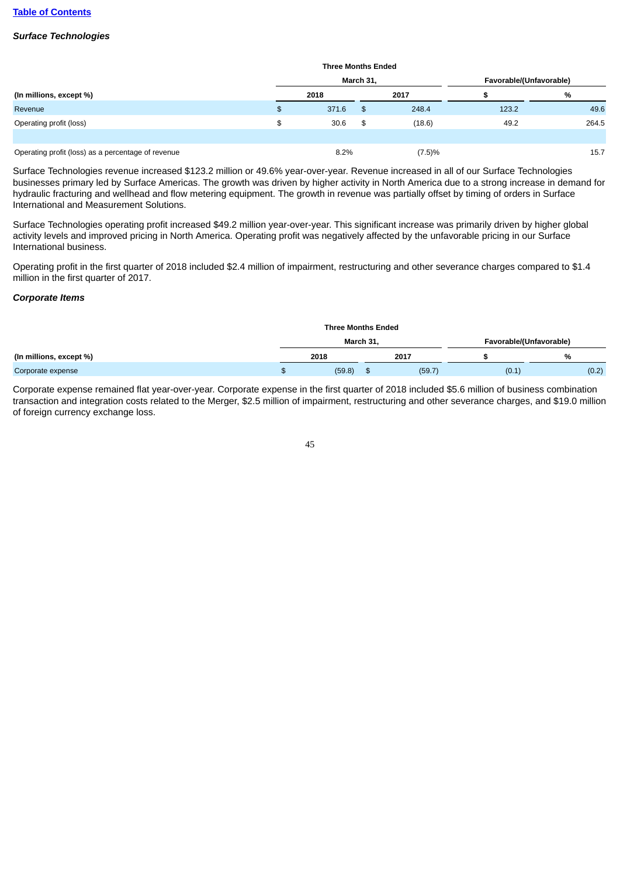#### *Surface Technologies*

|                                                    | <b>Three Months Ended</b> |           |        |                         |       |  |  |  |  |  |
|----------------------------------------------------|---------------------------|-----------|--------|-------------------------|-------|--|--|--|--|--|
|                                                    |                           | March 31. |        | Favorable/(Unfavorable) |       |  |  |  |  |  |
| (In millions, except %)                            | 2018                      |           | 2017   |                         | %     |  |  |  |  |  |
| Revenue                                            | \$<br>371.6               | \$        | 248.4  | 123.2                   | 49.6  |  |  |  |  |  |
| Operating profit (loss)                            | \$<br>30.6                | \$        | (18.6) | 49.2                    | 264.5 |  |  |  |  |  |
| Operating profit (loss) as a percentage of revenue | 8.2%                      |           | (7.5)% |                         | 15.7  |  |  |  |  |  |

Surface Technologies revenue increased \$123.2 million or 49.6% year-over-year. Revenue increased in all of our Surface Technologies businesses primary led by Surface Americas. The growth was driven by higher activity in North America due to a strong increase in demand for hydraulic fracturing and wellhead and flow metering equipment. The growth in revenue was partially offset by timing of orders in Surface International and Measurement Solutions.

Surface Technologies operating profit increased \$49.2 million year-over-year. This significant increase was primarily driven by higher global activity levels and improved pricing in North America. Operating profit was negatively affected by the unfavorable pricing in our Surface International business.

Operating profit in the first quarter of 2018 included \$2.4 million of impairment, restructuring and other severance charges compared to \$1.4 million in the first quarter of 2017.

#### *Corporate Items*

|                         | <b>Three Months Ended</b> |           |                         |        |       |   |       |  |  |  |
|-------------------------|---------------------------|-----------|-------------------------|--------|-------|---|-------|--|--|--|
|                         |                           | March 31, | Favorable/(Unfavorable) |        |       |   |       |  |  |  |
| (In millions, except %) |                           | 2018      | 2017                    |        |       | % |       |  |  |  |
| Corporate expense       |                           | (59.8)    |                         | (59.7) | (0.1) |   | (0.2) |  |  |  |

Corporate expense remained flat year-over-year. Corporate expense in the first quarter of 2018 included \$5.6 million of business combination transaction and integration costs related to the Merger, \$2.5 million of impairment, restructuring and other severance charges, and \$19.0 million of foreign currency exchange loss.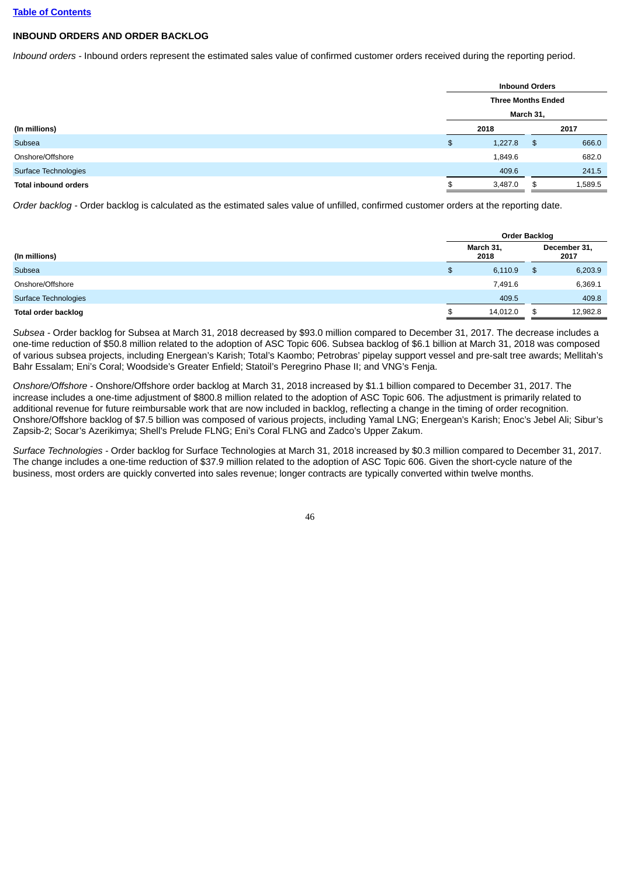#### <span id="page-45-0"></span>**INBOUND ORDERS AND ORDER BACKLOG**

*Inbound orders -* Inbound orders represent the estimated sales value of confirmed customer orders received during the reporting period.

|                             |    | <b>Inbound Orders</b>                  |    |         |  |  |
|-----------------------------|----|----------------------------------------|----|---------|--|--|
|                             |    | <b>Three Months Ended</b><br>March 31, |    |         |  |  |
|                             |    |                                        |    |         |  |  |
| (In millions)               |    | 2017<br>2018                           |    |         |  |  |
| Subsea                      | \$ | 1,227.8                                | \$ | 666.0   |  |  |
| Onshore/Offshore            |    | 1,849.6                                |    | 682.0   |  |  |
| Surface Technologies        |    | 409.6                                  |    | 241.5   |  |  |
| <b>Total inbound orders</b> | ¢  | 3,487.0                                | \$ | 1,589.5 |  |  |

*Order backlog -* Order backlog is calculated as the estimated sales value of unfilled, confirmed customer orders at the reporting date.

|                      | <b>Order Backlog</b> |      |                      |  |  |  |  |
|----------------------|----------------------|------|----------------------|--|--|--|--|
| (In millions)        | March 31,<br>2018    |      | December 31,<br>2017 |  |  |  |  |
| Subsea               | \$<br>6,110.9        | - \$ | 6,203.9              |  |  |  |  |
| Onshore/Offshore     | 7,491.6              |      | 6,369.1              |  |  |  |  |
| Surface Technologies | 409.5                |      | 409.8                |  |  |  |  |
| Total order backlog  | 14,012.0             | -\$  | 12,982.8             |  |  |  |  |

*Subsea -* Order backlog for Subsea at March 31, 2018 decreased by \$93.0 million compared to December 31, 2017. The decrease includes a one-time reduction of \$50.8 million related to the adoption of ASC Topic 606. Subsea backlog of \$6.1 billion at March 31, 2018 was composed of various subsea projects, including Energean's Karish; Total's Kaombo; Petrobras' pipelay support vessel and pre-salt tree awards; Mellitah's Bahr Essalam; Eni's Coral; Woodside's Greater Enfield; Statoil's Peregrino Phase II; and VNG's Fenja.

*Onshore/Offshore -* Onshore/Offshore order backlog at March 31, 2018 increased by \$1.1 billion compared to December 31, 2017. The increase includes a one-time adjustment of \$800.8 million related to the adoption of ASC Topic 606. The adjustment is primarily related to additional revenue for future reimbursable work that are now included in backlog, reflecting a change in the timing of order recognition. Onshore/Offshore backlog of \$7.5 billion was composed of various projects, including Yamal LNG; Energean's Karish; Enoc's Jebel Ali; Sibur's Zapsib-2; Socar's Azerikimya; Shell's Prelude FLNG; Eni's Coral FLNG and Zadco's Upper Zakum.

*Surface Technologies -* Order backlog for Surface Technologies at March 31, 2018 increased by \$0.3 million compared to December 31, 2017. The change includes a one-time reduction of \$37.9 million related to the adoption of ASC Topic 606. Given the short-cycle nature of the business, most orders are quickly converted into sales revenue; longer contracts are typically converted within twelve months.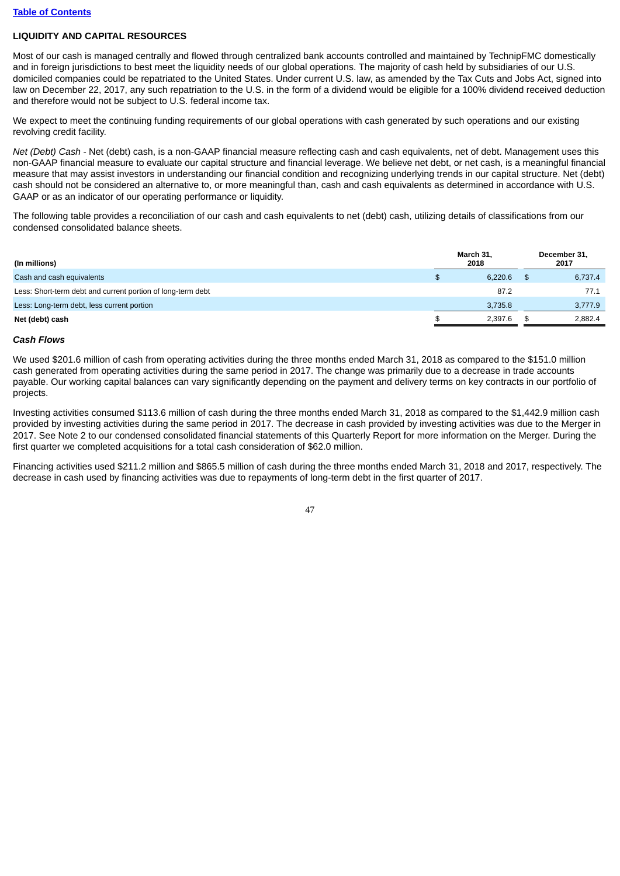#### <span id="page-46-0"></span>**LIQUIDITY AND CAPITAL RESOURCES**

Most of our cash is managed centrally and flowed through centralized bank accounts controlled and maintained by TechnipFMC domestically and in foreign jurisdictions to best meet the liquidity needs of our global operations. The majority of cash held by subsidiaries of our U.S. domiciled companies could be repatriated to the United States. Under current U.S. law, as amended by the Tax Cuts and Jobs Act, signed into law on December 22, 2017, any such repatriation to the U.S. in the form of a dividend would be eligible for a 100% dividend received deduction and therefore would not be subject to U.S. federal income tax.

We expect to meet the continuing funding requirements of our global operations with cash generated by such operations and our existing revolving credit facility.

*Net (Debt) Cash -* Net (debt) cash, is a non-GAAP financial measure reflecting cash and cash equivalents, net of debt. Management uses this non-GAAP financial measure to evaluate our capital structure and financial leverage. We believe net debt, or net cash, is a meaningful financial measure that may assist investors in understanding our financial condition and recognizing underlying trends in our capital structure. Net (debt) cash should not be considered an alternative to, or more meaningful than, cash and cash equivalents as determined in accordance with U.S. GAAP or as an indicator of our operating performance or liquidity.

The following table provides a reconciliation of our cash and cash equivalents to net (debt) cash, utilizing details of classifications from our condensed consolidated balance sheets.

| (In millions)                                               | March 31,<br>2018 |      | December 31,<br>2017 |      |
|-------------------------------------------------------------|-------------------|------|----------------------|------|
| Cash and cash equivalents                                   | 6.220.6<br>\$     |      | 6,737.4              |      |
| Less: Short-term debt and current portion of long-term debt |                   | 87.2 |                      | 77.1 |
| Less: Long-term debt, less current portion                  | 3.735.8           |      | 3,777.9              |      |
| Net (debt) cash                                             | 2.397.6           |      | 2,882.4              |      |

#### *Cash Flows*

We used \$201.6 million of cash from operating activities during the three months ended March 31, 2018 as compared to the \$151.0 million cash generated from operating activities during the same period in 2017. The change was primarily due to a decrease in trade accounts payable. Our working capital balances can vary significantly depending on the payment and delivery terms on key contracts in our portfolio of projects.

Investing activities consumed \$113.6 million of cash during the three months ended March 31, 2018 as compared to the \$1,442.9 million cash provided by investing activities during the same period in 2017. The decrease in cash provided by investing activities was due to the Merger in 2017. See Note 2 to our condensed consolidated financial statements of this Quarterly Report for more information on the Merger. During the first quarter we completed acquisitions for a total cash consideration of \$62.0 million.

Financing activities used \$211.2 million and \$865.5 million of cash during the three months ended March 31, 2018 and 2017, respectively. The decrease in cash used by financing activities was due to repayments of long-term debt in the first quarter of 2017.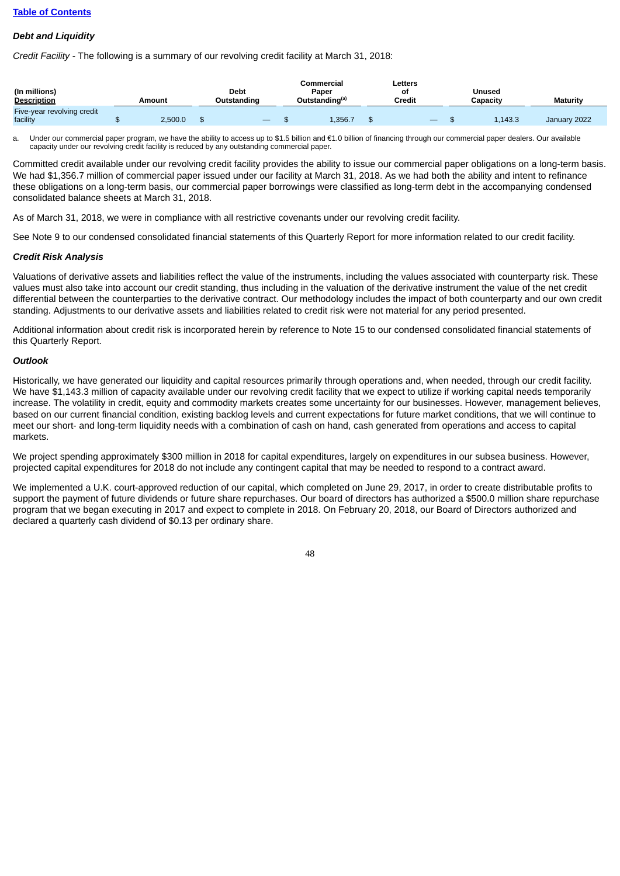## *Debt and Liquidity*

*Credit Facility -* The following is a summary of our revolving credit facility at March 31, 2018:

| (In millions)<br><b>Description</b>    | Amount  | Debt<br><b>Outstanding</b> | Commercial<br>Paper<br><b>Dutstanding<sup>(a)</sup></b> | Letters<br>0Ť<br>Credit |  | <b>Unused</b><br>Capacitv | <b>Maturity</b> |  |
|----------------------------------------|---------|----------------------------|---------------------------------------------------------|-------------------------|--|---------------------------|-----------------|--|
| Five-year revolving credit<br>facility | 2,500.0 |                            | 1,356.7                                                 |                         |  | 1.143.3                   | January 2022    |  |

a. Under our commercial paper program, we have the ability to access up to \$1.5 billion and €1.0 billion of financing through our commercial paper dealers. Our available capacity under our revolving credit facility is reduced by any outstanding commercial paper.

Committed credit available under our revolving credit facility provides the ability to issue our commercial paper obligations on a long-term basis. We had \$1,356.7 million of commercial paper issued under our facility at March 31, 2018. As we had both the ability and intent to refinance these obligations on a long-term basis, our commercial paper borrowings were classified as long-term debt in the accompanying condensed consolidated balance sheets at March 31, 2018.

As of March 31, 2018, we were in compliance with all restrictive covenants under our revolving credit facility.

See Note 9 to our condensed consolidated financial statements of this Quarterly Report for more information related to our credit facility.

## *Credit Risk Analysis*

Valuations of derivative assets and liabilities reflect the value of the instruments, including the values associated with counterparty risk. These values must also take into account our credit standing, thus including in the valuation of the derivative instrument the value of the net credit differential between the counterparties to the derivative contract. Our methodology includes the impact of both counterparty and our own credit standing. Adjustments to our derivative assets and liabilities related to credit risk were not material for any period presented.

Additional information about credit risk is incorporated herein by reference to Note 15 to our condensed consolidated financial statements of this Quarterly Report.

#### *Outlook*

Historically, we have generated our liquidity and capital resources primarily through operations and, when needed, through our credit facility. We have \$1,143.3 million of capacity available under our revolving credit facility that we expect to utilize if working capital needs temporarily increase. The volatility in credit, equity and commodity markets creates some uncertainty for our businesses. However, management believes, based on our current financial condition, existing backlog levels and current expectations for future market conditions, that we will continue to meet our short- and long-term liquidity needs with a combination of cash on hand, cash generated from operations and access to capital markets.

We project spending approximately \$300 million in 2018 for capital expenditures, largely on expenditures in our subsea business. However, projected capital expenditures for 2018 do not include any contingent capital that may be needed to respond to a contract award.

We implemented a U.K. court-approved reduction of our capital, which completed on June 29, 2017, in order to create distributable profits to support the payment of future dividends or future share repurchases. Our board of directors has authorized a \$500.0 million share repurchase program that we began executing in 2017 and expect to complete in 2018. On February 20, 2018, our Board of Directors authorized and declared a quarterly cash dividend of \$0.13 per ordinary share.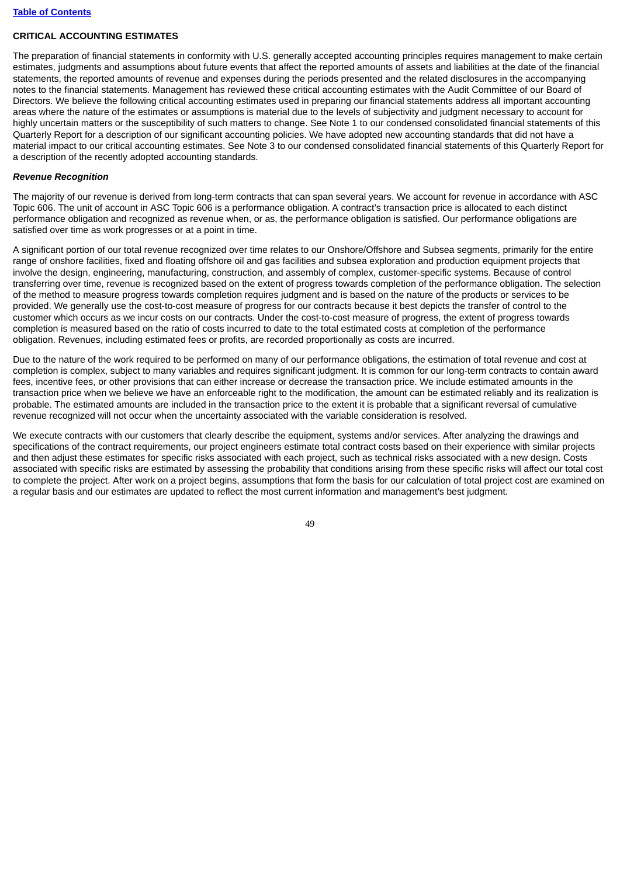## <span id="page-48-0"></span>**CRITICAL ACCOUNTING ESTIMATES**

The preparation of financial statements in conformity with U.S. generally accepted accounting principles requires management to make certain estimates, judgments and assumptions about future events that affect the reported amounts of assets and liabilities at the date of the financial statements, the reported amounts of revenue and expenses during the periods presented and the related disclosures in the accompanying notes to the financial statements. Management has reviewed these critical accounting estimates with the Audit Committee of our Board of Directors. We believe the following critical accounting estimates used in preparing our financial statements address all important accounting areas where the nature of the estimates or assumptions is material due to the levels of subjectivity and judgment necessary to account for highly uncertain matters or the susceptibility of such matters to change. See Note 1 to our condensed consolidated financial statements of this Quarterly Report for a description of our significant accounting policies. We have adopted new accounting standards that did not have a material impact to our critical accounting estimates. See Note 3 to our condensed consolidated financial statements of this Quarterly Report for a description of the recently adopted accounting standards.

#### *Revenue Recognition*

The majority of our revenue is derived from long-term contracts that can span several years. We account for revenue in accordance with ASC Topic 606. The unit of account in ASC Topic 606 is a performance obligation. A contract's transaction price is allocated to each distinct performance obligation and recognized as revenue when, or as, the performance obligation is satisfied. Our performance obligations are satisfied over time as work progresses or at a point in time.

A significant portion of our total revenue recognized over time relates to our Onshore/Offshore and Subsea segments, primarily for the entire range of onshore facilities, fixed and floating offshore oil and gas facilities and subsea exploration and production equipment projects that involve the design, engineering, manufacturing, construction, and assembly of complex, customer-specific systems. Because of control transferring over time, revenue is recognized based on the extent of progress towards completion of the performance obligation. The selection of the method to measure progress towards completion requires judgment and is based on the nature of the products or services to be provided. We generally use the cost-to-cost measure of progress for our contracts because it best depicts the transfer of control to the customer which occurs as we incur costs on our contracts. Under the cost-to-cost measure of progress, the extent of progress towards completion is measured based on the ratio of costs incurred to date to the total estimated costs at completion of the performance obligation. Revenues, including estimated fees or profits, are recorded proportionally as costs are incurred.

Due to the nature of the work required to be performed on many of our performance obligations, the estimation of total revenue and cost at completion is complex, subject to many variables and requires significant judgment. It is common for our long-term contracts to contain award fees, incentive fees, or other provisions that can either increase or decrease the transaction price. We include estimated amounts in the transaction price when we believe we have an enforceable right to the modification, the amount can be estimated reliably and its realization is probable. The estimated amounts are included in the transaction price to the extent it is probable that a significant reversal of cumulative revenue recognized will not occur when the uncertainty associated with the variable consideration is resolved.

We execute contracts with our customers that clearly describe the equipment, systems and/or services. After analyzing the drawings and specifications of the contract requirements, our project engineers estimate total contract costs based on their experience with similar projects and then adjust these estimates for specific risks associated with each project, such as technical risks associated with a new design. Costs associated with specific risks are estimated by assessing the probability that conditions arising from these specific risks will affect our total cost to complete the project. After work on a project begins, assumptions that form the basis for our calculation of total project cost are examined on a regular basis and our estimates are updated to reflect the most current information and management's best judgment.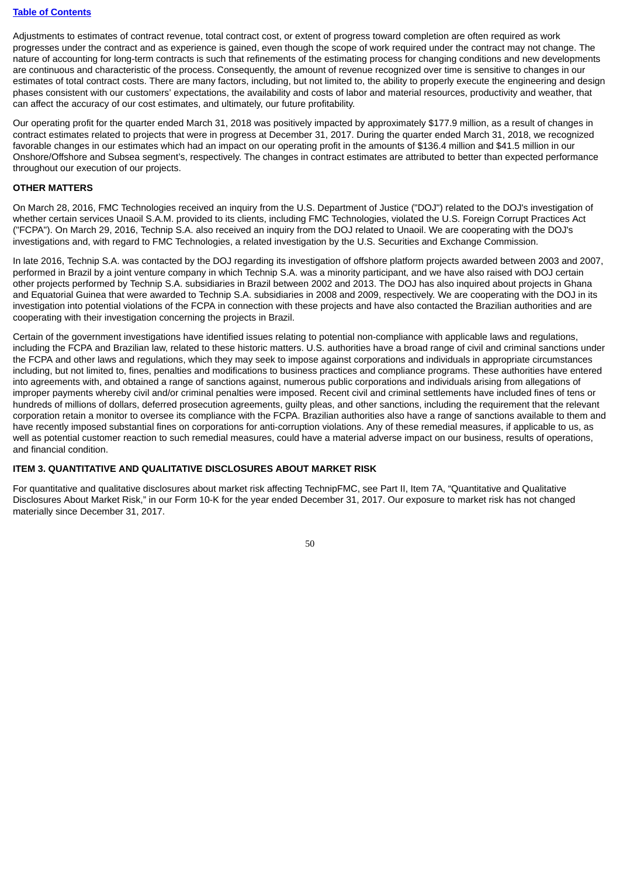Adjustments to estimates of contract revenue, total contract cost, or extent of progress toward completion are often required as work progresses under the contract and as experience is gained, even though the scope of work required under the contract may not change. The nature of accounting for long-term contracts is such that refinements of the estimating process for changing conditions and new developments are continuous and characteristic of the process. Consequently, the amount of revenue recognized over time is sensitive to changes in our estimates of total contract costs. There are many factors, including, but not limited to, the ability to properly execute the engineering and design phases consistent with our customers' expectations, the availability and costs of labor and material resources, productivity and weather, that can affect the accuracy of our cost estimates, and ultimately, our future profitability.

Our operating profit for the quarter ended March 31, 2018 was positively impacted by approximately \$177.9 million, as a result of changes in contract estimates related to projects that were in progress at December 31, 2017. During the quarter ended March 31, 2018, we recognized favorable changes in our estimates which had an impact on our operating profit in the amounts of \$136.4 million and \$41.5 million in our Onshore/Offshore and Subsea segment's, respectively. The changes in contract estimates are attributed to better than expected performance throughout our execution of our projects.

#### <span id="page-49-0"></span>**OTHER MATTERS**

On March 28, 2016, FMC Technologies received an inquiry from the U.S. Department of Justice ("DOJ") related to the DOJ's investigation of whether certain services Unaoil S.A.M. provided to its clients, including FMC Technologies, violated the U.S. Foreign Corrupt Practices Act ("FCPA"). On March 29, 2016, Technip S.A. also received an inquiry from the DOJ related to Unaoil. We are cooperating with the DOJ's investigations and, with regard to FMC Technologies, a related investigation by the U.S. Securities and Exchange Commission.

In late 2016, Technip S.A. was contacted by the DOJ regarding its investigation of offshore platform projects awarded between 2003 and 2007, performed in Brazil by a joint venture company in which Technip S.A. was a minority participant, and we have also raised with DOJ certain other projects performed by Technip S.A. subsidiaries in Brazil between 2002 and 2013. The DOJ has also inquired about projects in Ghana and Equatorial Guinea that were awarded to Technip S.A. subsidiaries in 2008 and 2009, respectively. We are cooperating with the DOJ in its investigation into potential violations of the FCPA in connection with these projects and have also contacted the Brazilian authorities and are cooperating with their investigation concerning the projects in Brazil.

Certain of the government investigations have identified issues relating to potential non-compliance with applicable laws and regulations, including the FCPA and Brazilian law, related to these historic matters. U.S. authorities have a broad range of civil and criminal sanctions under the FCPA and other laws and regulations, which they may seek to impose against corporations and individuals in appropriate circumstances including, but not limited to, fines, penalties and modifications to business practices and compliance programs. These authorities have entered into agreements with, and obtained a range of sanctions against, numerous public corporations and individuals arising from allegations of improper payments whereby civil and/or criminal penalties were imposed. Recent civil and criminal settlements have included fines of tens or hundreds of millions of dollars, deferred prosecution agreements, guilty pleas, and other sanctions, including the requirement that the relevant corporation retain a monitor to oversee its compliance with the FCPA. Brazilian authorities also have a range of sanctions available to them and have recently imposed substantial fines on corporations for anti-corruption violations. Any of these remedial measures, if applicable to us, as well as potential customer reaction to such remedial measures, could have a material adverse impact on our business, results of operations, and financial condition.

#### <span id="page-49-1"></span>**ITEM 3. QUANTITATIVE AND QUALITATIVE DISCLOSURES ABOUT MARKET RISK**

For quantitative and qualitative disclosures about market risk affecting TechnipFMC, see Part II, Item 7A, "Quantitative and Qualitative Disclosures About Market Risk," in our Form 10-K for the year ended December 31, 2017. Our exposure to market risk has not changed materially since December 31, 2017.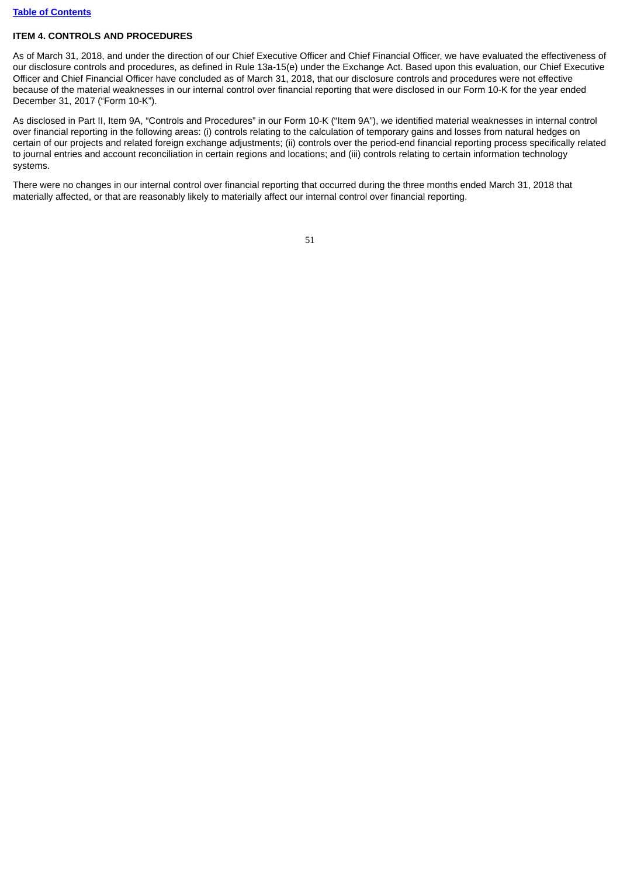## <span id="page-50-0"></span>**ITEM 4. CONTROLS AND PROCEDURES**

As of March 31, 2018, and under the direction of our Chief Executive Officer and Chief Financial Officer, we have evaluated the effectiveness of our disclosure controls and procedures, as defined in Rule 13a-15(e) under the Exchange Act. Based upon this evaluation, our Chief Executive Officer and Chief Financial Officer have concluded as of March 31, 2018, that our disclosure controls and procedures were not effective because of the material weaknesses in our internal control over financial reporting that were disclosed in our Form 10-K for the year ended December 31, 2017 ("Form 10-K").

As disclosed in Part II, Item 9A, "Controls and Procedures" in our Form 10-K ("Item 9A"), we identified material weaknesses in internal control over financial reporting in the following areas: (i) controls relating to the calculation of temporary gains and losses from natural hedges on certain of our projects and related foreign exchange adjustments; (ii) controls over the period-end financial reporting process specifically related to journal entries and account reconciliation in certain regions and locations; and (iii) controls relating to certain information technology systems.

There were no changes in our internal control over financial reporting that occurred during the three months ended March 31, 2018 that materially affected, or that are reasonably likely to materially affect our internal control over financial reporting.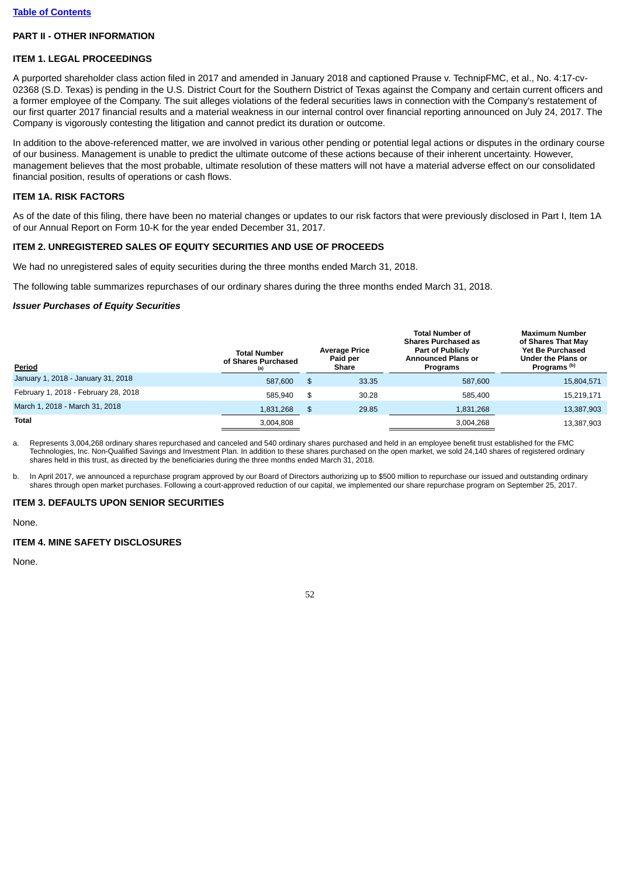## <span id="page-51-0"></span>**PART II - OTHER INFORMATION**

#### <span id="page-51-1"></span>**ITEM 1. LEGAL PROCEEDINGS**

A purported shareholder class action filed in 2017 and amended in January 2018 and captioned Prause v. TechnipFMC, et al., No. 4:17-cv-02368 (S.D. Texas) is pending in the U.S. District Court for the Southern District of Texas against the Company and certain current officers and a former employee of the Company. The suit alleges violations of the federal securities laws in connection with the Company's restatement of our first quarter 2017 financial results and a material weakness in our internal control over financial reporting announced on July 24, 2017. The Company is vigorously contesting the litigation and cannot predict its duration or outcome.

In addition to the above-referenced matter, we are involved in various other pending or potential legal actions or disputes in the ordinary course of our business. Management is unable to predict the ultimate outcome of these actions because of their inherent uncertainty. However, management believes that the most probable, ultimate resolution of these matters will not have a material adverse effect on our consolidated financial position, results of operations or cash flows.

#### <span id="page-51-2"></span>**ITEM 1A. RISK FACTORS**

As of the date of this filing, there have been no material changes or updates to our risk factors that were previously disclosed in Part I, Item 1A of our Annual Report on Form 10-K for the year ended December 31, 2017.

#### <span id="page-51-3"></span>**ITEM 2. UNREGISTERED SALES OF EQUITY SECURITIES AND USE OF PROCEEDS**

We had no unregistered sales of equity securities during the three months ended March 31, 2018.

The following table summarizes repurchases of our ordinary shares during the three months ended March 31, 2018.

#### *Issuer Purchases of Equity Securities*

| Period                               | <b>Total Number</b><br>of Shares Purchased<br>(a) | <b>Average Price</b><br>Paid per<br>Share | <b>Total Number of</b><br><b>Shares Purchased as</b><br><b>Part of Publicly</b><br><b>Announced Plans or</b><br>Programs | <b>Maximum Number</b><br>of Shares That May<br><b>Yet Be Purchased</b><br><b>Under the Plans or</b><br>Programs <sup>(b)</sup> |
|--------------------------------------|---------------------------------------------------|-------------------------------------------|--------------------------------------------------------------------------------------------------------------------------|--------------------------------------------------------------------------------------------------------------------------------|
| January 1, 2018 - January 31, 2018   | 587,600                                           | \$<br>33.35                               | 587.600                                                                                                                  | 15,804,571                                                                                                                     |
| February 1, 2018 - February 28, 2018 | 585.940                                           | \$<br>30.28                               | 585.400                                                                                                                  | 15,219,171                                                                                                                     |
| March 1, 2018 - March 31, 2018       | 1,831,268                                         | \$<br>29.85                               | 1,831,268                                                                                                                | 13,387,903                                                                                                                     |
| <b>Total</b>                         | 3.004.808                                         |                                           | 3.004.268                                                                                                                | 13,387,903                                                                                                                     |

a. Represents 3,004,268 ordinary shares repurchased and canceled and 540 ordinary shares purchased and held in an employee benefit trust established for the FMC Technologies, Inc. Non-Qualified Savings and Investment Plan. In addition to these shares purchased on the open market, we sold 24,140 shares of registered ordinary shares held in this trust, as directed by the beneficiaries during the three months ended March 31, 2018.

b. In April 2017, we announced a repurchase program approved by our Board of Directors authorizing up to \$500 million to repurchase our issued and outstanding ordinary shares through open market purchases. Following a court-approved reduction of our capital, we implemented our share repurchase program on September 25, 2017.

#### <span id="page-51-4"></span>**ITEM 3. DEFAULTS UPON SENIOR SECURITIES**

None.

#### <span id="page-51-5"></span>**ITEM 4. MINE SAFETY DISCLOSURES**

None.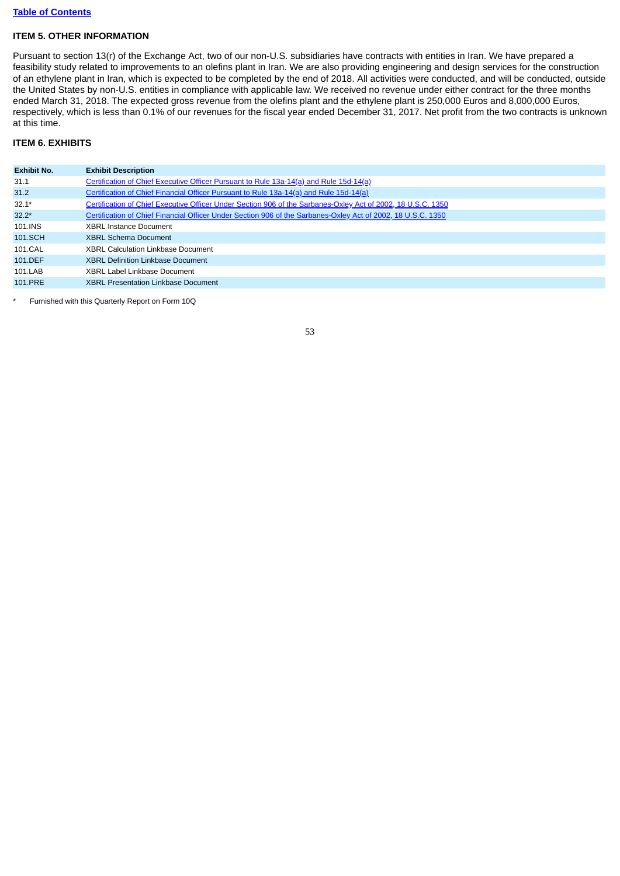## <span id="page-52-0"></span>**ITEM 5. OTHER INFORMATION**

Pursuant to section 13(r) of the Exchange Act, two of our non-U.S. subsidiaries have contracts with entities in Iran. We have prepared a feasibility study related to improvements to an olefins plant in Iran. We are also providing engineering and design services for the construction of an ethylene plant in Iran, which is expected to be completed by the end of 2018. All activities were conducted, and will be conducted, outside the United States by non-U.S. entities in compliance with applicable law. We received no revenue under either contract for the three months ended March 31, 2018. The expected gross revenue from the olefins plant and the ethylene plant is 250,000 Euros and 8,000,000 Euros, respectively, which is less than 0.1% of our revenues for the fiscal year ended December 31, 2017. Net profit from the two contracts is unknown at this time.

#### <span id="page-52-1"></span>**ITEM 6. EXHIBITS**

| <b>Exhibit No.</b> | <b>Exhibit Description</b>                                                                                   |
|--------------------|--------------------------------------------------------------------------------------------------------------|
| 31.1               | Certification of Chief Executive Officer Pursuant to Rule 13a-14(a) and Rule 15d-14(a)                       |
| 31.2               | Certification of Chief Financial Officer Pursuant to Rule 13a-14(a) and Rule 15d-14(a)                       |
| $32.1*$            | Certification of Chief Executive Officer Under Section 906 of the Sarbanes-Oxley Act of 2002, 18 U.S.C. 1350 |
| $32.2*$            | Certification of Chief Financial Officer Under Section 906 of the Sarbanes-Oxley Act of 2002, 18 U.S.C. 1350 |
| 101.INS            | <b>XBRL Instance Document</b>                                                                                |
| <b>101.SCH</b>     | <b>XBRL Schema Document</b>                                                                                  |
| 101.CAL            | <b>XBRL Calculation Linkbase Document</b>                                                                    |
| 101.DEF            | <b>XBRL Definition Linkbase Document</b>                                                                     |
| 101.LAB            | <b>XBRL Label Linkbase Document</b>                                                                          |
| 101.PRE            | <b>XBRL Presentation Linkbase Document</b>                                                                   |

Furnished with this Quarterly Report on Form 10Q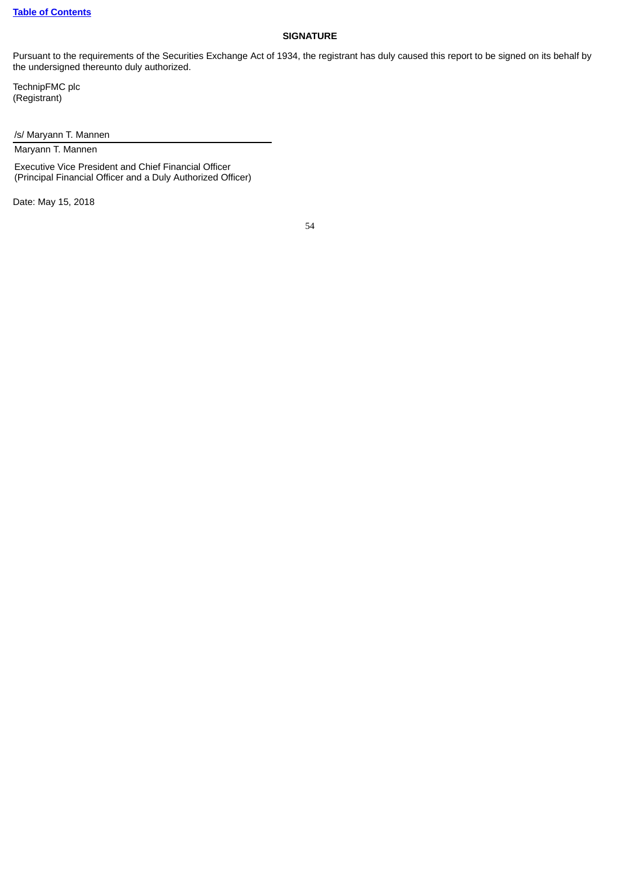#### **SIGNATURE**

Pursuant to the requirements of the Securities Exchange Act of 1934, the registrant has duly caused this report to be signed on its behalf by the undersigned thereunto duly authorized.

TechnipFMC plc (Registrant)

/s/ Maryann T. Mannen

Maryann T. Mannen

Executive Vice President and Chief Financial Officer (Principal Financial Officer and a Duly Authorized Officer)

Date: May 15, 2018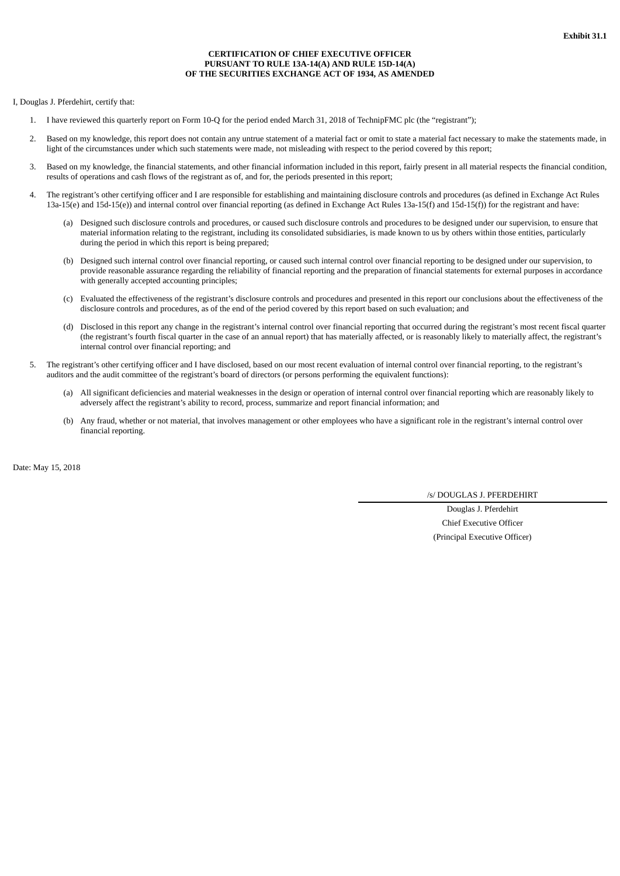#### **CERTIFICATION OF CHIEF EXECUTIVE OFFICER PURSUANT TO RULE 13A-14(A) AND RULE 15D-14(A) OF THE SECURITIES EXCHANGE ACT OF 1934, AS AMENDED**

<span id="page-54-0"></span>I, Douglas J. Pferdehirt, certify that:

- 1. I have reviewed this quarterly report on Form 10-Q for the period ended March 31, 2018 of TechnipFMC plc (the "registrant");
- 2. Based on my knowledge, this report does not contain any untrue statement of a material fact or omit to state a material fact necessary to make the statements made, in light of the circumstances under which such statements were made, not misleading with respect to the period covered by this report;
- 3. Based on my knowledge, the financial statements, and other financial information included in this report, fairly present in all material respects the financial condition, results of operations and cash flows of the registrant as of, and for, the periods presented in this report;
- 4. The registrant's other certifying officer and I are responsible for establishing and maintaining disclosure controls and procedures (as defined in Exchange Act Rules 13a-15(e) and 15d-15(e)) and internal control over financial reporting (as defined in Exchange Act Rules 13a-15(f) and 15d-15(f)) for the registrant and have:
	- (a) Designed such disclosure controls and procedures, or caused such disclosure controls and procedures to be designed under our supervision, to ensure that material information relating to the registrant, including its consolidated subsidiaries, is made known to us by others within those entities, particularly during the period in which this report is being prepared;
	- (b) Designed such internal control over financial reporting, or caused such internal control over financial reporting to be designed under our supervision, to provide reasonable assurance regarding the reliability of financial reporting and the preparation of financial statements for external purposes in accordance with generally accepted accounting principles;
	- (c) Evaluated the effectiveness of the registrant's disclosure controls and procedures and presented in this report our conclusions about the effectiveness of the disclosure controls and procedures, as of the end of the period covered by this report based on such evaluation; and
	- (d) Disclosed in this report any change in the registrant's internal control over financial reporting that occurred during the registrant's most recent fiscal quarter (the registrant's fourth fiscal quarter in the case of an annual report) that has materially affected, or is reasonably likely to materially affect, the registrant's internal control over financial reporting; and
- 5. The registrant's other certifying officer and I have disclosed, based on our most recent evaluation of internal control over financial reporting, to the registrant's auditors and the audit committee of the registrant's board of directors (or persons performing the equivalent functions):
	- (a) All significant deficiencies and material weaknesses in the design or operation of internal control over financial reporting which are reasonably likely to adversely affect the registrant's ability to record, process, summarize and report financial information; and
	- (b) Any fraud, whether or not material, that involves management or other employees who have a significant role in the registrant's internal control over financial reporting.

Date: May 15, 2018

/s/ DOUGLAS J. PFERDEHIRT

Douglas J. Pferdehirt Chief Executive Officer (Principal Executive Officer)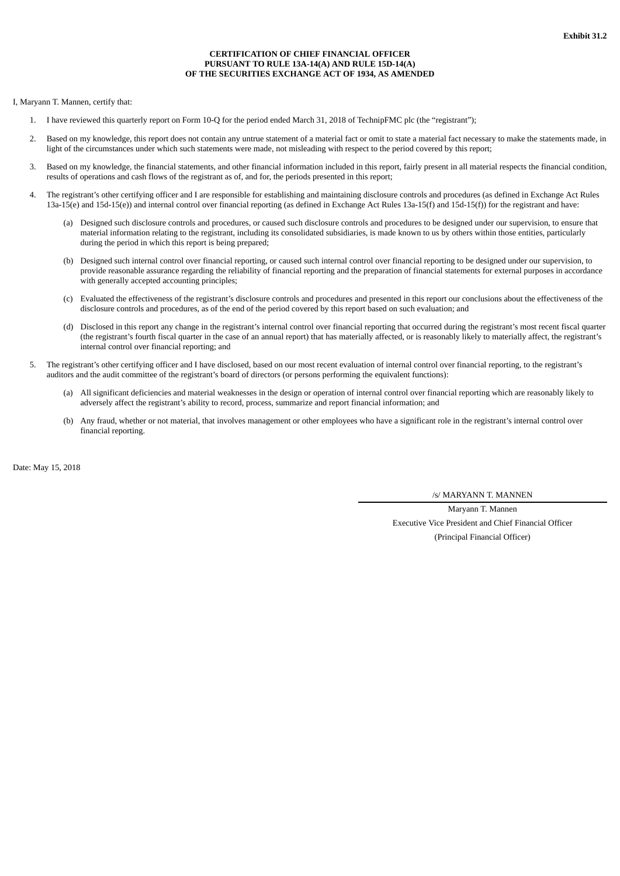#### **CERTIFICATION OF CHIEF FINANCIAL OFFICER PURSUANT TO RULE 13A-14(A) AND RULE 15D-14(A) OF THE SECURITIES EXCHANGE ACT OF 1934, AS AMENDED**

<span id="page-55-0"></span>I, Maryann T. Mannen, certify that:

- 1. I have reviewed this quarterly report on Form 10-Q for the period ended March 31, 2018 of TechnipFMC plc (the "registrant");
- 2. Based on my knowledge, this report does not contain any untrue statement of a material fact or omit to state a material fact necessary to make the statements made, in light of the circumstances under which such statements were made, not misleading with respect to the period covered by this report;
- 3. Based on my knowledge, the financial statements, and other financial information included in this report, fairly present in all material respects the financial condition, results of operations and cash flows of the registrant as of, and for, the periods presented in this report;
- 4. The registrant's other certifying officer and I are responsible for establishing and maintaining disclosure controls and procedures (as defined in Exchange Act Rules 13a-15(e) and 15d-15(e)) and internal control over financial reporting (as defined in Exchange Act Rules 13a-15(f) and 15d-15(f)) for the registrant and have:
	- (a) Designed such disclosure controls and procedures, or caused such disclosure controls and procedures to be designed under our supervision, to ensure that material information relating to the registrant, including its consolidated subsidiaries, is made known to us by others within those entities, particularly during the period in which this report is being prepared;
	- (b) Designed such internal control over financial reporting, or caused such internal control over financial reporting to be designed under our supervision, to provide reasonable assurance regarding the reliability of financial reporting and the preparation of financial statements for external purposes in accordance with generally accepted accounting principles;
	- (c) Evaluated the effectiveness of the registrant's disclosure controls and procedures and presented in this report our conclusions about the effectiveness of the disclosure controls and procedures, as of the end of the period covered by this report based on such evaluation; and
	- (d) Disclosed in this report any change in the registrant's internal control over financial reporting that occurred during the registrant's most recent fiscal quarter (the registrant's fourth fiscal quarter in the case of an annual report) that has materially affected, or is reasonably likely to materially affect, the registrant's internal control over financial reporting; and
- 5. The registrant's other certifying officer and I have disclosed, based on our most recent evaluation of internal control over financial reporting, to the registrant's auditors and the audit committee of the registrant's board of directors (or persons performing the equivalent functions):
	- (a) All significant deficiencies and material weaknesses in the design or operation of internal control over financial reporting which are reasonably likely to adversely affect the registrant's ability to record, process, summarize and report financial information; and
	- (b) Any fraud, whether or not material, that involves management or other employees who have a significant role in the registrant's internal control over financial reporting.

Date: May 15, 2018

/s/ MARYANN T. MANNEN

Maryann T. Mannen Executive Vice President and Chief Financial Officer (Principal Financial Officer)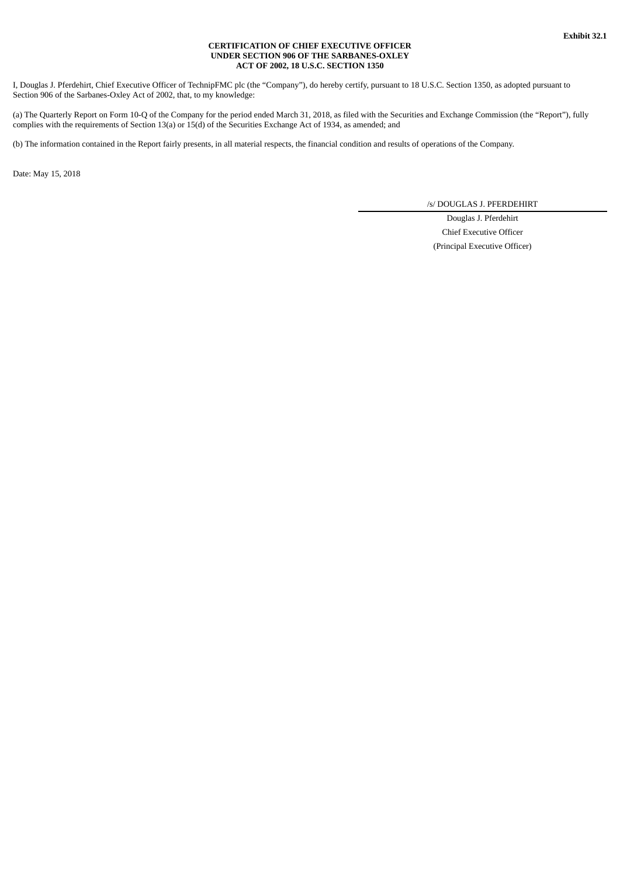#### **CERTIFICATION OF CHIEF EXECUTIVE OFFICER UNDER SECTION 906 OF THE SARBANES-OXLEY ACT OF 2002, 18 U.S.C. SECTION 1350**

<span id="page-56-0"></span>I, Douglas J. Pferdehirt, Chief Executive Officer of TechnipFMC plc (the "Company"), do hereby certify, pursuant to 18 U.S.C. Section 1350, as adopted pursuant to Section 906 of the Sarbanes-Oxley Act of 2002, that, to my knowledge:

(a) The Quarterly Report on Form 10-Q of the Company for the period ended March 31, 2018, as filed with the Securities and Exchange Commission (the "Report"), fully complies with the requirements of Section 13(a) or 15(d) of the Securities Exchange Act of 1934, as amended; and

(b) The information contained in the Report fairly presents, in all material respects, the financial condition and results of operations of the Company.

Date: May 15, 2018

/s/ DOUGLAS J. PFERDEHIRT

Douglas J. Pferdehirt Chief Executive Officer (Principal Executive Officer)